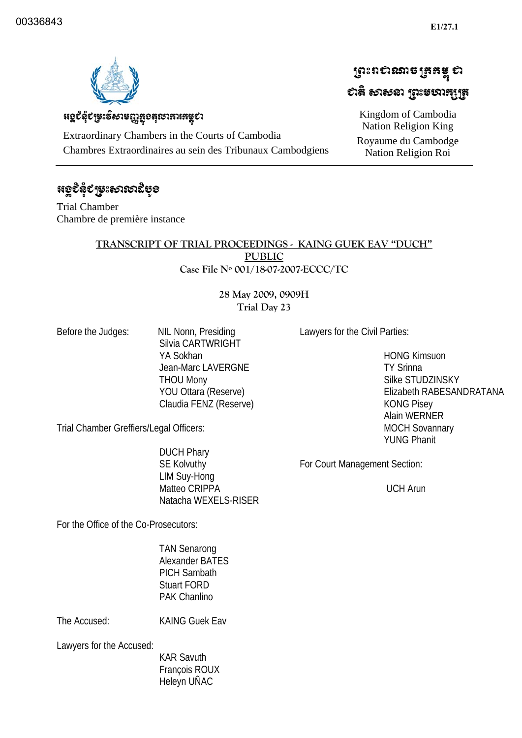ប្រែះពស់ឈានច្រកម្ពុ ស

ಛಟೆ ಉಳಿತು ಬಿಜಾಯಚಿಸಿ

Kingdom of Cambodia Nation Religion King Royaume du Cambodge Nation Religion Roi 



## หดุยึงุยหะธิบารณูสูงสุณาสาเสรุยา

Extraordinary Chambers in the Courts of Cambodia Chambres Extraordinaires au sein des Tribunaux Cambodgiens

# ೫ഉಲಿಫಿಲ್ಚಳಃಕಾಣುಬಿಳ್ಳಂ

Trial Chamber Chambre de première instance

#### **TRANSCRIPT OF TRIAL PROCEEDINGS - KAING GUEK EAV "DUCH" PUBLIC Case File Nº 001/18-07-2007-ECCC/TC**

#### **28 May 2009, 0909H Trial Day 23**

Before the Judges: NIL Nonn, Presiding Silvia CARTWRIGHT YA Sokhan Jean-Marc LAVERGNE THOU Mony YOU Ottara (Reserve) Claudia FENZ (Reserve) Lawyers for the Civil Parties:

 HONG Kimsuon TY Srinna Silke STUDZINSKY Elizabeth RABESANDRATANA KONG Pisey Alain WERNER MOCH Sovannary YUNG Phanit

Trial Chamber Greffiers/Legal Officers:

 DUCH Phary SE Kolvuthy LIM Suy-Hong Matteo CRIPPA Natacha WEXELS-RISER

For Court Management Section:

UCH Arun

For the Office of the Co-Prosecutors:

 TAN Senarong Alexander BATES PICH Sambath Stuart FORD PAK Chanlino

The Accused: KAING Guek Eav

Lawyers for the Accused:

 KAR Savuth François ROUX Heleyn UÑAC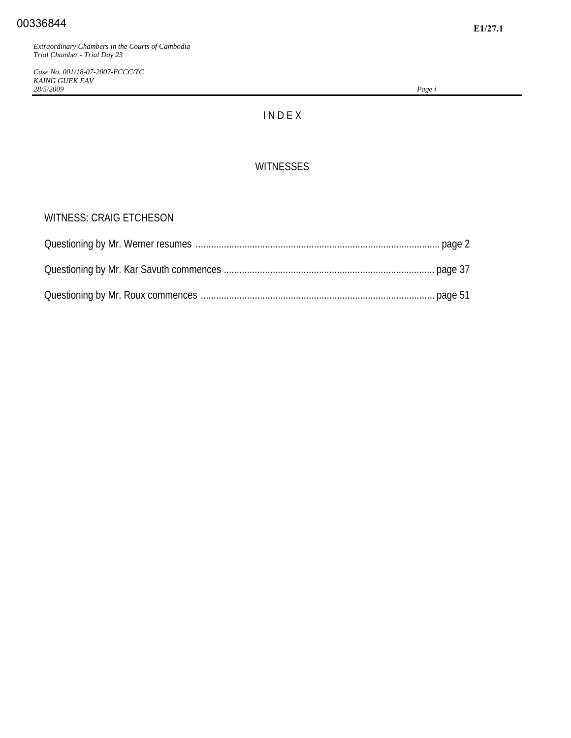*Case No. 001/18-07-2007-ECCC/TC KAING GUEK EAV 28/5/2009 Page i*

## I N D E X

#### **WITNESSES**

#### WITNESS: CRAIG ETCHESON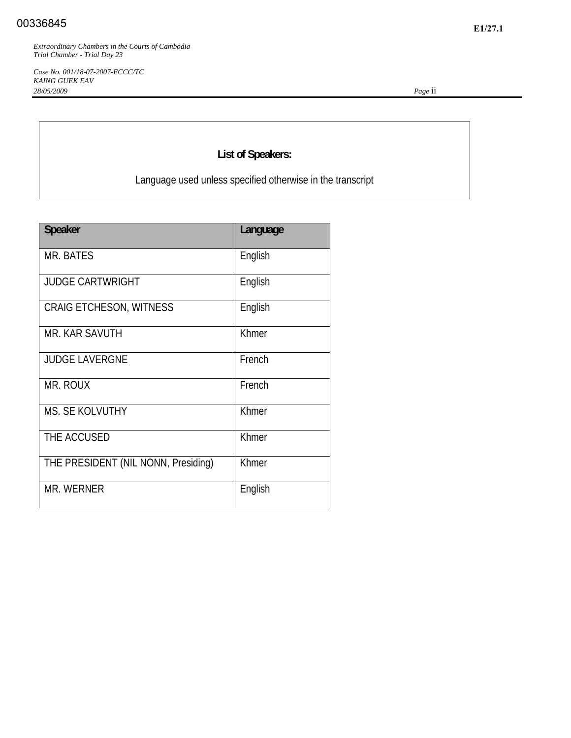*Case No. 001/18-07-2007-ECCC/TC KAING GUEK EAV 28/05/2009 Page* ii

## **List of Speakers:**

Language used unless specified otherwise in the transcript

| <b>Speaker</b>                      | Language |
|-------------------------------------|----------|
| MR. BATES                           | English  |
| <b>JUDGE CARTWRIGHT</b>             | English  |
| <b>CRAIG ETCHESON, WITNESS</b>      | English  |
| <b>MR. KAR SAVUTH</b>               | Khmer    |
| <b>JUDGE LAVERGNE</b>               | French   |
| MR. ROUX                            | French   |
| <b>MS. SE KOLVUTHY</b>              | Khmer    |
| THE ACCUSED                         | Khmer    |
| THE PRESIDENT (NIL NONN, Presiding) | Khmer    |
| <b>MR. WERNER</b>                   | English  |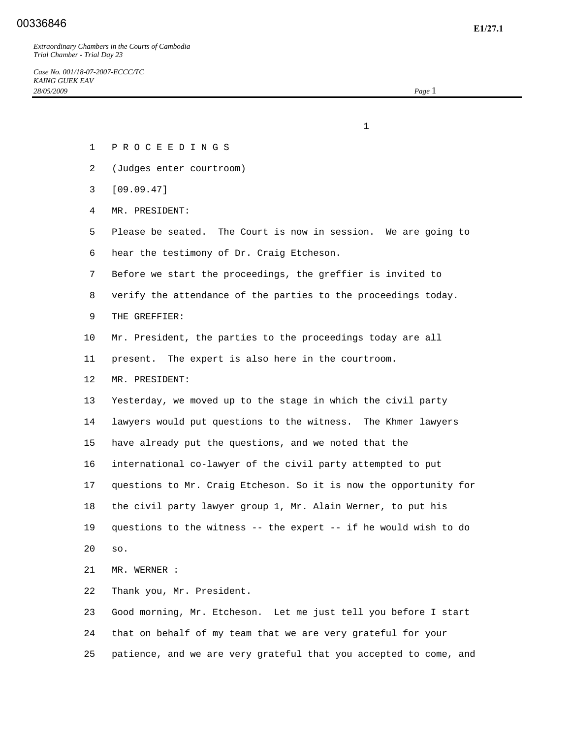## **E1/27.1** 00336846

*Extraordinary Chambers in the Courts of Cambodia Trial Chamber - Trial Day 23* 

*Case No. 001/18-07-2007-ECCC/TC KAING GUEK EAV 28/05/2009 Page* 1

1 P R O C E E D I N G S

2 (Judges enter courtroom)

 $1$ 

- 3 [09.09.47]
- 4 MR. PRESIDENT:
- 5 Please be seated. The Court is now in session. We are going to 6 hear the testimony of Dr. Craig Etcheson.
- 7 Before we start the proceedings, the greffier is invited to
- 8 verify the attendance of the parties to the proceedings today.
- 9 THE GREFFIER:
- 10 Mr. President, the parties to the proceedings today are all
- 11 present. The expert is also here in the courtroom.
- 12 MR. PRESIDENT:

 13 Yesterday, we moved up to the stage in which the civil party 14 lawyers would put questions to the witness. The Khmer lawyers 15 have already put the questions, and we noted that the 16 international co-lawyer of the civil party attempted to put 17 questions to Mr. Craig Etcheson. So it is now the opportunity for 18 the civil party lawyer group 1, Mr. Alain Werner, to put his 19 questions to the witness -- the expert -- if he would wish to do 20 so.

21 MR. WERNER :

22 Thank you, Mr. President.

 23 Good morning, Mr. Etcheson. Let me just tell you before I start 24 that on behalf of my team that we are very grateful for your 25 patience, and we are very grateful that you accepted to come, and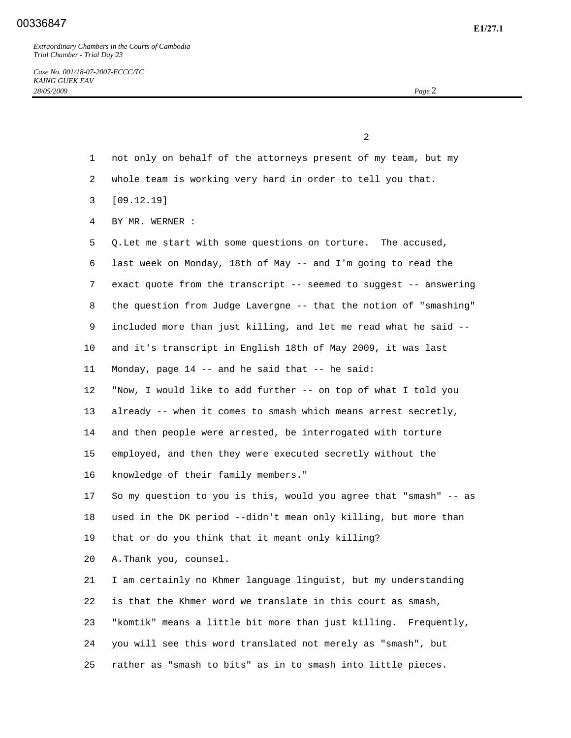## **E1/27.1** 00336847

*Extraordinary Chambers in the Courts of Cambodia Trial Chamber - Trial Day 23* 

*Case No. 001/18-07-2007-ECCC/TC KAING GUEK EAV 28/05/2009 Page* 2

 2 1 not only on behalf of the attorneys present of my team, but my 2 whole team is working very hard in order to tell you that. 3 [09.12.19] 4 BY MR. WERNER : 5 Q. Let me start with some questions on torture. The accused, 6 last week on Monday, 18th of May -- and I'm going to read the 7 exact quote from the transcript -- seemed to suggest -- answering 8 the question from Judge Lavergne -- that the notion of "smashing" 9 included more than just killing, and let me read what he said -- 10 and it's transcript in English 18th of May 2009, it was last 11 Monday, page 14 -- and he said that -- he said: 12 "Now, I would like to add further -- on top of what I told you 13 already -- when it comes to smash which means arrest secretly, 14 and then people were arrested, be interrogated with torture 15 employed, and then they were executed secretly without the 16 knowledge of their family members." 17 So my question to you is this, would you agree that "smash" -- as 18 used in the DK period --didn't mean only killing, but more than 19 that or do you think that it meant only killing? 20 A. Thank you, counsel. 21 I am certainly no Khmer language linguist, but my understanding 22 is that the Khmer word we translate in this court as smash, 23 "komtik" means a little bit more than just killing. Frequently, 24 you will see this word translated not merely as "smash", but 25 rather as "smash to bits" as in to smash into little pieces.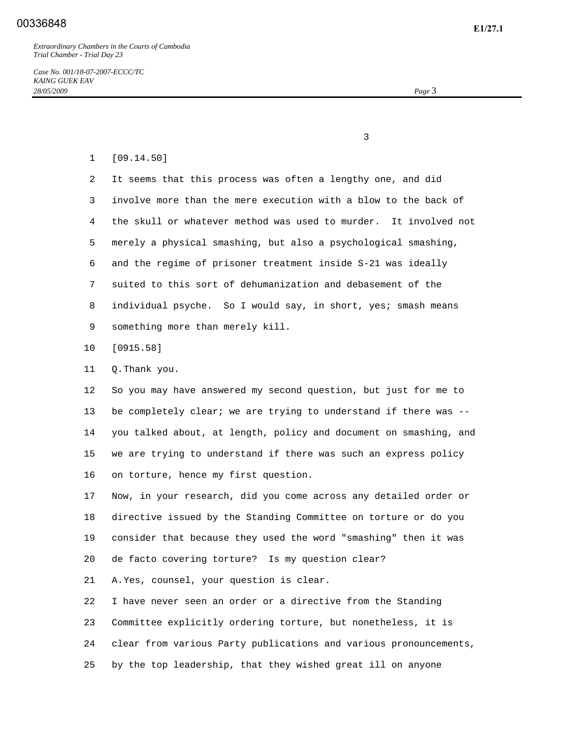*Case No. 001/18-07-2007-ECCC/TC KAING GUEK EAV 28/05/2009 Page* 3

 $\sim$  3

#### 1 [09.14.50]

 2 It seems that this process was often a lengthy one, and did 3 involve more than the mere execution with a blow to the back of 4 the skull or whatever method was used to murder. It involved not 5 merely a physical smashing, but also a psychological smashing, 6 and the regime of prisoner treatment inside S-21 was ideally 7 suited to this sort of dehumanization and debasement of the 8 individual psyche. So I would say, in short, yes; smash means 9 something more than merely kill.

- 10 [0915.58]
- 11 Q. Thank you.

 12 So you may have answered my second question, but just for me to 13 be completely clear; we are trying to understand if there was -- 14 you talked about, at length, policy and document on smashing, and 15 we are trying to understand if there was such an express policy 16 on torture, hence my first question.

 17 Now, in your research, did you come across any detailed order or 18 directive issued by the Standing Committee on torture or do you 19 consider that because they used the word "smashing" then it was 20 de facto covering torture? Is my question clear?

21 A. Yes, counsel, your question is clear.

 22 I have never seen an order or a directive from the Standing 23 Committee explicitly ordering torture, but nonetheless, it is 24 clear from various Party publications and various pronouncements, 25 by the top leadership, that they wished great ill on anyone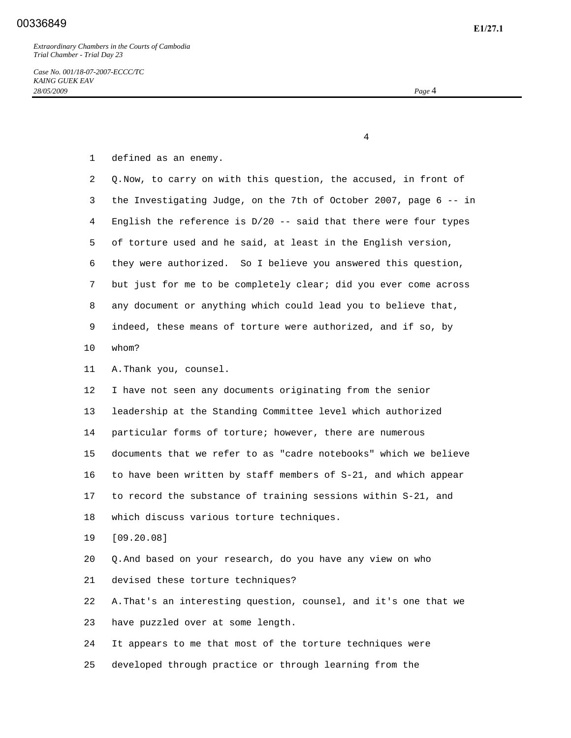4

|  |  |  | defined as an enemy. |
|--|--|--|----------------------|
|--|--|--|----------------------|

| 2  | Q. Now, to carry on with this question, the accused, in front of   |
|----|--------------------------------------------------------------------|
| 3  | the Investigating Judge, on the 7th of October 2007, page 6 -- in  |
| 4  | English the reference is $D/20$ -- said that there were four types |
| 5  | of torture used and he said, at least in the English version,      |
| 6  | they were authorized. So I believe you answered this question,     |
| 7  | but just for me to be completely clear; did you ever come across   |
| 8  | any document or anything which could lead you to believe that,     |
| 9  | indeed, these means of torture were authorized, and if so, by      |
| 10 | whom?                                                              |
| 11 | A. Thank you, counsel.                                             |
| 12 | I have not seen any documents originating from the senior          |
| 13 | leadership at the Standing Committee level which authorized        |
| 14 | particular forms of torture; however, there are numerous           |
| 15 | documents that we refer to as "cadre notebooks" which we believe   |
| 16 | to have been written by staff members of S-21, and which appear    |
| 17 | to record the substance of training sessions within S-21, and      |
| 18 | which discuss various torture techniques.                          |
| 19 | [09.20.08]                                                         |
| 20 | Q. And based on your research, do you have any view on who         |
| 21 | devised these torture techniques?                                  |
| 22 | A. That's an interesting question, counsel, and it's one that we   |
| 23 | have puzzled over at some length.                                  |
| 24 | It appears to me that most of the torture techniques were          |

25 developed through practice or through learning from the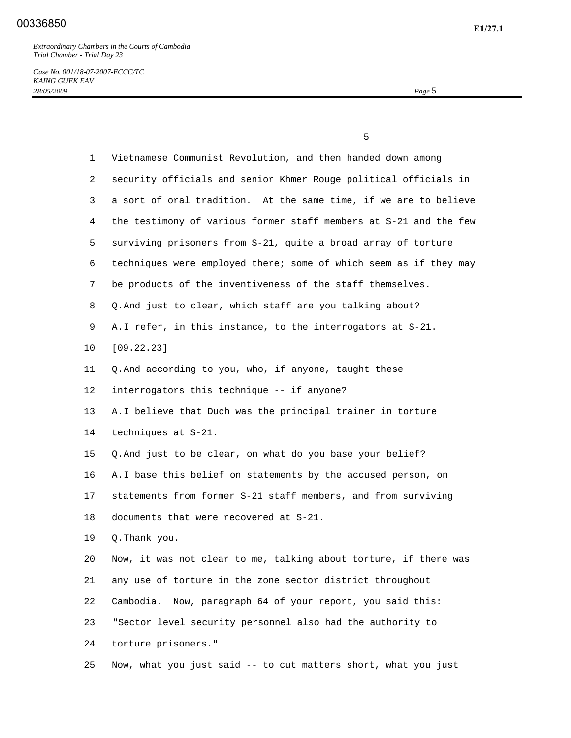*Case No. 001/18-07-2007-ECCC/TC KAING GUEK EAV 28/05/2009 Page* 5

 $\sim$  5

| 1               | Vietnamese Communist Revolution, and then handed down among       |
|-----------------|-------------------------------------------------------------------|
| 2               | security officials and senior Khmer Rouge political officials in  |
| 3               | a sort of oral tradition. At the same time, if we are to believe  |
| 4               | the testimony of various former staff members at S-21 and the few |
| 5               | surviving prisoners from S-21, quite a broad array of torture     |
| 6               | techniques were employed there; some of which seem as if they may |
| 7               | be products of the inventiveness of the staff themselves.         |
| 8               | Q. And just to clear, which staff are you talking about?          |
| 9               | A.I refer, in this instance, to the interrogators at S-21.        |
| $10 \,$         | [09.22.23]                                                        |
| 11              | Q. And according to you, who, if anyone, taught these             |
| 12 <sup>°</sup> | interrogators this technique -- if anyone?                        |
| 13              | A. I believe that Duch was the principal trainer in torture       |
| 14              | techniques at S-21.                                               |
| 15              | Q. And just to be clear, on what do you base your belief?         |
| 16              | A. I base this belief on statements by the accused person, on     |
| 17              | statements from former S-21 staff members, and from surviving     |
| 18              | documents that were recovered at S-21.                            |
| 19              | Q. Thank you.                                                     |
| 20              | Now, it was not clear to me, talking about torture, if there was  |
| 21              | any use of torture in the zone sector district throughout         |
| 22              | Now, paragraph 64 of your report, you said this:<br>Cambodia.     |
| 23              | "Sector level security personnel also had the authority to        |
| 24              | torture prisoners."                                               |
| 25              | Now, what you just said -- to cut matters short, what you just    |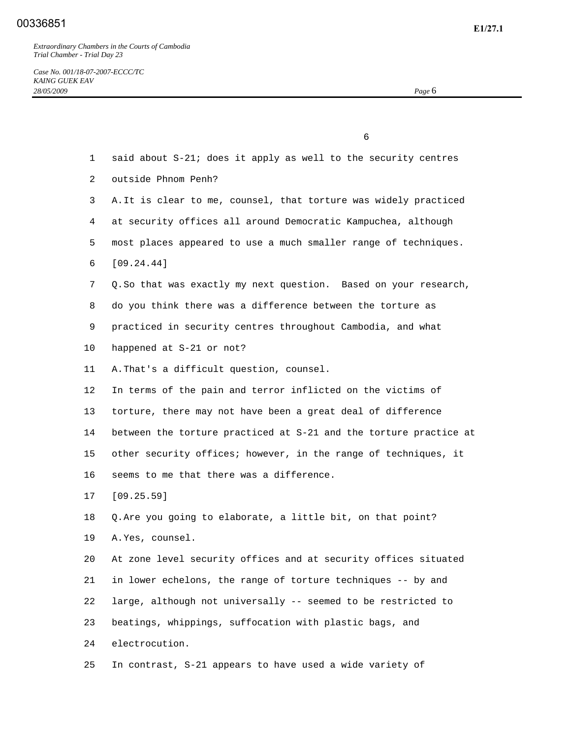*Case No. 001/18-07-2007-ECCC/TC KAING GUEK EAV 28/05/2009 Page* 6

 1 said about S-21; does it apply as well to the security centres 3 A. It is clear to me, counsel, that torture was widely practiced 4 at security offices all around Democratic Kampuchea, although 5 most places appeared to use a much smaller range of techniques.

6 [09.24.44]

2 outside Phnom Penh?

- 7 Q. So that was exactly my next question. Based on your research,
- 8 do you think there was a difference between the torture as
- 9 practiced in security centres throughout Cambodia, and what
- 10 happened at S-21 or not?
- 11 A. That's a difficult question, counsel.

 $\sim$  6

 12 In terms of the pain and terror inflicted on the victims of 13 torture, there may not have been a great deal of difference 14 between the torture practiced at S-21 and the torture practice at 15 other security offices; however, in the range of techniques, it 16 seems to me that there was a difference.

- 17 [09.25.59]
- 18 Q. Are you going to elaborate, a little bit, on that point?
- 19 A. Yes, counsel.

 20 At zone level security offices and at security offices situated 21 in lower echelons, the range of torture techniques -- by and 22 large, although not universally -- seemed to be restricted to 23 beatings, whippings, suffocation with plastic bags, and 24 electrocution.

25 In contrast, S-21 appears to have used a wide variety of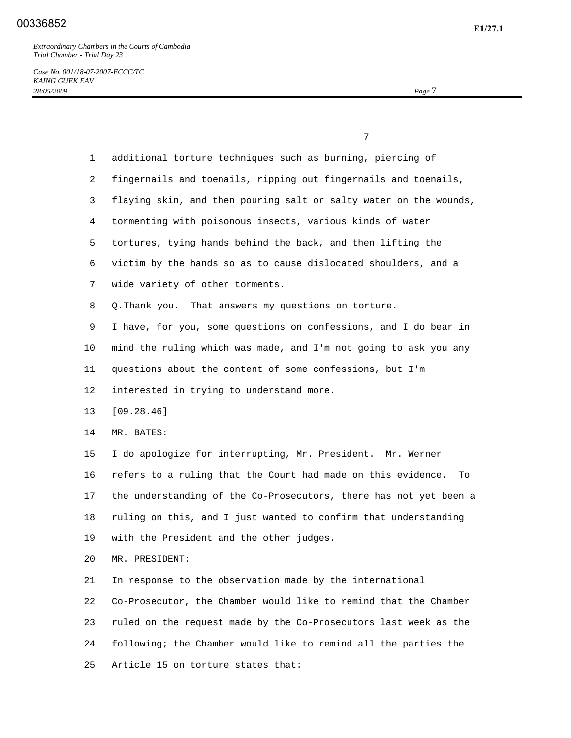*Case No. 001/18-07-2007-ECCC/TC KAING GUEK EAV 28/05/2009 Page* 7

|              | 7                                                                  |
|--------------|--------------------------------------------------------------------|
| $\mathbf{1}$ | additional torture techniques such as burning, piercing of         |
| 2            | fingernails and toenails, ripping out fingernails and toenails,    |
| 3            | flaying skin, and then pouring salt or salty water on the wounds,  |
| 4            | tormenting with poisonous insects, various kinds of water          |
| 5            | tortures, tying hands behind the back, and then lifting the        |
| 6            | victim by the hands so as to cause dislocated shoulders, and a     |
| 7            | wide variety of other torments.                                    |
| 8            | Q. Thank you. That answers my questions on torture.                |
| 9            | I have, for you, some questions on confessions, and I do bear in   |
| 10           | mind the ruling which was made, and I'm not going to ask you any   |
| 11           | questions about the content of some confessions, but I'm           |
| 12           | interested in trying to understand more.                           |
| 13           | [09.28.46]                                                         |
| 14           | MR. BATES:                                                         |
| 15           | I do apologize for interrupting, Mr. President. Mr. Werner         |
| 16           | refers to a ruling that the Court had made on this evidence.<br>To |
| 17           | the understanding of the Co-Prosecutors, there has not yet been a  |
| 18           | ruling on this, and I just wanted to confirm that understanding    |
| 19           | with the President and the other judges.                           |
| 20           | MR. PRESIDENT:                                                     |
| 21           | In response to the observation made by the international           |
| 22           | Co-Prosecutor, the Chamber would like to remind that the Chamber   |
| 23           | ruled on the request made by the Co-Prosecutors last week as the   |
| 24           | following; the Chamber would like to remind all the parties the    |
| 25           | Article 15 on torture states that:                                 |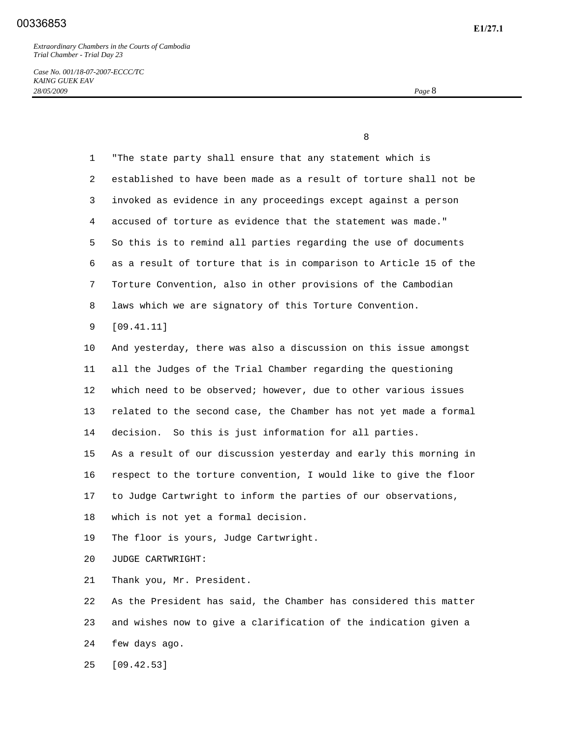*Case No. 001/18-07-2007-ECCC/TC KAING GUEK EAV 28/05/2009 Page* 8

8

| $\mathbf{1}$ | "The state party shall ensure that any statement which is         |
|--------------|-------------------------------------------------------------------|
| 2            | established to have been made as a result of torture shall not be |
| 3            | invoked as evidence in any proceedings except against a person    |
| 4            | accused of torture as evidence that the statement was made."      |
| 5            | So this is to remind all parties regarding the use of documents   |
| 6            | as a result of torture that is in comparison to Article 15 of the |
| 7            | Torture Convention, also in other provisions of the Cambodian     |
| 8            | laws which we are signatory of this Torture Convention.           |
| 9            | [09.41.11]                                                        |
| 10           | And yesterday, there was also a discussion on this issue amongst  |
| 11           | all the Judges of the Trial Chamber regarding the questioning     |
| 12           | which need to be observed; however, due to other various issues   |
| 13           | related to the second case, the Chamber has not yet made a formal |
| 14           | decision. So this is just information for all parties.            |
| 15           | As a result of our discussion yesterday and early this morning in |
| 16           | respect to the torture convention, I would like to give the floor |
| 17           | to Judge Cartwright to inform the parties of our observations,    |
| 18           | which is not yet a formal decision.                               |
| 19           | The floor is yours, Judge Cartwright.                             |
| 20           | JUDGE CARTWRIGHT:                                                 |
| 21           | Thank you, Mr. President.                                         |
| 22           | As the President has said, the Chamber has considered this matter |
| 23           | and wishes now to give a clarification of the indication given a  |
| 24           | few days ago.                                                     |
| 25           | [09.42.53]                                                        |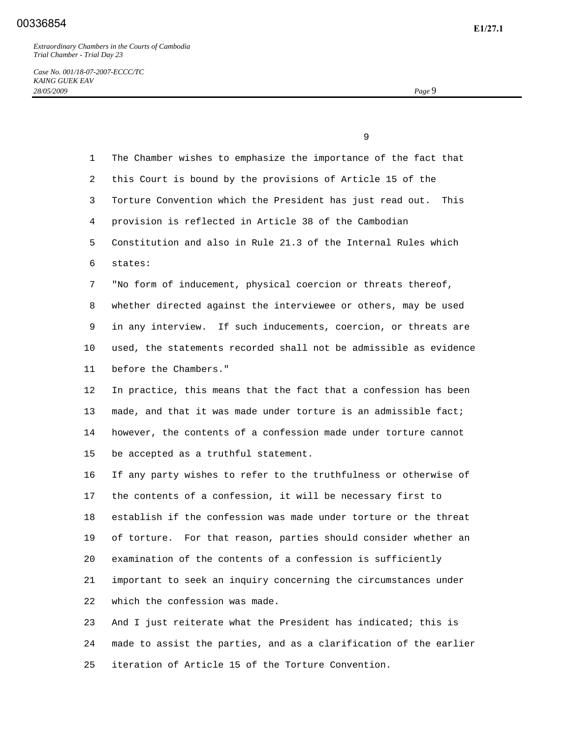*Case No. 001/18-07-2007-ECCC/TC KAING GUEK EAV 28/05/2009 Page* 9

 9 1 The Chamber wishes to emphasize the importance of the fact that 2 this Court is bound by the provisions of Article 15 of the 3 Torture Convention which the President has just read out. This 4 provision is reflected in Article 38 of the Cambodian 5 Constitution and also in Rule 21.3 of the Internal Rules which 6 states: 7 "No form of inducement, physical coercion or threats thereof, 8 whether directed against the interviewee or others, may be used 9 in any interview. If such inducements, coercion, or threats are 10 used, the statements recorded shall not be admissible as evidence 11 before the Chambers." 12 In practice, this means that the fact that a confession has been 13 made, and that it was made under torture is an admissible fact; 14 however, the contents of a confession made under torture cannot 15 be accepted as a truthful statement. 16 If any party wishes to refer to the truthfulness or otherwise of 17 the contents of a confession, it will be necessary first to 18 establish if the confession was made under torture or the threat 19 of torture. For that reason, parties should consider whether an 20 examination of the contents of a confession is sufficiently 21 important to seek an inquiry concerning the circumstances under 22 which the confession was made. 23 And I just reiterate what the President has indicated; this is 24 made to assist the parties, and as a clarification of the earlier

25 iteration of Article 15 of the Torture Convention.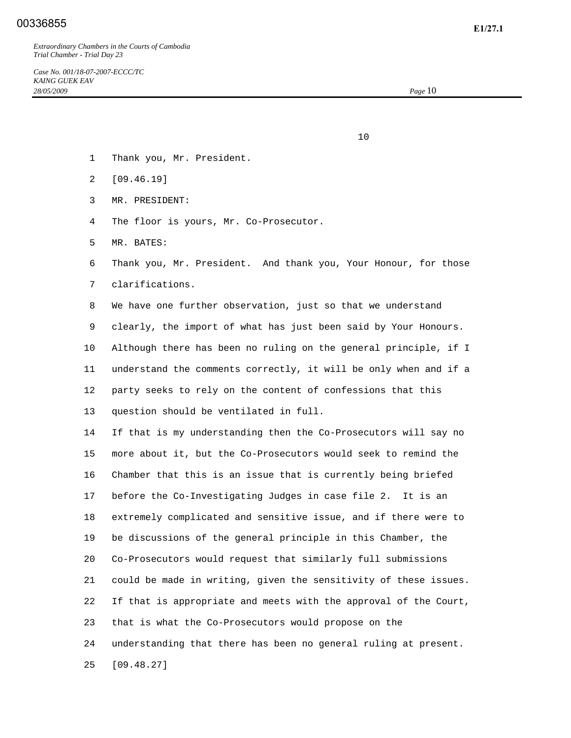- 10
	- 1 Thank you, Mr. President.
	- 2 [09.46.19]
	- 3 MR. PRESIDENT:
	- 4 The floor is yours, Mr. Co-Prosecutor.
	- 5 MR. BATES:
	- 6 Thank you, Mr. President. And thank you, Your Honour, for those 7 clarifications.
	- 8 We have one further observation, just so that we understand

 9 clearly, the import of what has just been said by Your Honours. 10 Although there has been no ruling on the general principle, if I 11 understand the comments correctly, it will be only when and if a 12 party seeks to rely on the content of confessions that this 13 question should be ventilated in full.

 14 If that is my understanding then the Co-Prosecutors will say no 15 more about it, but the Co-Prosecutors would seek to remind the 16 Chamber that this is an issue that is currently being briefed 17 before the Co-Investigating Judges in case file 2. It is an 18 extremely complicated and sensitive issue, and if there were to 19 be discussions of the general principle in this Chamber, the 20 Co-Prosecutors would request that similarly full submissions 21 could be made in writing, given the sensitivity of these issues. 22 If that is appropriate and meets with the approval of the Court, 23 that is what the Co-Prosecutors would propose on the 24 understanding that there has been no general ruling at present. 25 [09.48.27]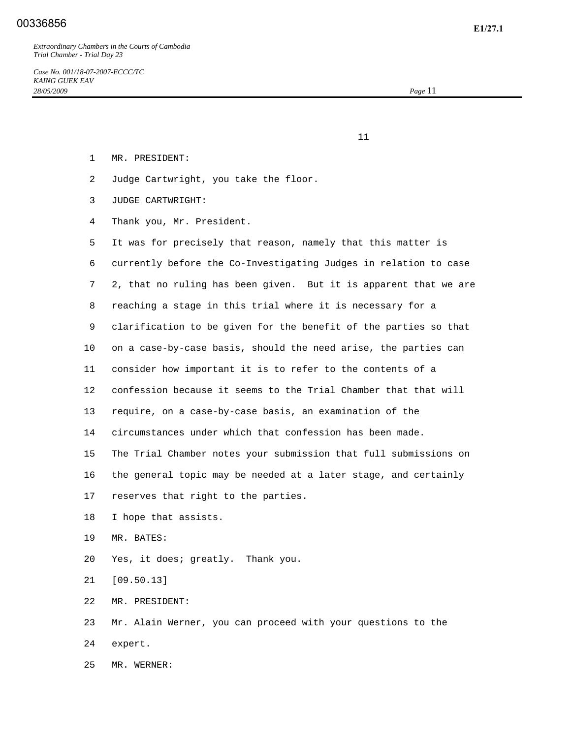- 1 MR. PRESIDENT:
- 2 Judge Cartwright, you take the floor.

 $11$ 

- 3 JUDGE CARTWRIGHT:
- 4 Thank you, Mr. President.

 5 It was for precisely that reason, namely that this matter is 6 currently before the Co-Investigating Judges in relation to case 7 2, that no ruling has been given. But it is apparent that we are 8 reaching a stage in this trial where it is necessary for a 9 clarification to be given for the benefit of the parties so that 10 on a case-by-case basis, should the need arise, the parties can 11 consider how important it is to refer to the contents of a 12 confession because it seems to the Trial Chamber that that will 13 require, on a case-by-case basis, an examination of the 14 circumstances under which that confession has been made. 15 The Trial Chamber notes your submission that full submissions on 16 the general topic may be needed at a later stage, and certainly 17 reserves that right to the parties. 18 I hope that assists.

- 19 MR. BATES:
- 20 Yes, it does; greatly. Thank you.
- 21 [09.50.13]
- 22 MR. PRESIDENT:

 23 Mr. Alain Werner, you can proceed with your questions to the 24 expert.

25 MR. WERNER: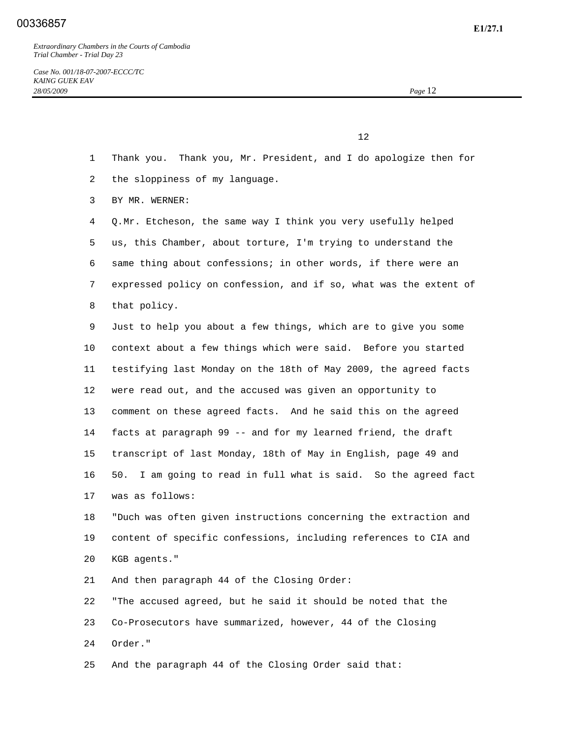$12$ 

- 1 Thank you. Thank you, Mr. President, and I do apologize then for
- 2 the sloppiness of my language.
- 3 BY MR. WERNER:

 4 Q. Mr. Etcheson, the same way I think you very usefully helped 5 us, this Chamber, about torture, I'm trying to understand the 6 same thing about confessions; in other words, if there were an 7 expressed policy on confession, and if so, what was the extent of 8 that policy.

 9 Just to help you about a few things, which are to give you some 10 context about a few things which were said. Before you started 11 testifying last Monday on the 18th of May 2009, the agreed facts 12 were read out, and the accused was given an opportunity to 13 comment on these agreed facts. And he said this on the agreed 14 facts at paragraph 99 -- and for my learned friend, the draft 15 transcript of last Monday, 18th of May in English, page 49 and 16 50. I am going to read in full what is said. So the agreed fact 17 was as follows:

 18 "Duch was often given instructions concerning the extraction and 19 content of specific confessions, including references to CIA and 20 KGB agents."

21 And then paragraph 44 of the Closing Order:

 22 "The accused agreed, but he said it should be noted that the 23 Co-Prosecutors have summarized, however, 44 of the Closing 24 Order."

25 And the paragraph 44 of the Closing Order said that: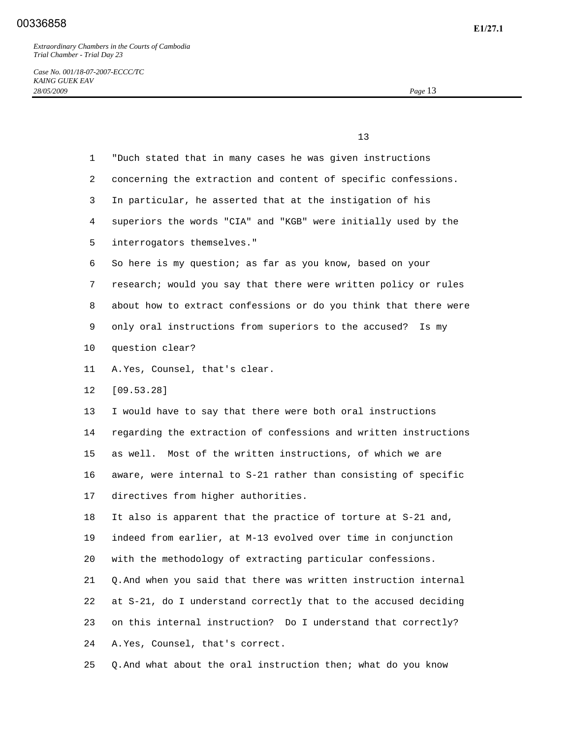$13$ 

*Case No. 001/18-07-2007-ECCC/TC KAING GUEK EAV 28/05/2009 Page* 13

 1 "Duch stated that in many cases he was given instructions 2 concerning the extraction and content of specific confessions. 3 In particular, he asserted that at the instigation of his 4 superiors the words "CIA" and "KGB" were initially used by the 5 interrogators themselves." 6 So here is my question; as far as you know, based on your 7 research; would you say that there were written policy or rules 8 about how to extract confessions or do you think that there were 9 only oral instructions from superiors to the accused? Is my 10 question clear? 11 A. Yes, Counsel, that's clear. 12 [09.53.28] 13 I would have to say that there were both oral instructions 14 regarding the extraction of confessions and written instructions 15 as well. Most of the written instructions, of which we are 16 aware, were internal to S-21 rather than consisting of specific 17 directives from higher authorities. 18 It also is apparent that the practice of torture at S-21 and, 19 indeed from earlier, at M-13 evolved over time in conjunction 20 with the methodology of extracting particular confessions. 21 Q. And when you said that there was written instruction internal 22 at S-21, do I understand correctly that to the accused deciding 23 on this internal instruction? Do I understand that correctly? 24 A. Yes, Counsel, that's correct.

25 Q. And what about the oral instruction then; what do you know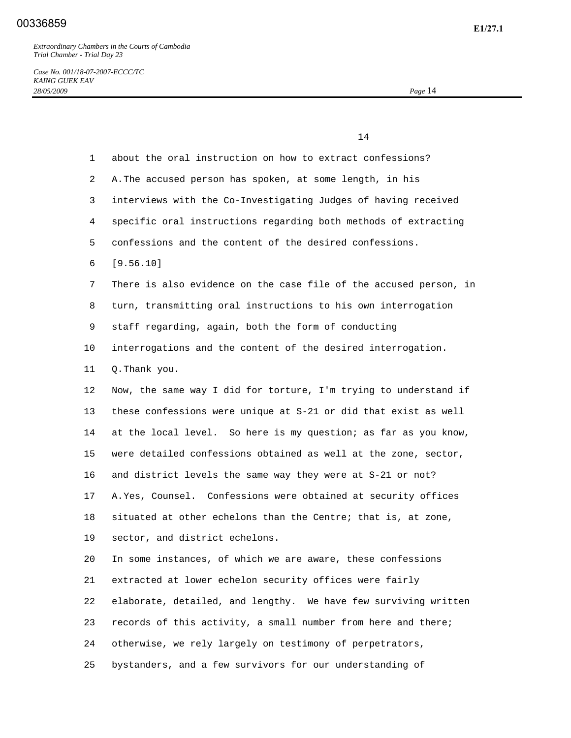14

*Case No. 001/18-07-2007-ECCC/TC KAING GUEK EAV 28/05/2009 Page* 14

 1 about the oral instruction on how to extract confessions? 2 A. The accused person has spoken, at some length, in his 3 interviews with the Co-Investigating Judges of having received 4 specific oral instructions regarding both methods of extracting 5 confessions and the content of the desired confessions. 6 [9.56.10] 7 There is also evidence on the case file of the accused person, in 8 turn, transmitting oral instructions to his own interrogation 9 staff regarding, again, both the form of conducting 10 interrogations and the content of the desired interrogation. 11 Q. Thank you. 12 Now, the same way I did for torture, I'm trying to understand if 13 these confessions were unique at S-21 or did that exist as well 14 at the local level. So here is my question; as far as you know, 15 were detailed confessions obtained as well at the zone, sector, 16 and district levels the same way they were at S-21 or not? 17 A. Yes, Counsel. Confessions were obtained at security offices 18 situated at other echelons than the Centre; that is, at zone, 19 sector, and district echelons. 20 In some instances, of which we are aware, these confessions 21 extracted at lower echelon security offices were fairly 22 elaborate, detailed, and lengthy. We have few surviving written 23 records of this activity, a small number from here and there; 24 otherwise, we rely largely on testimony of perpetrators,

25 bystanders, and a few survivors for our understanding of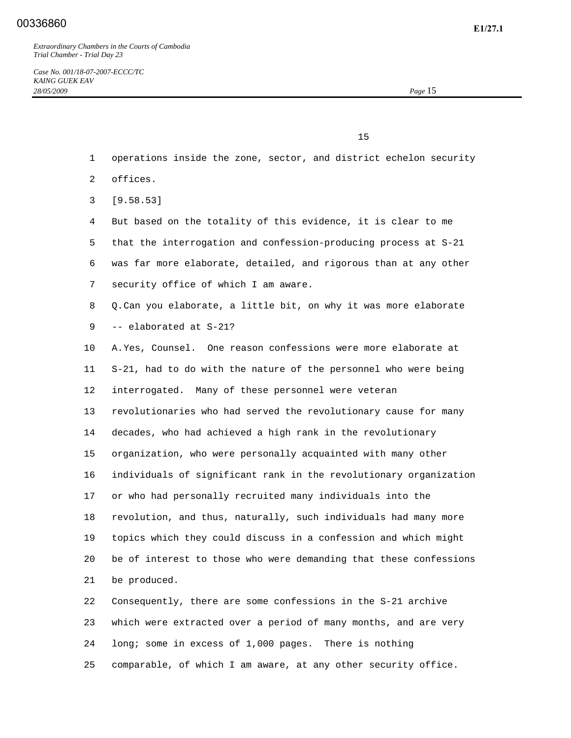$15$ 

- 1 operations inside the zone, sector, and district echelon security
- 2 offices.
- 3 [9.58.53]
- 4 But based on the totality of this evidence, it is clear to me 5 that the interrogation and confession-producing process at S-21
- 6 was far more elaborate, detailed, and rigorous than at any other 7 security office of which I am aware.
- 
- 8 Q. Can you elaborate, a little bit, on why it was more elaborate 9 -- elaborated at S-21?
- 10 A. Yes, Counsel. One reason confessions were more elaborate at 11 S-21, had to do with the nature of the personnel who were being 12 interrogated. Many of these personnel were veteran 13 revolutionaries who had served the revolutionary cause for many 14 decades, who had achieved a high rank in the revolutionary 15 organization, who were personally acquainted with many other 16 individuals of significant rank in the revolutionary organization 17 or who had personally recruited many individuals into the 18 revolution, and thus, naturally, such individuals had many more 19 topics which they could discuss in a confession and which might 20 be of interest to those who were demanding that these confessions 21 be produced.
- 22 Consequently, there are some confessions in the S-21 archive 23 which were extracted over a period of many months, and are very 24 long; some in excess of 1,000 pages. There is nothing 25 comparable, of which I am aware, at any other security office.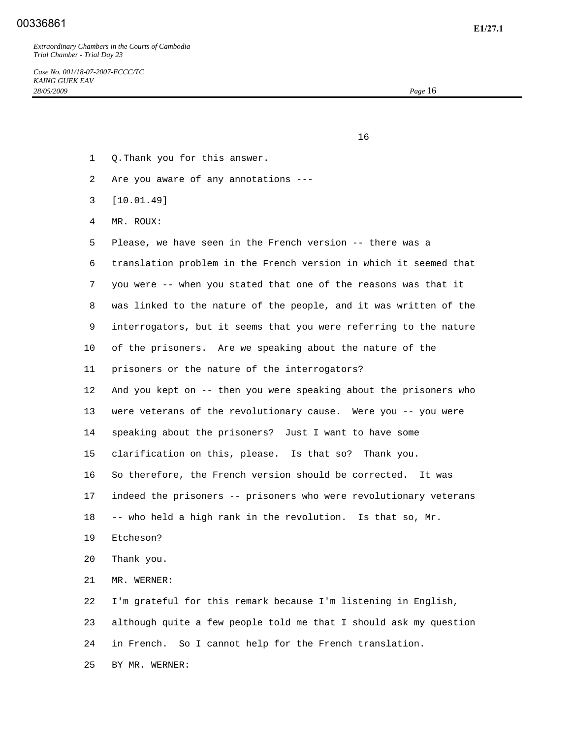## **E1/27.1** 00336861

*Extraordinary Chambers in the Courts of Cambodia Trial Chamber - Trial Day 23* 

*Case No. 001/18-07-2007-ECCC/TC KAING GUEK EAV 28/05/2009 Page* 16

 $16$ 

- 1 Q. Thank you for this answer.
- 2 Are you aware of any annotations ---
- 3 [10.01.49]
- 4 MR. ROUX:
- 5 Please, we have seen in the French version -- there was a
- 6 translation problem in the French version in which it seemed that
- 7 you were -- when you stated that one of the reasons was that it
- 8 was linked to the nature of the people, and it was written of the
- 9 interrogators, but it seems that you were referring to the nature
- 10 of the prisoners. Are we speaking about the nature of the
- 11 prisoners or the nature of the interrogators?
- 12 And you kept on -- then you were speaking about the prisoners who 13 were veterans of the revolutionary cause. Were you -- you were 14 speaking about the prisoners? Just I want to have some 15 clarification on this, please. Is that so? Thank you. 16 So therefore, the French version should be corrected. It was 17 indeed the prisoners -- prisoners who were revolutionary veterans
- 18 -- who held a high rank in the revolution. Is that so, Mr.
- 19 Etcheson?
- 20 Thank you.
- 21 MR. WERNER:

 22 I'm grateful for this remark because I'm listening in English, 23 although quite a few people told me that I should ask my question 24 in French. So I cannot help for the French translation.

25 BY MR. WERNER: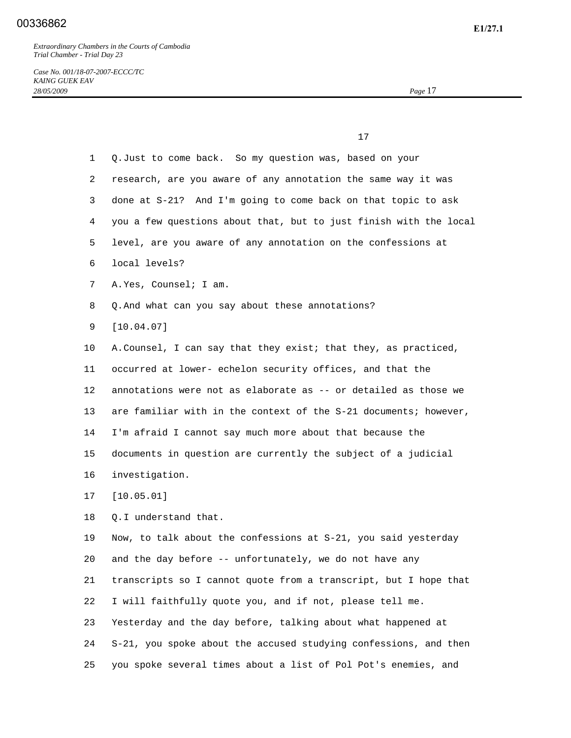| 17                                                                |
|-------------------------------------------------------------------|
| Q. Just to come back. So my question was, based on your           |
| research, are you aware of any annotation the same way it was     |
| done at S-21? And I'm going to come back on that topic to ask     |
| you a few questions about that, but to just finish with the local |
| level, are you aware of any annotation on the confessions at      |
| local levels?                                                     |
| A. Yes, Counsel; I am.                                            |
| Q. And what can you say about these annotations?                  |
| [10.04.07]                                                        |
| A. Counsel, I can say that they exist; that they, as practiced,   |
| occurred at lower- echelon security offices, and that the         |
| annotations were not as elaborate as -- or detailed as those we   |
| are familiar with in the context of the S-21 documents; however,  |
| I'm afraid I cannot say much more about that because the          |
| documents in question are currently the subject of a judicial     |
| investigation.                                                    |
| [10.05.01]                                                        |
| Q.I understand that.                                              |
| Now, to talk about the confessions at S-21, you said yesterday    |
| and the day before -- unfortunately, we do not have any           |
| transcripts so I cannot quote from a transcript, but I hope that  |
| I will faithfully quote you, and if not, please tell me.          |
| Yesterday and the day before, talking about what happened at      |
|                                                                   |

24 S-21, you spoke about the accused studying confessions, and then

25 you spoke several times about a list of Pol Pot's enemies, and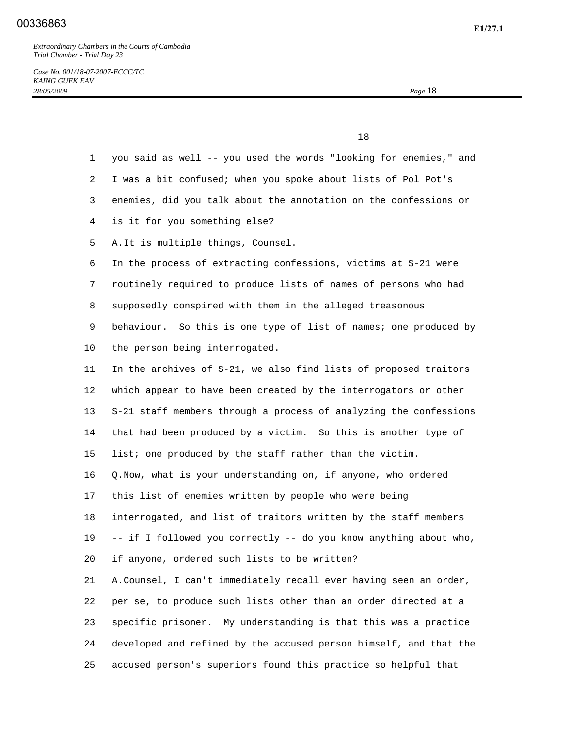## **E1/27.1** 00336863

*Extraordinary Chambers in the Courts of Cambodia Trial Chamber - Trial Day 23* 

 $\sim$  18

 1 you said as well -- you used the words "looking for enemies," and 2 I was a bit confused; when you spoke about lists of Pol Pot's 3 enemies, did you talk about the annotation on the confessions or 4 is it for you something else? 5 A. It is multiple things, Counsel. 6 In the process of extracting confessions, victims at S-21 were 7 routinely required to produce lists of names of persons who had 8 supposedly conspired with them in the alleged treasonous 9 behaviour. So this is one type of list of names; one produced by 10 the person being interrogated. 11 In the archives of S-21, we also find lists of proposed traitors 12 which appear to have been created by the interrogators or other 13 S-21 staff members through a process of analyzing the confessions 14 that had been produced by a victim. So this is another type of 15 list; one produced by the staff rather than the victim. 16 Q. Now, what is your understanding on, if anyone, who ordered 17 this list of enemies written by people who were being 18 interrogated, and list of traitors written by the staff members 19 -- if I followed you correctly -- do you know anything about who, 20 if anyone, ordered such lists to be written? 21 A. Counsel, I can't immediately recall ever having seen an order, 22 per se, to produce such lists other than an order directed at a 23 specific prisoner. My understanding is that this was a practice 24 developed and refined by the accused person himself, and that the

25 accused person's superiors found this practice so helpful that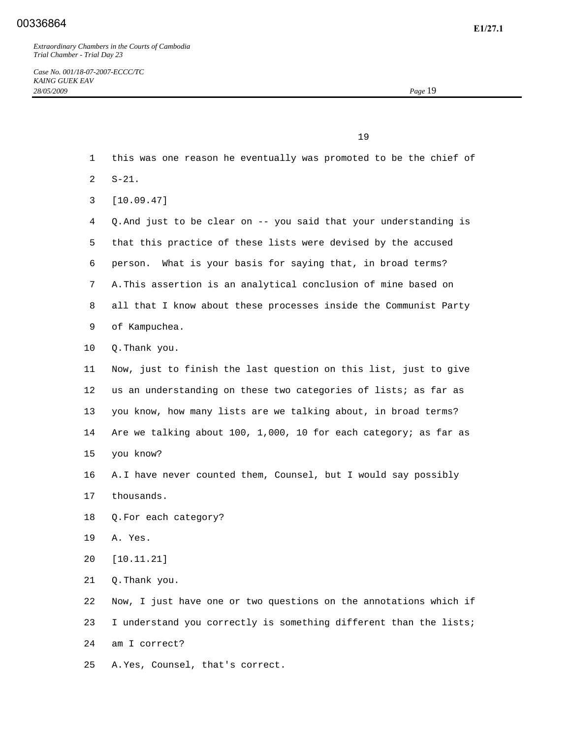| 19<br>-- |
|----------|
|----------|

- 1 this was one reason he eventually was promoted to be the chief of
- 2 S-21.
- 3 [10.09.47]
- 4 Q. And just to be clear on -- you said that your understanding is 5 that this practice of these lists were devised by the accused 6 person. What is your basis for saying that, in broad terms? 7 A. This assertion is an analytical conclusion of mine based on 8 all that I know about these processes inside the Communist Party 9 of Kampuchea.
- 10 Q. Thank you.
- 11 Now, just to finish the last question on this list, just to give 12 us an understanding on these two categories of lists; as far as 13 you know, how many lists are we talking about, in broad terms? 14 Are we talking about 100, 1,000, 10 for each category; as far as 15 you know?
- 16 A. I have never counted them, Counsel, but I would say possibly 17 thousands.
- 18 Q. For each category?
- 19 A. Yes.
- 20 [10.11.21]
- 21 Q. Thank you.

 22 Now, I just have one or two questions on the annotations which if 23 I understand you correctly is something different than the lists; 24 am I correct?

25 A. Yes, Counsel, that's correct.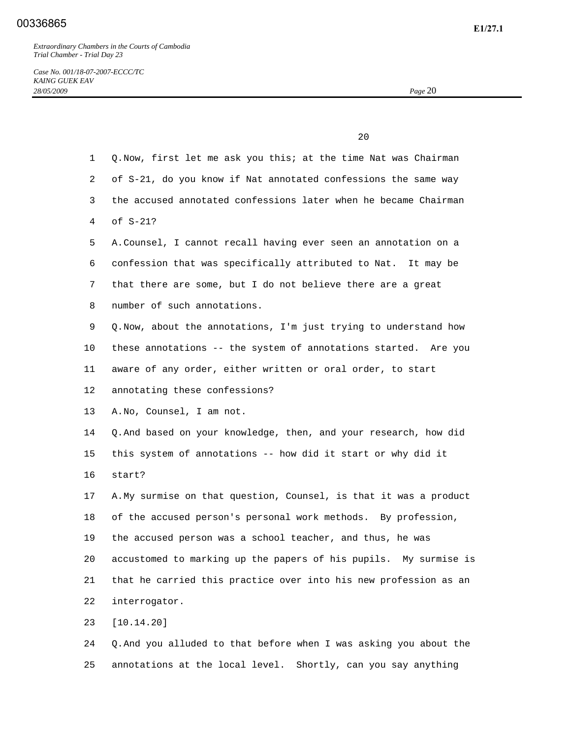#### **E1/27.1** 00336865

*Extraordinary Chambers in the Courts of Cambodia Trial Chamber - Trial Day 23* 

|                | 20                                                                |
|----------------|-------------------------------------------------------------------|
| $\mathbf{1}$   | Q. Now, first let me ask you this; at the time Nat was Chairman   |
| $\overline{2}$ | of S-21, do you know if Nat annotated confessions the same way    |
| 3              | the accused annotated confessions later when he became Chairman   |
| 4              | of S-21?                                                          |
| 5              | A. Counsel, I cannot recall having ever seen an annotation on a   |
| 6              | confession that was specifically attributed to Nat. It may be     |
| 7              | that there are some, but I do not believe there are a great       |
| 8              | number of such annotations.                                       |
| 9              | Q. Now, about the annotations, I'm just trying to understand how  |
| 10             | these annotations -- the system of annotations started. Are you   |
| 11             | aware of any order, either written or oral order, to start        |
| $12 \,$        | annotating these confessions?                                     |
| 13             | A.No, Counsel, I am not.                                          |
| 14             | Q. And based on your knowledge, then, and your research, how did  |
| 15             | this system of annotations -- how did it start or why did it      |
| 16             | start?                                                            |
| 17             | A. My surmise on that question, Counsel, is that it was a product |
| 18             | of the accused person's personal work methods. By profession,     |
| 19             | the accused person was a school teacher, and thus, he was         |
| 20             | accustomed to marking up the papers of his pupils. My surmise is  |
| 21             | that he carried this practice over into his new profession as an  |
| 22             | interrogator.                                                     |
| 23             | [10.14.20]                                                        |
|                |                                                                   |

 24 Q. And you alluded to that before when I was asking you about the 25 annotations at the local level. Shortly, can you say anything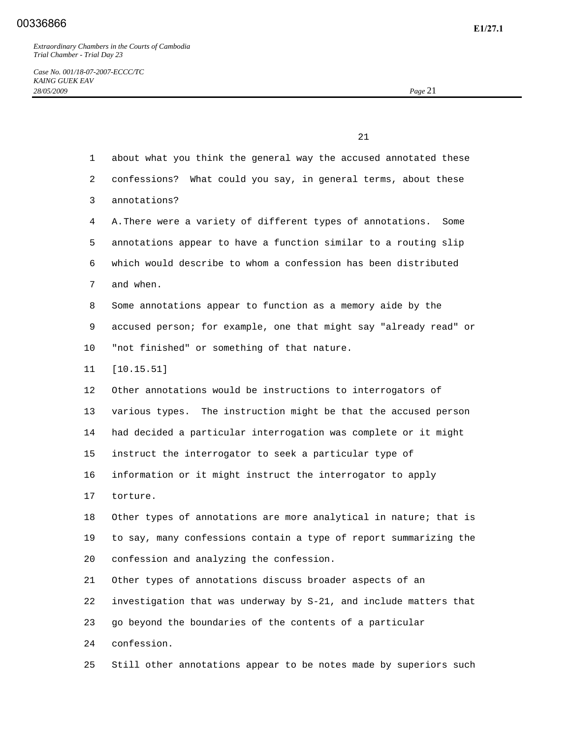21 1 about what you think the general way the accused annotated these 2 confessions? What could you say, in general terms, about these 3 annotations? 4 A. There were a variety of different types of annotations. Some 5 annotations appear to have a function similar to a routing slip 6 which would describe to whom a confession has been distributed 7 and when. 8 Some annotations appear to function as a memory aide by the 9 accused person; for example, one that might say "already read" or 10 "not finished" or something of that nature. 11 [10.15.51] 12 Other annotations would be instructions to interrogators of 13 various types. The instruction might be that the accused person 14 had decided a particular interrogation was complete or it might 15 instruct the interrogator to seek a particular type of 16 information or it might instruct the interrogator to apply 17 torture. 18 Other types of annotations are more analytical in nature; that is 19 to say, many confessions contain a type of report summarizing the 20 confession and analyzing the confession. 21 Other types of annotations discuss broader aspects of an 22 investigation that was underway by S-21, and include matters that 23 go beyond the boundaries of the contents of a particular 24 confession. 25 Still other annotations appear to be notes made by superiors such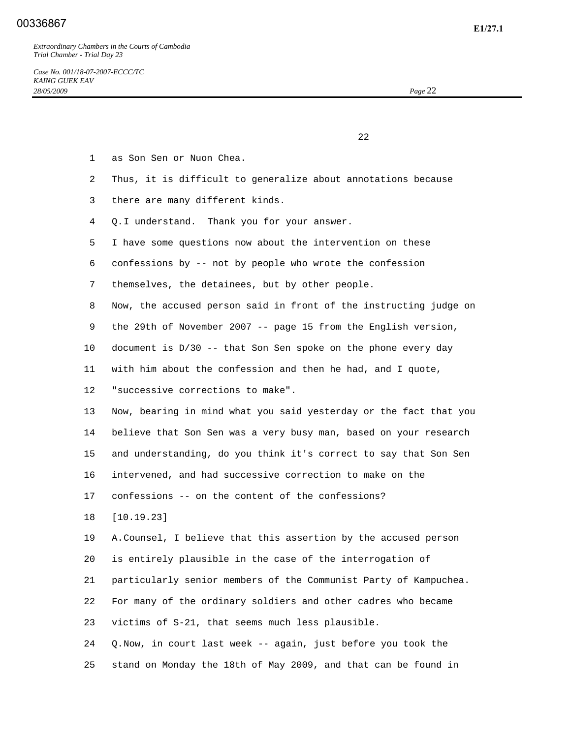22 and 23 and 23 and 23 and 23 and 23 and 23 and 23 and 23 and 23 and 23 and 23 and 23 and 23 and 23 and 23 and 24 and 25 and 26 and 26 and 26 and 26 and 26 and 26 and 26 and 26 and 26 and 26 and 26 and 26 and 26 and 26 an

- 1 as Son Sen or Nuon Chea.
- 2 Thus, it is difficult to generalize about annotations because
- 3 there are many different kinds.
- 4 Q. I understand. Thank you for your answer.
- 5 I have some questions now about the intervention on these
- 6 confessions by -- not by people who wrote the confession
- 7 themselves, the detainees, but by other people.
- 8 Now, the accused person said in front of the instructing judge on
- 9 the 29th of November 2007 -- page 15 from the English version,
- 10 document is D/30 -- that Son Sen spoke on the phone every day
- 11 with him about the confession and then he had, and I quote,
- 12 "successive corrections to make".

 13 Now, bearing in mind what you said yesterday or the fact that you 14 believe that Son Sen was a very busy man, based on your research 15 and understanding, do you think it's correct to say that Son Sen 16 intervened, and had successive correction to make on the

17 confessions -- on the content of the confessions?

18 [10.19.23]

 19 A. Counsel, I believe that this assertion by the accused person 20 is entirely plausible in the case of the interrogation of

21 particularly senior members of the Communist Party of Kampuchea.

 22 For many of the ordinary soldiers and other cadres who became 23 victims of S-21, that seems much less plausible.

 24 Q. Now, in court last week -- again, just before you took the 25 stand on Monday the 18th of May 2009, and that can be found in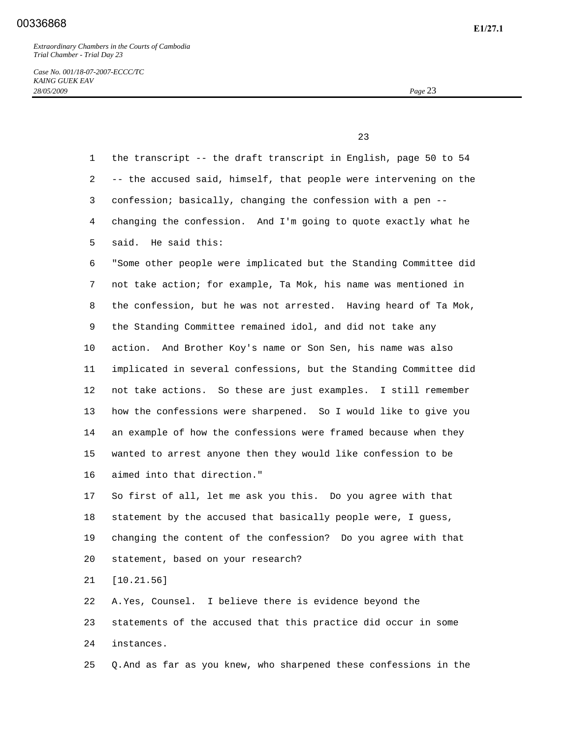*Case No. 001/18-07-2007-ECCC/TC KAING GUEK EAV 28/05/2009 Page* 23

23 and 23 and 23 and 23 and 23 and 23 and 23 and 23 and 23 and 23 and 23 and 23 and 23 and 23 and 23 and 23 and 23 and 24 and 25 and 25 and 25 and 26 and 26 and 26 and 26 and 26 and 26 and 26 and 26 and 26 and 26 and 26 an

 1 the transcript -- the draft transcript in English, page 50 to 54 2 -- the accused said, himself, that people were intervening on the 3 confession; basically, changing the confession with a pen -- 4 changing the confession. And I'm going to quote exactly what he 5 said. He said this: 6 "Some other people were implicated but the Standing Committee did 7 not take action; for example, Ta Mok, his name was mentioned in 8 the confession, but he was not arrested. Having heard of Ta Mok, 9 the Standing Committee remained idol, and did not take any 10 action. And Brother Koy's name or Son Sen, his name was also 11 implicated in several confessions, but the Standing Committee did 12 not take actions. So these are just examples. I still remember 13 how the confessions were sharpened. So I would like to give you 14 an example of how the confessions were framed because when they 15 wanted to arrest anyone then they would like confession to be 16 aimed into that direction." 17 So first of all, let me ask you this. Do you agree with that 18 statement by the accused that basically people were, I guess, 19 changing the content of the confession? Do you agree with that 20 statement, based on your research? 21 [10.21.56] 22 A. Yes, Counsel. I believe there is evidence beyond the 23 statements of the accused that this practice did occur in some 24 instances.

25 Q. And as far as you knew, who sharpened these confessions in the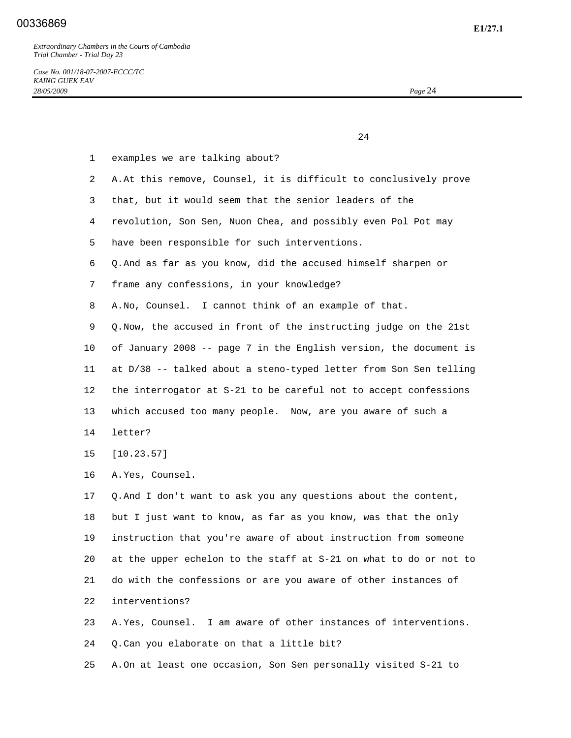### **E1/27.1** 00336869

*Extraordinary Chambers in the Courts of Cambodia Trial Chamber - Trial Day 23* 

24 and 24

*Case No. 001/18-07-2007-ECCC/TC KAING GUEK EAV 28/05/2009 Page* 24

 1 examples we are talking about? 2 A. At this remove, Counsel, it is difficult to conclusively prove 3 that, but it would seem that the senior leaders of the 4 revolution, Son Sen, Nuon Chea, and possibly even Pol Pot may 5 have been responsible for such interventions. 6 Q. And as far as you know, did the accused himself sharpen or 7 frame any confessions, in your knowledge? 8 A. No, Counsel. I cannot think of an example of that. 9 Q. Now, the accused in front of the instructing judge on the 21st 10 of January 2008 -- page 7 in the English version, the document is 11 at D/38 -- talked about a steno-typed letter from Son Sen telling 12 the interrogator at S-21 to be careful not to accept confessions 13 which accused too many people. Now, are you aware of such a 14 letter? 15 [10.23.57] 16 A. Yes, Counsel. 17 Q. And I don't want to ask you any questions about the content, 18 but I just want to know, as far as you know, was that the only 19 instruction that you're aware of about instruction from someone 20 at the upper echelon to the staff at S-21 on what to do or not to 21 do with the confessions or are you aware of other instances of 22 interventions? 23 A. Yes, Counsel. I am aware of other instances of interventions. 24 Q. Can you elaborate on that a little bit?

25 A. On at least one occasion, Son Sen personally visited S-21 to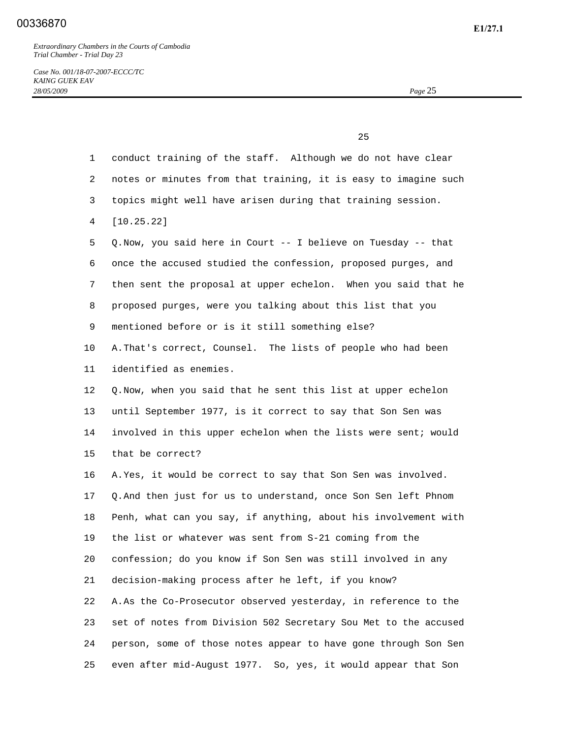|              | 25                                                              |
|--------------|-----------------------------------------------------------------|
| $\mathbf{1}$ | conduct training of the staff. Although we do not have clear    |
| 2            | notes or minutes from that training, it is easy to imagine such |
| 3            | topics might well have arisen during that training session.     |
| 4            | [10.25.22]                                                      |
| 5            | Q. Now, you said here in Court -- I believe on Tuesday -- that  |
| 6            | once the accused studied the confession, proposed purges, and   |
| 7            | then sent the proposal at upper echelon. When you said that he  |
| 8            | proposed purges, were you talking about this list that you      |
| 9            | mentioned before or is it still something else?                 |
| 10           | A. That's correct, Counsel. The lists of people who had been    |
| 11           | identified as enemies.                                          |
| 12           | Q. Now, when you said that he sent this list at upper echelon   |
| 13           | until September 1977, is it correct to say that Son Sen was     |
| 14           | involved in this upper echelon when the lists were sent; would  |
| 15           | that be correct?                                                |
| 16           | A. Yes, it would be correct to say that Son Sen was involved.   |
| 17           | Q. And then just for us to understand, once Son Sen left Phnom  |
| 18           | Penh, what can you say, if anything, about his involvement with |
| 19           | the list or whatever was sent from S-21 coming from the         |
| 20           | confession; do you know if Son Sen was still involved in any    |
| 21           | decision-making process after he left, if you know?             |
| 22           | A. As the Co-Prosecutor observed yesterday, in reference to the |
| 23           | set of notes from Division 502 Secretary Sou Met to the accused |
| 24           | person, some of those notes appear to have gone through Son Sen |
| 25           | even after mid-August 1977. So, yes, it would appear that Son   |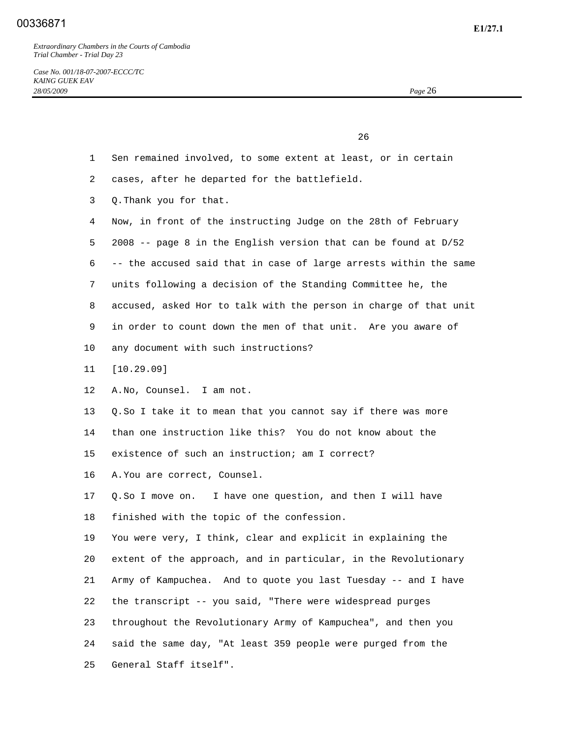*Case No. 001/18-07-2007-ECCC/TC KAING GUEK EAV 28/05/2009 Page* 26

<u>26</u>

- 1 Sen remained involved, to some extent at least, or in certain
- 2 cases, after he departed for the battlefield.
- 3 Q. Thank you for that.
- 4 Now, in front of the instructing Judge on the 28th of February
- 5 2008 -- page 8 in the English version that can be found at D/52
- 6 -- the accused said that in case of large arrests within the same
- 7 units following a decision of the Standing Committee he, the
- 8 accused, asked Hor to talk with the person in charge of that unit
- 9 in order to count down the men of that unit. Are you aware of
- 10 any document with such instructions?
- 11 [10.29.09]
- 12 A. No, Counsel. I am not.
- 13 Q. So I take it to mean that you cannot say if there was more
- 14 than one instruction like this? You do not know about the
- 15 existence of such an instruction; am I correct?
- 16 A. You are correct, Counsel.
- 17 Q. So I move on. I have one question, and then I will have 18 finished with the topic of the confession.
- 19 You were very, I think, clear and explicit in explaining the 20 extent of the approach, and in particular, in the Revolutionary 21 Army of Kampuchea. And to quote you last Tuesday -- and I have 22 the transcript -- you said, "There were widespread purges 23 throughout the Revolutionary Army of Kampuchea", and then you 24 said the same day, "At least 359 people were purged from the 25 General Staff itself".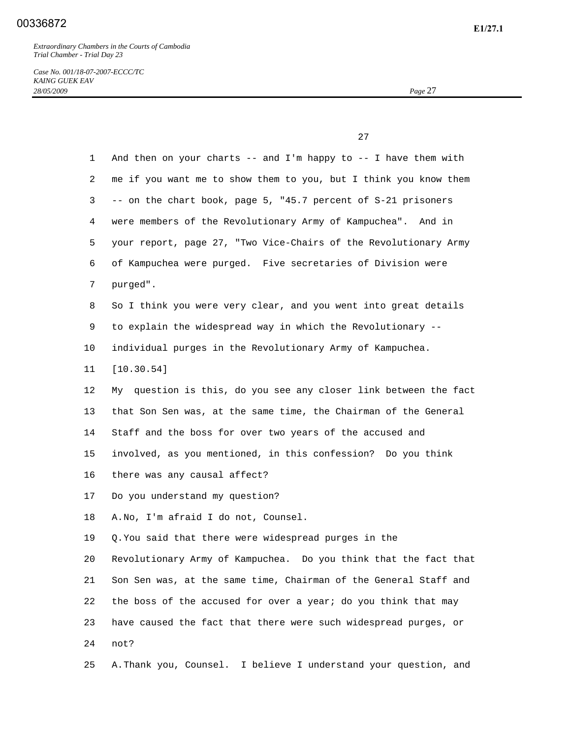*Case No. 001/18-07-2007-ECCC/TC KAING GUEK EAV 28/05/2009 Page* 27

 $27$ 

| $\mathbf{1}$    | And then on your charts -- and I'm happy to -- I have them with  |
|-----------------|------------------------------------------------------------------|
| $\overline{a}$  | me if you want me to show them to you, but I think you know them |
| 3               | -- on the chart book, page 5, "45.7 percent of S-21 prisoners    |
| 4               | were members of the Revolutionary Army of Kampuchea". And in     |
| 5               | your report, page 27, "Two Vice-Chairs of the Revolutionary Army |
| 6               | of Kampuchea were purged. Five secretaries of Division were      |
| 7               | purged".                                                         |
| 8               | So I think you were very clear, and you went into great details  |
| 9               | to explain the widespread way in which the Revolutionary --      |
| $10 \,$         | individual purges in the Revolutionary Army of Kampuchea.        |
| 11              | [10.30.54]                                                       |
| 12 <sup>°</sup> | My question is this, do you see any closer link between the fact |
| 13              | that Son Sen was, at the same time, the Chairman of the General  |
| 14              | Staff and the boss for over two years of the accused and         |
| 15              | involved, as you mentioned, in this confession? Do you think     |
| 16              | there was any causal affect?                                     |
| 17              | Do you understand my question?                                   |
| 18              | A. No, I'm afraid I do not, Counsel.                             |
| 19              | Q. You said that there were widespread purges in the             |
| 20              | Revolutionary Army of Kampuchea. Do you think that the fact that |
| 21              | Son Sen was, at the same time, Chairman of the General Staff and |
| 22              | the boss of the accused for over a year; do you think that may   |
| 23              | have caused the fact that there were such widespread purges, or  |
| 24              | not?                                                             |
| 25              | A. Thank you, Counsel. I believe I understand your question, and |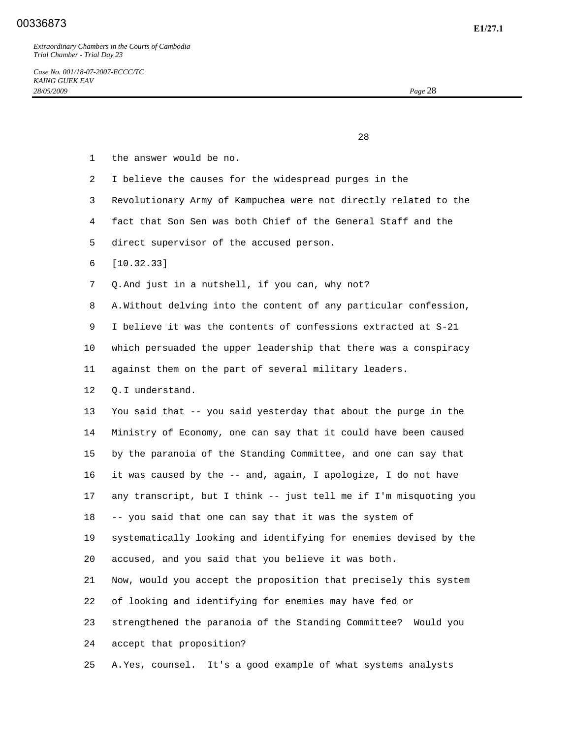28 and 28 and 28 and 28 and 28 and 28 and 28 and 28 and 28 and 28 and 28 and 28 and 28 and 28 and 28 and 28 an

- 1 the answer would be no.
- 2 I believe the causes for the widespread purges in the
- 3 Revolutionary Army of Kampuchea were not directly related to the
- 4 fact that Son Sen was both Chief of the General Staff and the
- 5 direct supervisor of the accused person.
- 6 [10.32.33]
- 7 Q. And just in a nutshell, if you can, why not?

8 A. Without delving into the content of any particular confession,

9 I believe it was the contents of confessions extracted at S-21

10 which persuaded the upper leadership that there was a conspiracy

11 against them on the part of several military leaders.

12 Q. I understand.

 13 You said that -- you said yesterday that about the purge in the 14 Ministry of Economy, one can say that it could have been caused 15 by the paranoia of the Standing Committee, and one can say that 16 it was caused by the -- and, again, I apologize, I do not have 17 any transcript, but I think -- just tell me if I'm misquoting you 18 -- you said that one can say that it was the system of 19 systematically looking and identifying for enemies devised by the 20 accused, and you said that you believe it was both. 21 Now, would you accept the proposition that precisely this system 22 of looking and identifying for enemies may have fed or

23 strengthened the paranoia of the Standing Committee? Would you

24 accept that proposition?

25 A. Yes, counsel. It's a good example of what systems analysts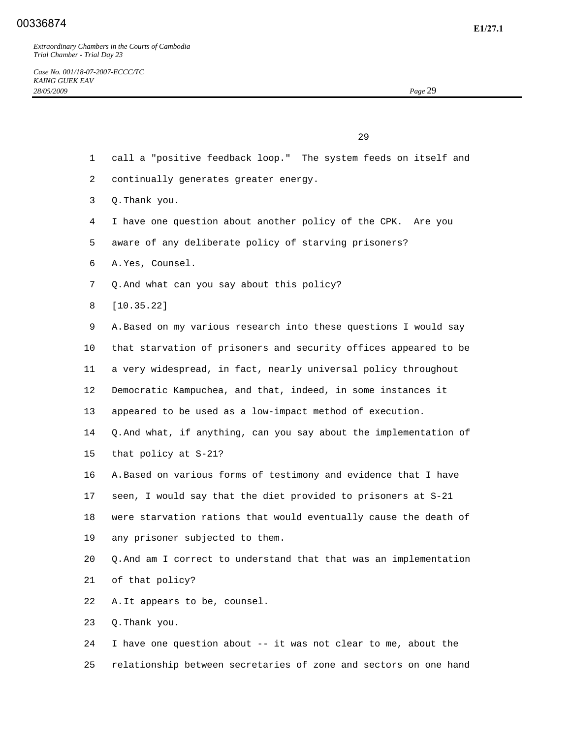$29$ 

- 1 call a "positive feedback loop." The system feeds on itself and
- 2 continually generates greater energy.
- 3 Q. Thank you.
- 4 I have one question about another policy of the CPK. Are you
- 5 aware of any deliberate policy of starving prisoners?
- 6 A. Yes, Counsel.
- 7 Q. And what can you say about this policy?
- 8 [10.35.22]

 9 A. Based on my various research into these questions I would say 10 that starvation of prisoners and security offices appeared to be 11 a very widespread, in fact, nearly universal policy throughout 12 Democratic Kampuchea, and that, indeed, in some instances it 13 appeared to be used as a low-impact method of execution. 14 Q. And what, if anything, can you say about the implementation of 15 that policy at S-21? 16 A. Based on various forms of testimony and evidence that I have 17 seen, I would say that the diet provided to prisoners at S-21 18 were starvation rations that would eventually cause the death of 19 any prisoner subjected to them. 20 Q. And am I correct to understand that that was an implementation 21 of that policy? 22 A. It appears to be, counsel. 23 Q. Thank you.

 24 I have one question about -- it was not clear to me, about the 25 relationship between secretaries of zone and sectors on one hand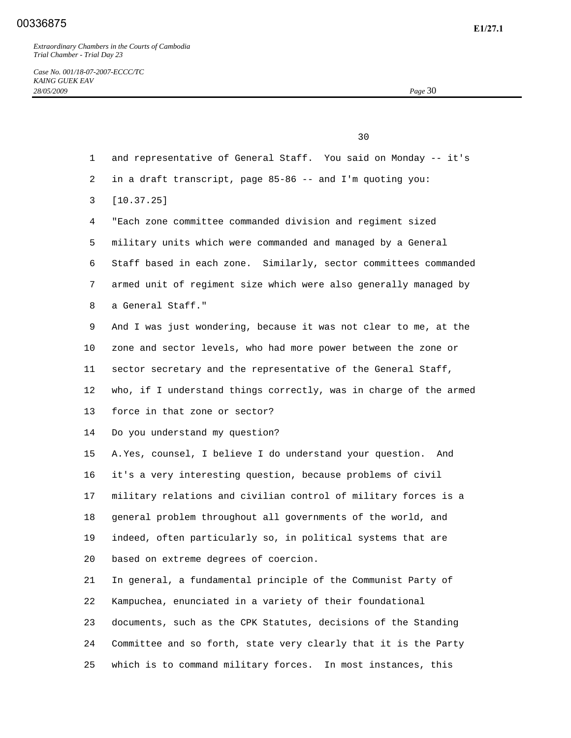*Case No. 001/18-07-2007-ECCC/TC KAING GUEK EAV 28/05/2009 Page* 30

<u>30</u> 1 and representative of General Staff. You said on Monday -- it's 2 in a draft transcript, page 85-86 -- and I'm quoting you: 3 [10.37.25] 4 "Each zone committee commanded division and regiment sized 5 military units which were commanded and managed by a General 6 Staff based in each zone. Similarly, sector committees commanded 7 armed unit of regiment size which were also generally managed by 8 a General Staff." 9 And I was just wondering, because it was not clear to me, at the 10 zone and sector levels, who had more power between the zone or 11 sector secretary and the representative of the General Staff, 12 who, if I understand things correctly, was in charge of the armed 13 force in that zone or sector? 14 Do you understand my question? 15 A. Yes, counsel, I believe I do understand your question. And 16 it's a very interesting question, because problems of civil 17 military relations and civilian control of military forces is a 18 general problem throughout all governments of the world, and 19 indeed, often particularly so, in political systems that are 20 based on extreme degrees of coercion. 21 In general, a fundamental principle of the Communist Party of 22 Kampuchea, enunciated in a variety of their foundational 23 documents, such as the CPK Statutes, decisions of the Standing 24 Committee and so forth, state very clearly that it is the Party 25 which is to command military forces. In most instances, this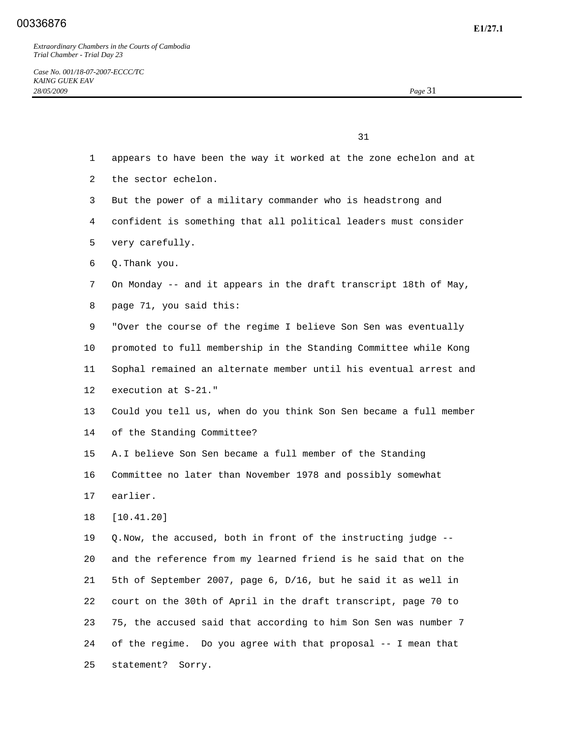31

- 1 appears to have been the way it worked at the zone echelon and at
- 2 the sector echelon.
- 3 But the power of a military commander who is headstrong and
- 4 confident is something that all political leaders must consider
- 5 very carefully.
- 6 Q. Thank you.
- 7 On Monday -- and it appears in the draft transcript 18th of May,
- 8 page 71, you said this:
- 9 "Over the course of the regime I believe Son Sen was eventually
- 10 promoted to full membership in the Standing Committee while Kong
- 11 Sophal remained an alternate member until his eventual arrest and
- 12 execution at S-21."
- 13 Could you tell us, when do you think Son Sen became a full member 14 of the Standing Committee?
- 15 A. I believe Son Sen became a full member of the Standing
- 16 Committee no later than November 1978 and possibly somewhat
- 17 earlier.
- 18 [10.41.20]

 19 Q. Now, the accused, both in front of the instructing judge -- 20 and the reference from my learned friend is he said that on the 21 5th of September 2007, page 6, D/16, but he said it as well in 22 court on the 30th of April in the draft transcript, page 70 to 23 75, the accused said that according to him Son Sen was number 7 24 of the regime. Do you agree with that proposal -- I mean that 25 statement? Sorry.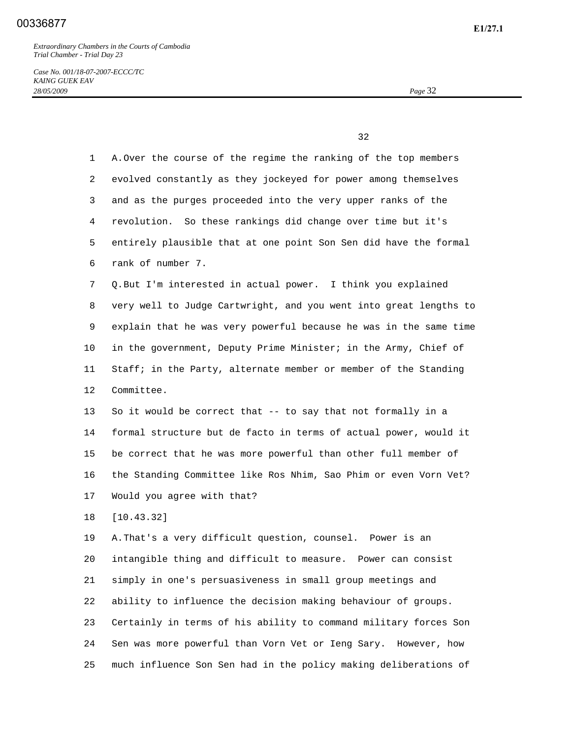*Case No. 001/18-07-2007-ECCC/TC KAING GUEK EAV 28/05/2009 Page* 32

 $32$ 

| $\mathbf{1}$   | A. Over the course of the regime the ranking of the top members   |
|----------------|-------------------------------------------------------------------|
| $\overline{2}$ | evolved constantly as they jockeyed for power among themselves    |
| 3              | and as the purges proceeded into the very upper ranks of the      |
| 4              | revolution. So these rankings did change over time but it's       |
| 5              | entirely plausible that at one point Son Sen did have the formal  |
| 6              | rank of number 7.                                                 |
| 7              | Q. But I'm interested in actual power. I think you explained      |
| 8              | very well to Judge Cartwright, and you went into great lengths to |
| 9              | explain that he was very powerful because he was in the same time |
| $10 \,$        | in the government, Deputy Prime Minister; in the Army, Chief of   |
| 11             | Staff; in the Party, alternate member or member of the Standing   |
| 12             | Committee.                                                        |
| 13             | So it would be correct that -- to say that not formally in a      |
| 14             | formal structure but de facto in terms of actual power, would it  |
| 15             | be correct that he was more powerful than other full member of    |
| 16             | the Standing Committee like Ros Nhim, Sao Phim or even Vorn Vet?  |
| 17             | Would you agree with that?                                        |
| 18             | [10.43.32]                                                        |
| 19             | A. That's a very difficult question, counsel. Power is an         |
| 20             | intangible thing and difficult to measure. Power can consist      |
| 21             | simply in one's persuasiveness in small group meetings and        |
| 22             | ability to influence the decision making behaviour of groups.     |
| 23             | Certainly in terms of his ability to command military forces Son  |
| 24             | Sen was more powerful than Vorn Vet or Ieng Sary. However, how    |
| 25             | much influence Son Sen had in the policy making deliberations of  |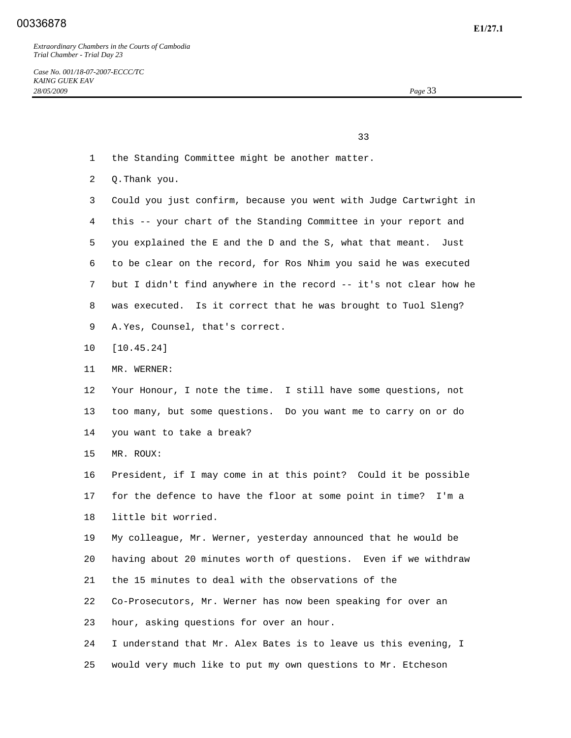*Case No. 001/18-07-2007-ECCC/TC KAING GUEK EAV 28/05/2009 Page* 33

33

- 1 the Standing Committee might be another matter.
- 2 Q. Thank you.
- 3 Could you just confirm, because you went with Judge Cartwright in 4 this -- your chart of the Standing Committee in your report and 5 you explained the E and the D and the S, what that meant. Just 6 to be clear on the record, for Ros Nhim you said he was executed 7 but I didn't find anywhere in the record -- it's not clear how he 8 was executed. Is it correct that he was brought to Tuol Sleng? 9 A. Yes, Counsel, that's correct.
- 10 [10.45.24]
- 11 MR. WERNER:
- 12 Your Honour, I note the time. I still have some questions, not 13 too many, but some questions. Do you want me to carry on or do 14 you want to take a break?
- 15 MR. ROUX:

 16 President, if I may come in at this point? Could it be possible 17 for the defence to have the floor at some point in time? I'm a 18 little bit worried.

 19 My colleague, Mr. Werner, yesterday announced that he would be 20 having about 20 minutes worth of questions. Even if we withdraw 21 the 15 minutes to deal with the observations of the 22 Co-Prosecutors, Mr. Werner has now been speaking for over an

23 hour, asking questions for over an hour.

 24 I understand that Mr. Alex Bates is to leave us this evening, I 25 would very much like to put my own questions to Mr. Etcheson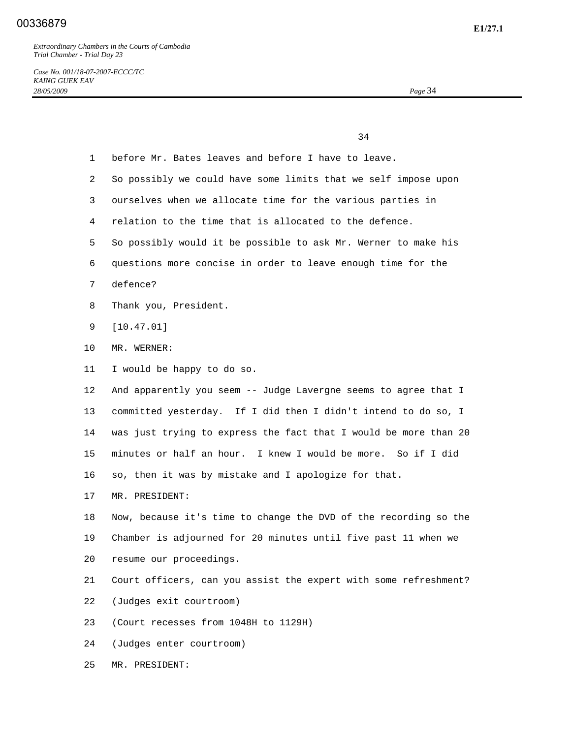34

*Case No. 001/18-07-2007-ECCC/TC KAING GUEK EAV 28/05/2009 Page* 34

| 1               | before Mr. Bates leaves and before I have to leave.              |
|-----------------|------------------------------------------------------------------|
| 2               | So possibly we could have some limits that we self impose upon   |
| 3               | ourselves when we allocate time for the various parties in       |
| 4               | relation to the time that is allocated to the defence.           |
| 5               | So possibly would it be possible to ask Mr. Werner to make his   |
| 6               | questions more concise in order to leave enough time for the     |
| 7               | defence?                                                         |
| 8               | Thank you, President.                                            |
| 9               | [10.47.01]                                                       |
| 10              | MR. WERNER:                                                      |
| 11              | I would be happy to do so.                                       |
| 12 <sup>°</sup> | And apparently you seem -- Judge Lavergne seems to agree that I  |
| 13              | committed yesterday. If I did then I didn't intend to do so, I   |
| 14              | was just trying to express the fact that I would be more than 20 |
| 15              | minutes or half an hour. I knew I would be more. So if I did     |
| 16              | so, then it was by mistake and I apologize for that.             |
| 17              | MR. PRESIDENT:                                                   |
| 18              | Now, because it's time to change the DVD of the recording so the |
| 19              | Chamber is adjourned for 20 minutes until five past 11 when we   |
| 20              | resume our proceedings                                           |
| 21              | Court officers, can you assist the expert with some refreshment? |
| 22              | (Judges exit courtroom)                                          |
| 23              | (Court recesses from 1048H to 1129H)                             |
| 24              | (Judges enter courtroom)                                         |
| 25              | MR. PRESIDENT:                                                   |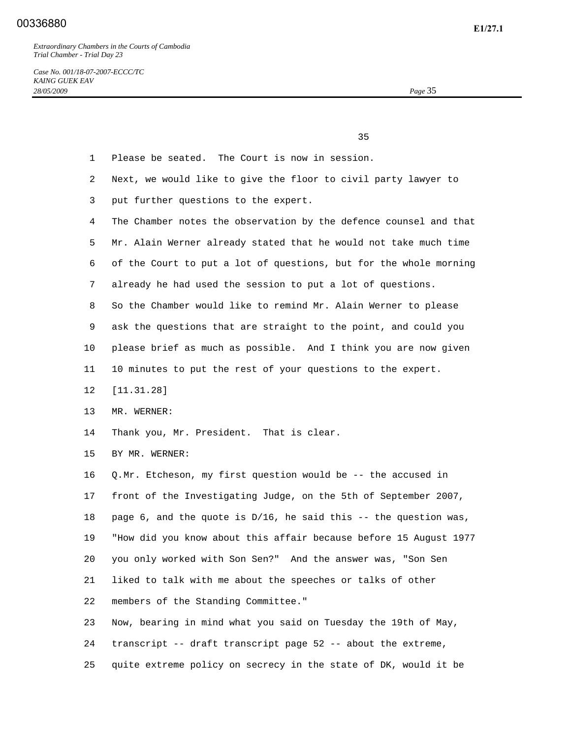*Case No. 001/18-07-2007-ECCC/TC KAING GUEK EAV 28/05/2009 Page* 35

35

- 1 Please be seated. The Court is now in session.
- 2 Next, we would like to give the floor to civil party lawyer to
- 3 put further questions to the expert.
- 4 The Chamber notes the observation by the defence counsel and that 5 Mr. Alain Werner already stated that he would not take much time 6 of the Court to put a lot of questions, but for the whole morning
- 7 already he had used the session to put a lot of questions.
- 8 So the Chamber would like to remind Mr. Alain Werner to please

9 ask the questions that are straight to the point, and could you

- 10 please brief as much as possible. And I think you are now given
- 11 10 minutes to put the rest of your questions to the expert.
- 12 [11.31.28]
- 13 MR. WERNER:
- 14 Thank you, Mr. President. That is clear.
- 15 BY MR. WERNER:

 16 Q. Mr. Etcheson, my first question would be -- the accused in 17 front of the Investigating Judge, on the 5th of September 2007, 18 page 6, and the quote is D/16, he said this -- the question was, 19 "How did you know about this affair because before 15 August 1977 20 you only worked with Son Sen?" And the answer was, "Son Sen 21 liked to talk with me about the speeches or talks of other 22 members of the Standing Committee." 23 Now, bearing in mind what you said on Tuesday the 19th of May,

- 24 transcript -- draft transcript page 52 -- about the extreme,
- 25 quite extreme policy on secrecy in the state of DK, would it be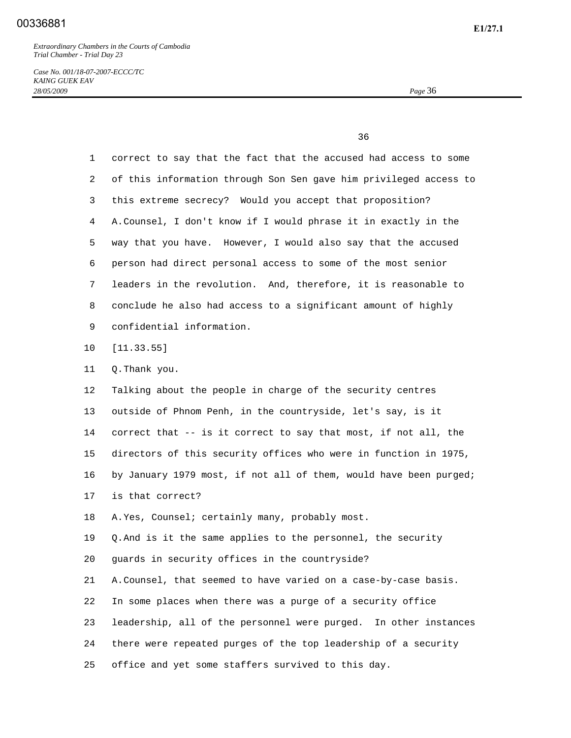*Case No. 001/18-07-2007-ECCC/TC KAING GUEK EAV 28/05/2009 Page* 36

 $36$ 

| $\mathbf 1$     | correct to say that the fact that the accused had access to some  |
|-----------------|-------------------------------------------------------------------|
| 2               | of this information through Son Sen gave him privileged access to |
| 3               | this extreme secrecy? Would you accept that proposition?          |
| 4               | A. Counsel, I don't know if I would phrase it in exactly in the   |
| 5               | way that you have. However, I would also say that the accused     |
| 6               | person had direct personal access to some of the most senior      |
| 7               | leaders in the revolution. And, therefore, it is reasonable to    |
| 8               | conclude he also had access to a significant amount of highly     |
| 9               | confidential information.                                         |
| $10 \,$         | [11.33.55]                                                        |
| 11              | Q. Thank you.                                                     |
| 12 <sup>°</sup> | Talking about the people in charge of the security centres        |
| 13              | outside of Phnom Penh, in the countryside, let's say, is it       |
| 14              | correct that -- is it correct to say that most, if not all, the   |
| 15              | directors of this security offices who were in function in 1975,  |
| 16              | by January 1979 most, if not all of them, would have been purged; |
| 17              | is that correct?                                                  |
| 18              | A. Yes, Counsel; certainly many, probably most.                   |
| 19              | Q. And is it the same applies to the personnel, the security      |
| 20              | guards in security offices in the countryside?                    |
| 21              | A. Counsel, that seemed to have varied on a case-by-case basis.   |
| 22              | In some places when there was a purge of a security office        |
| 23              | leadership, all of the personnel were purged. In other instances  |
| 24              | there were repeated purges of the top leadership of a security    |
| 25              | office and yet some staffers survived to this day.                |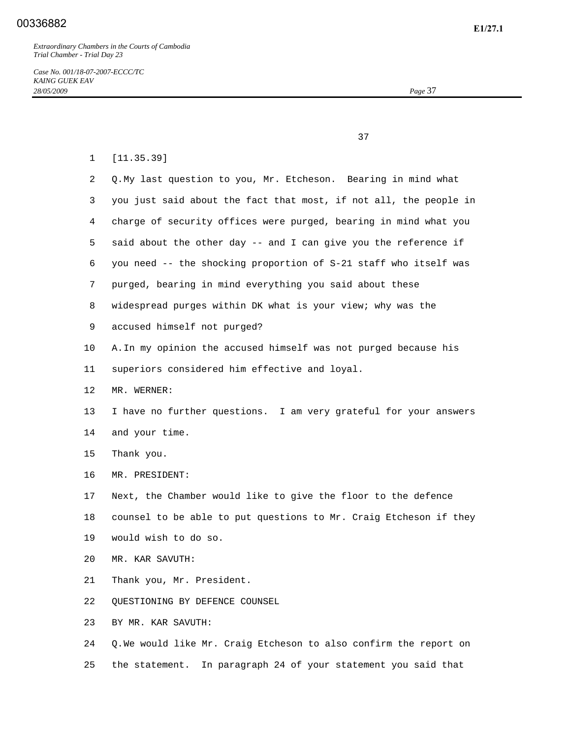37

- 1 [11.35.39] 2 Q. My last question to you, Mr. Etcheson. Bearing in mind what 3 you just said about the fact that most, if not all, the people in 4 charge of security offices were purged, bearing in mind what you 5 said about the other day -- and I can give you the reference if 6 you need -- the shocking proportion of S-21 staff who itself was 7 purged, bearing in mind everything you said about these 8 widespread purges within DK what is your view; why was the 9 accused himself not purged? 10 A. In my opinion the accused himself was not purged because his 11 superiors considered him effective and loyal. 12 MR. WERNER: 13 I have no further questions. I am very grateful for your answers 14 and your time. 15 Thank you. 16 MR. PRESIDENT: 17 Next, the Chamber would like to give the floor to the defence 18 counsel to be able to put questions to Mr. Craig Etcheson if they 19 would wish to do so. 20 MR. KAR SAVUTH: 21 Thank you, Mr. President. 22 QUESTIONING BY DEFENCE COUNSEL 23 BY MR. KAR SAVUTH: 24 Q. We would like Mr. Craig Etcheson to also confirm the report on
- 25 the statement. In paragraph 24 of your statement you said that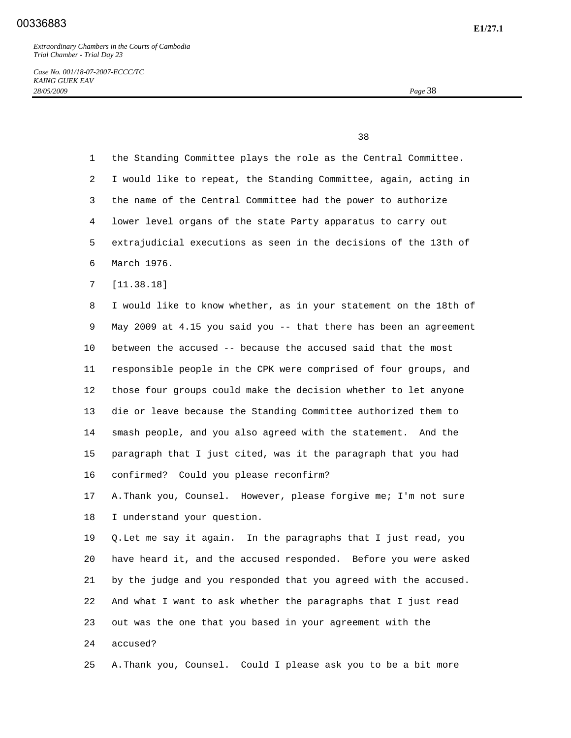*Case No. 001/18-07-2007-ECCC/TC KAING GUEK EAV 28/05/2009 Page* 38

<u>38</u> and the state of the state of the state of the state of the state of the state of the state of the state of the state of the state of the state of the state of the state of the state of the state of the state of the s

 1 the Standing Committee plays the role as the Central Committee. 2 I would like to repeat, the Standing Committee, again, acting in 3 the name of the Central Committee had the power to authorize 4 lower level organs of the state Party apparatus to carry out 5 extrajudicial executions as seen in the decisions of the 13th of 6 March 1976. 7 [11.38.18] 8 I would like to know whether, as in your statement on the 18th of 9 May 2009 at 4.15 you said you -- that there has been an agreement 10 between the accused -- because the accused said that the most 11 responsible people in the CPK were comprised of four groups, and 12 those four groups could make the decision whether to let anyone 13 die or leave because the Standing Committee authorized them to 14 smash people, and you also agreed with the statement. And the 15 paragraph that I just cited, was it the paragraph that you had 16 confirmed? Could you please reconfirm? 17 A. Thank you, Counsel. However, please forgive me; I'm not sure 18 I understand your question. 19 Q. Let me say it again. In the paragraphs that I just read, you 20 have heard it, and the accused responded. Before you were asked 21 by the judge and you responded that you agreed with the accused. 22 And what I want to ask whether the paragraphs that I just read 23 out was the one that you based in your agreement with the 24 accused?

25 A. Thank you, Counsel. Could I please ask you to be a bit more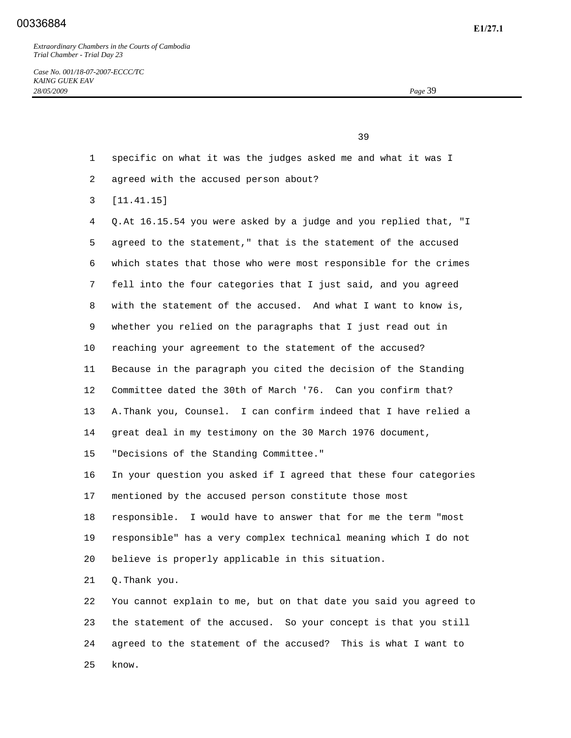*Case No. 001/18-07-2007-ECCC/TC KAING GUEK EAV 28/05/2009 Page* 39

39

1 specific on what it was the judges asked me and what it was I

- 2 agreed with the accused person about?
- 3 [11.41.15]

 4 Q. At 16.15.54 you were asked by a judge and you replied that, "I 5 agreed to the statement," that is the statement of the accused 6 which states that those who were most responsible for the crimes 7 fell into the four categories that I just said, and you agreed 8 with the statement of the accused. And what I want to know is, 9 whether you relied on the paragraphs that I just read out in 10 reaching your agreement to the statement of the accused? 11 Because in the paragraph you cited the decision of the Standing 12 Committee dated the 30th of March '76. Can you confirm that? 13 A. Thank you, Counsel. I can confirm indeed that I have relied a 14 great deal in my testimony on the 30 March 1976 document, 15 "Decisions of the Standing Committee." 16 In your question you asked if I agreed that these four categories 17 mentioned by the accused person constitute those most 18 responsible. I would have to answer that for me the term "most 19 responsible" has a very complex technical meaning which I do not 20 believe is properly applicable in this situation. 21 Q. Thank you. 22 You cannot explain to me, but on that date you said you agreed to 23 the statement of the accused. So your concept is that you still

24 agreed to the statement of the accused? This is what I want to

25 know.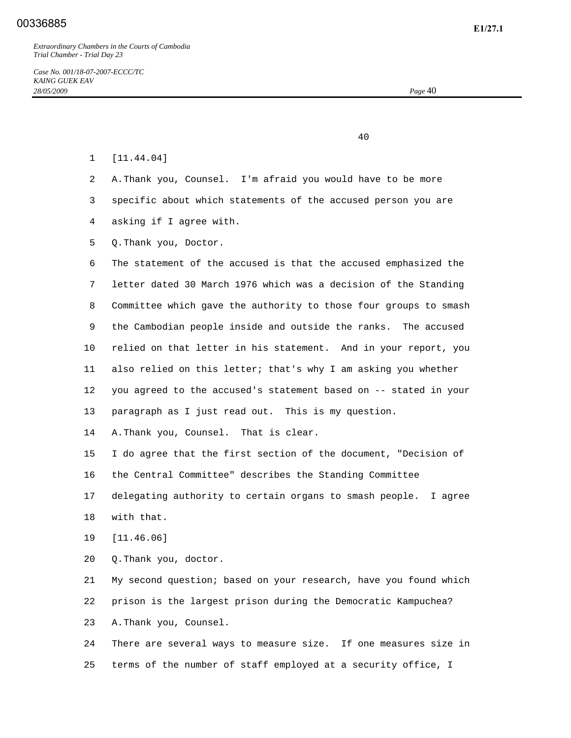40

| [11.44.04] |  |
|------------|--|
|------------|--|

- 2 A. Thank you, Counsel. I'm afraid you would have to be more
- 3 specific about which statements of the accused person you are
- 4 asking if I agree with.
- 5 Q. Thank you, Doctor.

 6 The statement of the accused is that the accused emphasized the 7 letter dated 30 March 1976 which was a decision of the Standing 8 Committee which gave the authority to those four groups to smash 9 the Cambodian people inside and outside the ranks. The accused 10 relied on that letter in his statement. And in your report, you 11 also relied on this letter; that's why I am asking you whether 12 you agreed to the accused's statement based on -- stated in your 13 paragraph as I just read out. This is my question.

14 A. Thank you, Counsel. That is clear.

 15 I do agree that the first section of the document, "Decision of 16 the Central Committee" describes the Standing Committee 17 delegating authority to certain organs to smash people. I agree

- 18 with that.
- 19 [11.46.06]

20 Q. Thank you, doctor.

 21 My second question; based on your research, have you found which 22 prison is the largest prison during the Democratic Kampuchea? 23 A. Thank you, Counsel.

 24 There are several ways to measure size. If one measures size in 25 terms of the number of staff employed at a security office, I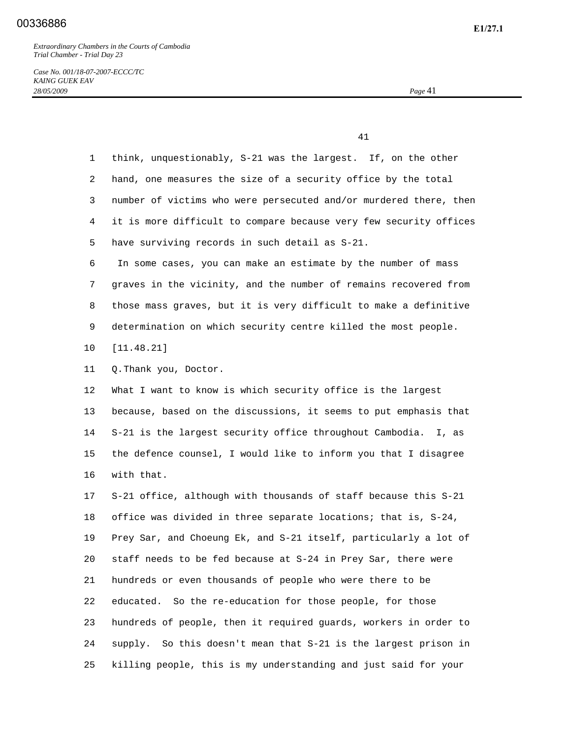*Case No. 001/18-07-2007-ECCC/TC KAING GUEK EAV 28/05/2009 Page* 41

41

| $\mathbf 1$ | think, unquestionably, S-21 was the largest. If, on the other      |
|-------------|--------------------------------------------------------------------|
| 2           | hand, one measures the size of a security office by the total      |
| 3           | number of victims who were persecuted and/or murdered there, then  |
| 4           | it is more difficult to compare because very few security offices  |
| 5           | have surviving records in such detail as S-21.                     |
| 6           | In some cases, you can make an estimate by the number of mass      |
| 7           | graves in the vicinity, and the number of remains recovered from   |
| 8           | those mass graves, but it is very difficult to make a definitive   |
| 9           | determination on which security centre killed the most people.     |
| 10          | [11.48.21]                                                         |
| 11          | Q. Thank you, Doctor.                                              |
| 12          | What I want to know is which security office is the largest        |
| 13          | because, based on the discussions, it seems to put emphasis that   |
| 14          | S-21 is the largest security office throughout Cambodia. I, as     |
| 15          | the defence counsel, I would like to inform you that I disagree    |
| 16          | with that.                                                         |
| 17          | S-21 office, although with thousands of staff because this S-21    |
| 18          | office was divided in three separate locations; that is, S-24,     |
| 19          | Prey Sar, and Choeung Ek, and S-21 itself, particularly a lot of   |
| 20          | staff needs to be fed because at S-24 in Prey Sar, there were      |
| 21          | hundreds or even thousands of people who were there to be          |
| 22          | So the re-education for those people, for those<br>educated.       |
| 23          | hundreds of people, then it required guards, workers in order to   |
| 24          | So this doesn't mean that S-21 is the largest prison in<br>supply. |
| 25          | killing people, this is my understanding and just said for your    |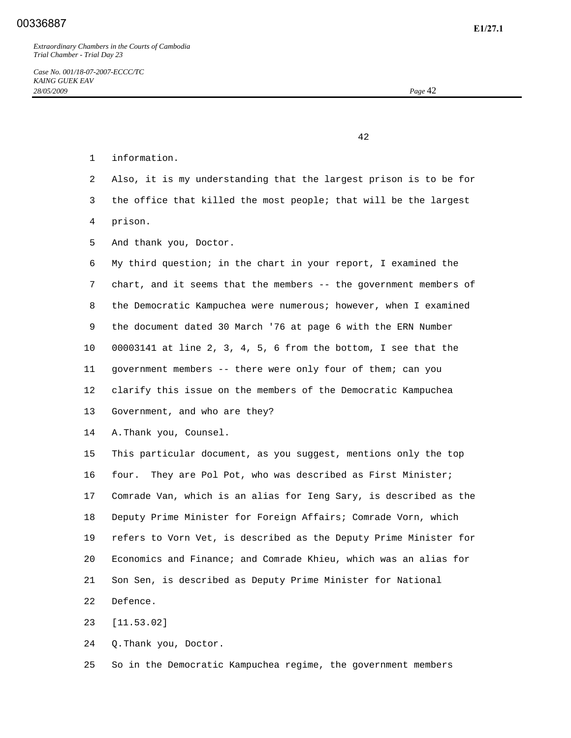42

- 1 information.
- 2 Also, it is my understanding that the largest prison is to be for
- 3 the office that killed the most people; that will be the largest
- 4 prison.
- 5 And thank you, Doctor.

 6 My third question; in the chart in your report, I examined the 7 chart, and it seems that the members -- the government members of 8 the Democratic Kampuchea were numerous; however, when I examined 9 the document dated 30 March '76 at page 6 with the ERN Number 10 00003141 at line 2, 3, 4, 5, 6 from the bottom, I see that the 11 government members -- there were only four of them; can you 12 clarify this issue on the members of the Democratic Kampuchea 13 Government, and who are they?

14 A. Thank you, Counsel.

 15 This particular document, as you suggest, mentions only the top 16 four. They are Pol Pot, who was described as First Minister; 17 Comrade Van, which is an alias for Ieng Sary, is described as the 18 Deputy Prime Minister for Foreign Affairs; Comrade Vorn, which 19 refers to Vorn Vet, is described as the Deputy Prime Minister for 20 Economics and Finance; and Comrade Khieu, which was an alias for 21 Son Sen, is described as Deputy Prime Minister for National 22 Defence.

23 [11.53.02]

24 Q. Thank you, Doctor.

25 So in the Democratic Kampuchea regime, the government members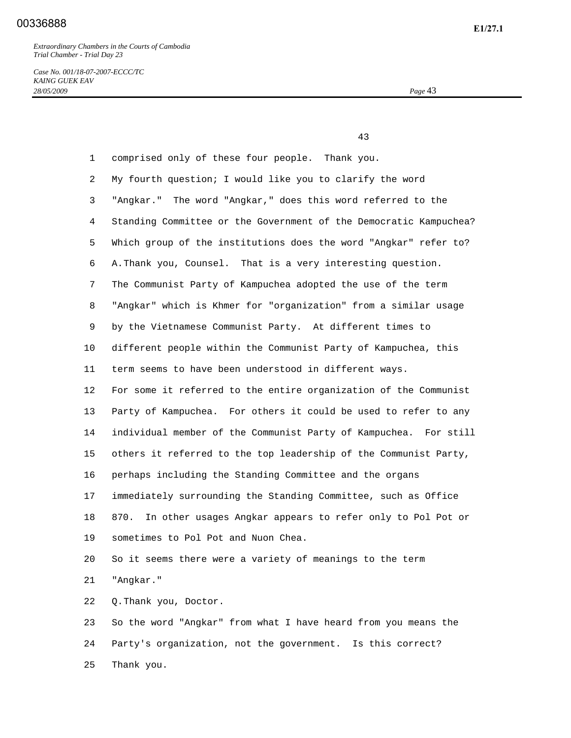*Case No. 001/18-07-2007-ECCC/TC KAING GUEK EAV 28/05/2009 Page* 43

 43 1 comprised only of these four people. Thank you. 2 My fourth question; I would like you to clarify the word 3 "Angkar." The word "Angkar," does this word referred to the 4 Standing Committee or the Government of the Democratic Kampuchea? 5 Which group of the institutions does the word "Angkar" refer to? 6 A. Thank you, Counsel. That is a very interesting question. 7 The Communist Party of Kampuchea adopted the use of the term 8 "Angkar" which is Khmer for "organization" from a similar usage 9 by the Vietnamese Communist Party. At different times to 10 different people within the Communist Party of Kampuchea, this 11 term seems to have been understood in different ways. 12 For some it referred to the entire organization of the Communist 13 Party of Kampuchea. For others it could be used to refer to any 14 individual member of the Communist Party of Kampuchea. For still 15 others it referred to the top leadership of the Communist Party, 16 perhaps including the Standing Committee and the organs 17 immediately surrounding the Standing Committee, such as Office 18 870. In other usages Angkar appears to refer only to Pol Pot or 19 sometimes to Pol Pot and Nuon Chea. 20 So it seems there were a variety of meanings to the term 21 "Angkar." 22 Q. Thank you, Doctor. 23 So the word "Angkar" from what I have heard from you means the

> 24 Party's organization, not the government. Is this correct? 25 Thank you.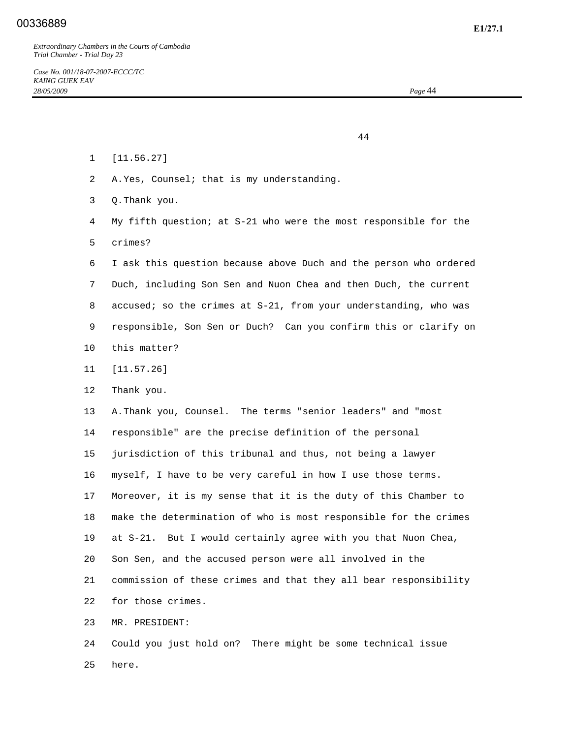44

- 1 [11.56.27]
- 2 A. Yes, Counsel; that is my understanding.
- 3 Q. Thank you.
- 4 My fifth question; at S-21 who were the most responsible for the 5 crimes?
- 6 I ask this question because above Duch and the person who ordered 7 Duch, including Son Sen and Nuon Chea and then Duch, the current 8 accused; so the crimes at S-21, from your understanding, who was 9 responsible, Son Sen or Duch? Can you confirm this or clarify on
- 10 this matter?
- 11 [11.57.26]
- 12 Thank you.

 13 A. Thank you, Counsel. The terms "senior leaders" and "most 14 responsible" are the precise definition of the personal 15 jurisdiction of this tribunal and thus, not being a lawyer 16 myself, I have to be very careful in how I use those terms. 17 Moreover, it is my sense that it is the duty of this Chamber to 18 make the determination of who is most responsible for the crimes 19 at S-21. But I would certainly agree with you that Nuon Chea, 20 Son Sen, and the accused person were all involved in the 21 commission of these crimes and that they all bear responsibility 22 for those crimes.

23 MR. PRESIDENT:

 24 Could you just hold on? There might be some technical issue 25 here.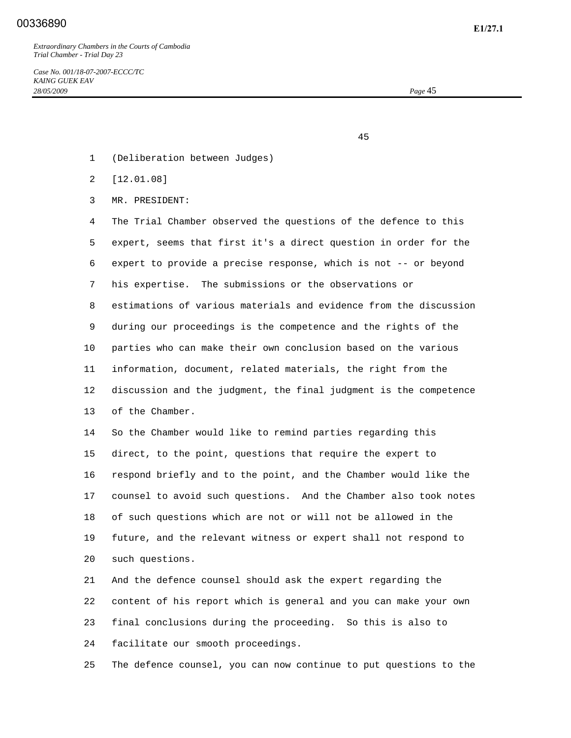## **E1/27.1** 00336890

*Extraordinary Chambers in the Courts of Cambodia Trial Chamber - Trial Day 23* 

*Case No. 001/18-07-2007-ECCC/TC KAING GUEK EAV 28/05/2009 Page* 45

45

- 1 (Deliberation between Judges)
- 2 [12.01.08]
- 3 MR. PRESIDENT:

 4 The Trial Chamber observed the questions of the defence to this 5 expert, seems that first it's a direct question in order for the 6 expert to provide a precise response, which is not -- or beyond 7 his expertise. The submissions or the observations or 8 estimations of various materials and evidence from the discussion 9 during our proceedings is the competence and the rights of the 10 parties who can make their own conclusion based on the various 11 information, document, related materials, the right from the 12 discussion and the judgment, the final judgment is the competence 13 of the Chamber.

 14 So the Chamber would like to remind parties regarding this 15 direct, to the point, questions that require the expert to 16 respond briefly and to the point, and the Chamber would like the 17 counsel to avoid such questions. And the Chamber also took notes 18 of such questions which are not or will not be allowed in the 19 future, and the relevant witness or expert shall not respond to 20 such questions.

 21 And the defence counsel should ask the expert regarding the 22 content of his report which is general and you can make your own 23 final conclusions during the proceeding. So this is also to 24 facilitate our smooth proceedings.

25 The defence counsel, you can now continue to put questions to the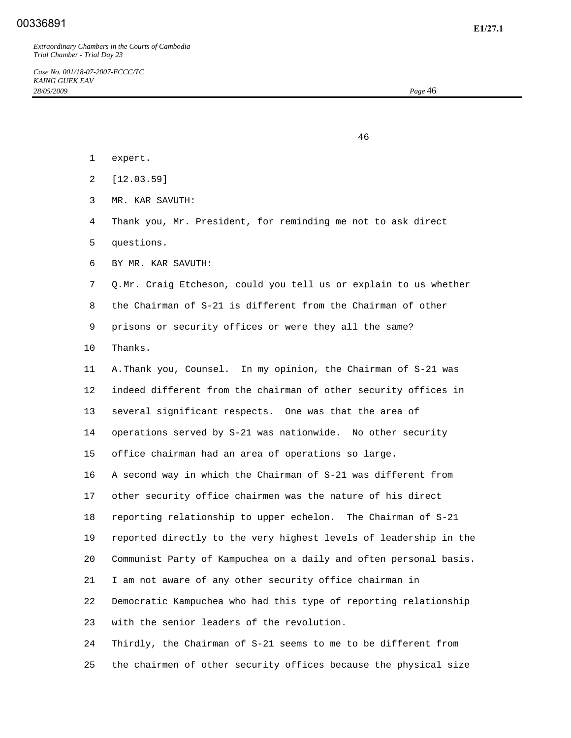## **E1/27.1** 00336891

*Extraordinary Chambers in the Courts of Cambodia Trial Chamber - Trial Day 23* 

46

- 1 expert.
- 2 [12.03.59]
- 3 MR. KAR SAVUTH:
- 4 Thank you, Mr. President, for reminding me not to ask direct
- 5 questions.
- 6 BY MR. KAR SAVUTH:
- 7 Q. Mr. Craig Etcheson, could you tell us or explain to us whether
- 8 the Chairman of S-21 is different from the Chairman of other

9 prisons or security offices or were they all the same?

10 Thanks.

 11 A. Thank you, Counsel. In my opinion, the Chairman of S-21 was 12 indeed different from the chairman of other security offices in 13 several significant respects. One was that the area of 14 operations served by S-21 was nationwide. No other security 15 office chairman had an area of operations so large. 16 A second way in which the Chairman of S-21 was different from 17 other security office chairmen was the nature of his direct 18 reporting relationship to upper echelon. The Chairman of S-21 19 reported directly to the very highest levels of leadership in the 20 Communist Party of Kampuchea on a daily and often personal basis. 21 I am not aware of any other security office chairman in 22 Democratic Kampuchea who had this type of reporting relationship 23 with the senior leaders of the revolution.

 24 Thirdly, the Chairman of S-21 seems to me to be different from 25 the chairmen of other security offices because the physical size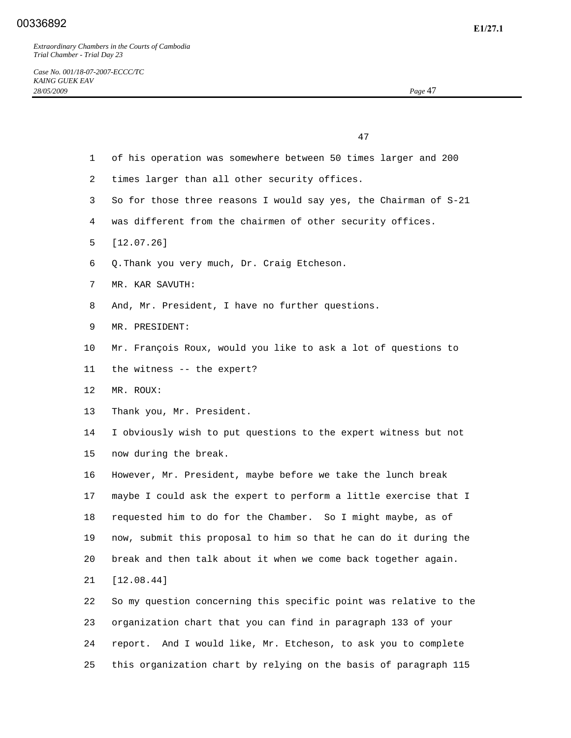47

- 1 of his operation was somewhere between 50 times larger and 200
- 2 times larger than all other security offices.
- 3 So for those three reasons I would say yes, the Chairman of S-21
- 4 was different from the chairmen of other security offices.
- 5 [12.07.26]
- 6 Q. Thank you very much, Dr. Craig Etcheson.
- 7 MR. KAR SAVUTH:
- 8 And, Mr. President, I have no further questions.
- 9 MR. PRESIDENT:
- 10 Mr. François Roux, would you like to ask a lot of questions to
- 11 the witness -- the expert?
- 12 MR. ROUX:
- 13 Thank you, Mr. President.

 14 I obviously wish to put questions to the expert witness but not 15 now during the break.

 16 However, Mr. President, maybe before we take the lunch break 17 maybe I could ask the expert to perform a little exercise that I 18 requested him to do for the Chamber. So I might maybe, as of 19 now, submit this proposal to him so that he can do it during the 20 break and then talk about it when we come back together again.

21 [12.08.44]

 22 So my question concerning this specific point was relative to the 23 organization chart that you can find in paragraph 133 of your 24 report. And I would like, Mr. Etcheson, to ask you to complete 25 this organization chart by relying on the basis of paragraph 115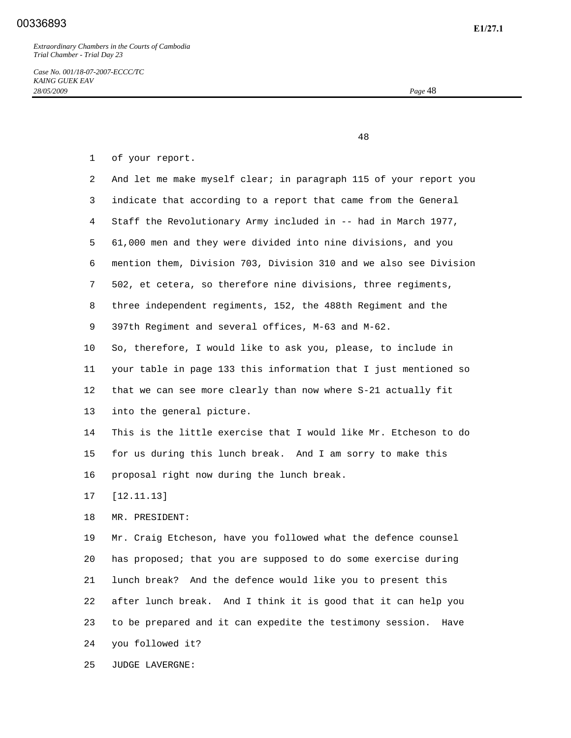*Case No. 001/18-07-2007-ECCC/TC KAING GUEK EAV 28/05/2009 Page* 48

48

1 of your report.

 2 And let me make myself clear; in paragraph 115 of your report you 3 indicate that according to a report that came from the General 4 Staff the Revolutionary Army included in -- had in March 1977, 5 61,000 men and they were divided into nine divisions, and you 6 mention them, Division 703, Division 310 and we also see Division 7 502, et cetera, so therefore nine divisions, three regiments, 8 three independent regiments, 152, the 488th Regiment and the 9 397th Regiment and several offices, M-63 and M-62. 10 So, therefore, I would like to ask you, please, to include in 11 your table in page 133 this information that I just mentioned so 12 that we can see more clearly than now where S-21 actually fit 13 into the general picture. 14 This is the little exercise that I would like Mr. Etcheson to do 15 for us during this lunch break. And I am sorry to make this 16 proposal right now during the lunch break.

17 [12.11.13]

18 MR. PRESIDENT:

 19 Mr. Craig Etcheson, have you followed what the defence counsel 20 has proposed; that you are supposed to do some exercise during 21 lunch break? And the defence would like you to present this 22 after lunch break. And I think it is good that it can help you 23 to be prepared and it can expedite the testimony session. Have 24 you followed it?

25 JUDGE LAVERGNE: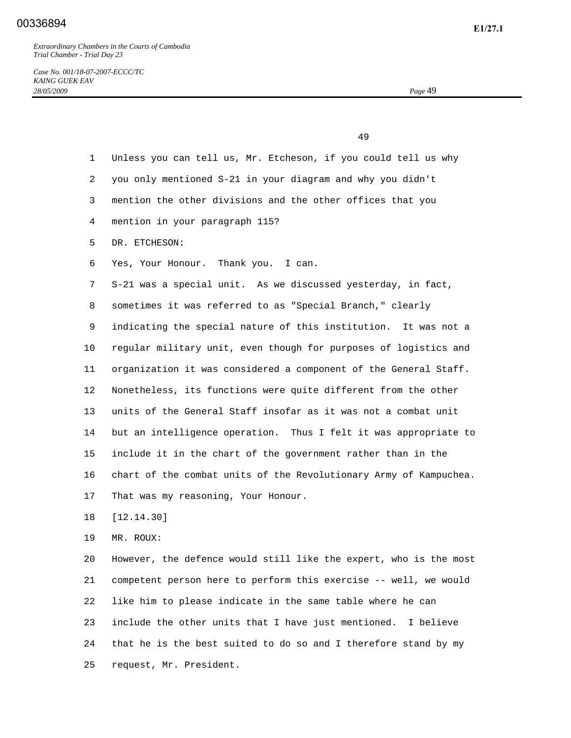49

| $\mathbf{1}$   | Unless you can tell us, Mr. Etcheson, if you could tell us why    |
|----------------|-------------------------------------------------------------------|
| $\overline{2}$ | you only mentioned S-21 in your diagram and why you didn't        |
| 3              | mention the other divisions and the other offices that you        |
| 4              | mention in your paragraph 115?                                    |
| 5              | DR. ETCHESON:                                                     |
| 6              | Yes, Your Honour. Thank you. I can.                               |
| 7              | S-21 was a special unit. As we discussed yesterday, in fact,      |
| 8              | sometimes it was referred to as "Special Branch," clearly         |
| 9              | indicating the special nature of this institution. It was not a   |
| 10             | regular military unit, even though for purposes of logistics and  |
| 11             | organization it was considered a component of the General Staff.  |
| 12             | Nonetheless, its functions were quite different from the other    |
| 13             | units of the General Staff insofar as it was not a combat unit    |
| 14             | but an intelligence operation. Thus I felt it was appropriate to  |
| 15             | include it in the chart of the government rather than in the      |
| 16             | chart of the combat units of the Revolutionary Army of Kampuchea. |
| 17             | That was my reasoning, Your Honour.                               |
| 18             | [12.14.30]                                                        |

19 MR. ROUX:

 20 However, the defence would still like the expert, who is the most 21 competent person here to perform this exercise -- well, we would 22 like him to please indicate in the same table where he can 23 include the other units that I have just mentioned. I believe 24 that he is the best suited to do so and I therefore stand by my 25 request, Mr. President.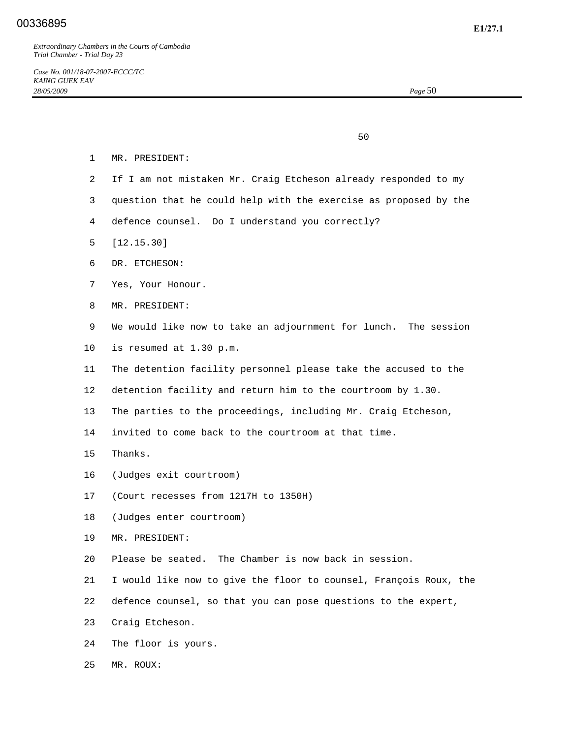$50<sub>2</sub>$ 

- 1 MR. PRESIDENT:
- 2 If I am not mistaken Mr. Craig Etcheson already responded to my
- 3 question that he could help with the exercise as proposed by the
- 4 defence counsel. Do I understand you correctly?
- 5 [12.15.30]
- 6 DR. ETCHESON:
- 7 Yes, Your Honour.
- 8 MR. PRESIDENT:
- 9 We would like now to take an adjournment for lunch. The session 10 is resumed at 1.30 p.m.
- 11 The detention facility personnel please take the accused to the
- 12 detention facility and return him to the courtroom by 1.30.
- 13 The parties to the proceedings, including Mr. Craig Etcheson,
- 14 invited to come back to the courtroom at that time.
- 15 Thanks.
- 16 (Judges exit courtroom)
- 17 (Court recesses from 1217H to 1350H)
- 18 (Judges enter courtroom)
- 19 MR. PRESIDENT:
- 20 Please be seated. The Chamber is now back in session.
- 21 I would like now to give the floor to counsel, François Roux, the
- 22 defence counsel, so that you can pose questions to the expert,
- 23 Craig Etcheson.
- 24 The floor is yours.
- 25 MR. ROUX: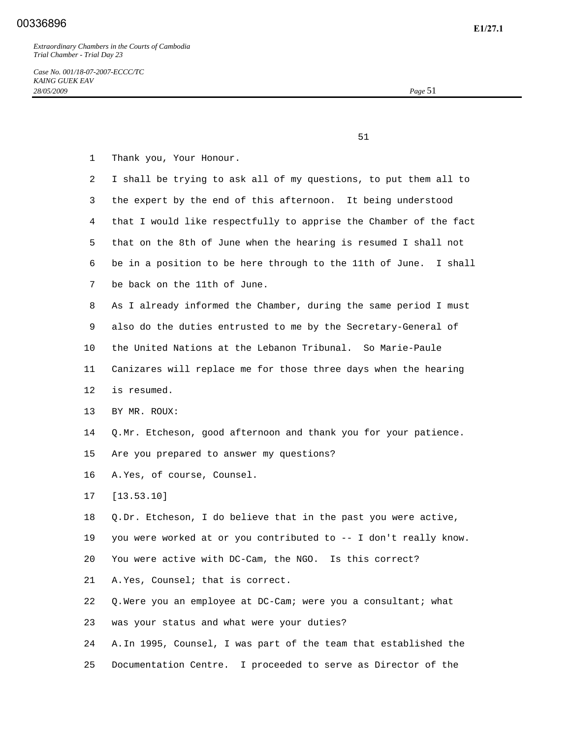$51$ 

- 1 Thank you, Your Honour.
- 2 I shall be trying to ask all of my questions, to put them all to 3 the expert by the end of this afternoon. It being understood 4 that I would like respectfully to apprise the Chamber of the fact 5 that on the 8th of June when the hearing is resumed I shall not 6 be in a position to be here through to the 11th of June. I shall 7 be back on the 11th of June. 8 As I already informed the Chamber, during the same period I must 9 also do the duties entrusted to me by the Secretary-General of 10 the United Nations at the Lebanon Tribunal. So Marie-Paule 11 Canizares will replace me for those three days when the hearing 12 is resumed. 13 BY MR. ROUX: 14 Q. Mr. Etcheson, good afternoon and thank you for your patience. 15 Are you prepared to answer my questions? 16 A. Yes, of course, Counsel. 17 [13.53.10] 18 Q. Dr. Etcheson, I do believe that in the past you were active, 19 you were worked at or you contributed to -- I don't really know. 20 You were active with DC-Cam, the NGO. Is this correct? 21 A. Yes, Counsel; that is correct. 22 Q. Were you an employee at DC-Cam; were you a consultant; what 23 was your status and what were your duties? 24 A. In 1995, Counsel, I was part of the team that established the 25 Documentation Centre. I proceeded to serve as Director of the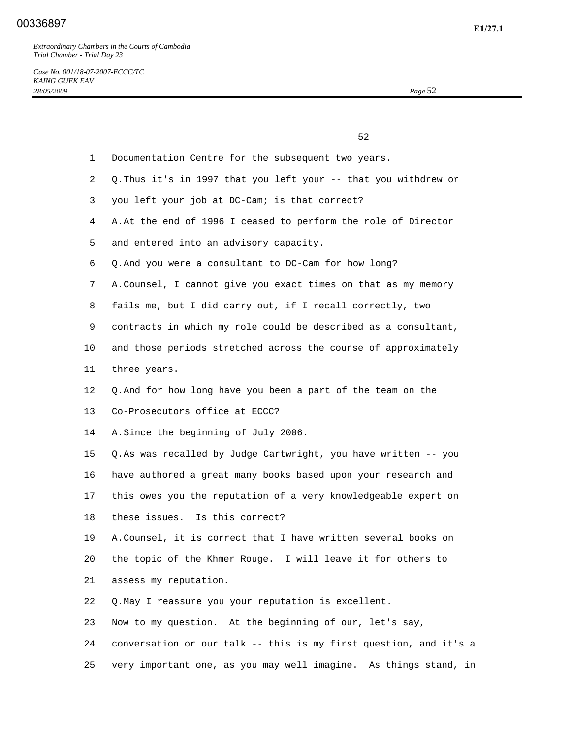|                 | 52                                                                |
|-----------------|-------------------------------------------------------------------|
| $\mathbf{1}$    | Documentation Centre for the subsequent two years.                |
| $\overline{2}$  | Q. Thus it's in 1997 that you left your -- that you withdrew or   |
| 3               | you left your job at DC-Cam; is that correct?                     |
| 4               | A. At the end of 1996 I ceased to perform the role of Director    |
| 5               | and entered into an advisory capacity.                            |
| 6               | Q. And you were a consultant to DC-Cam for how long?              |
| 7               | A. Counsel, I cannot give you exact times on that as my memory    |
| 8               | fails me, but I did carry out, if I recall correctly, two         |
| 9               | contracts in which my role could be described as a consultant,    |
| $10 \,$         | and those periods stretched across the course of approximately    |
| 11              | three years.                                                      |
| 12 <sub>2</sub> | Q. And for how long have you been a part of the team on the       |
| 13              | Co-Prosecutors office at ECCC?                                    |
| 14              | A. Since the beginning of July 2006.                              |
| 15              | Q. As was recalled by Judge Cartwright, you have written -- you   |
| 16              | have authored a great many books based upon your research and     |
| 17              | this owes you the reputation of a very knowledgeable expert on    |
| 18              | these issues. Is this correct?                                    |
| 19              | A. Counsel, it is correct that I have written several books on    |
| 20              | the topic of the Khmer Rouge. I will leave it for others to       |
| 21              | assess my reputation.                                             |
| 22              | Q. May I reassure you your reputation is excellent.               |
| 23              | Now to my question. At the beginning of our, let's say,           |
| 24              | conversation or our talk -- this is my first question, and it's a |
| 25              | very important one, as you may well imagine. As things stand, in  |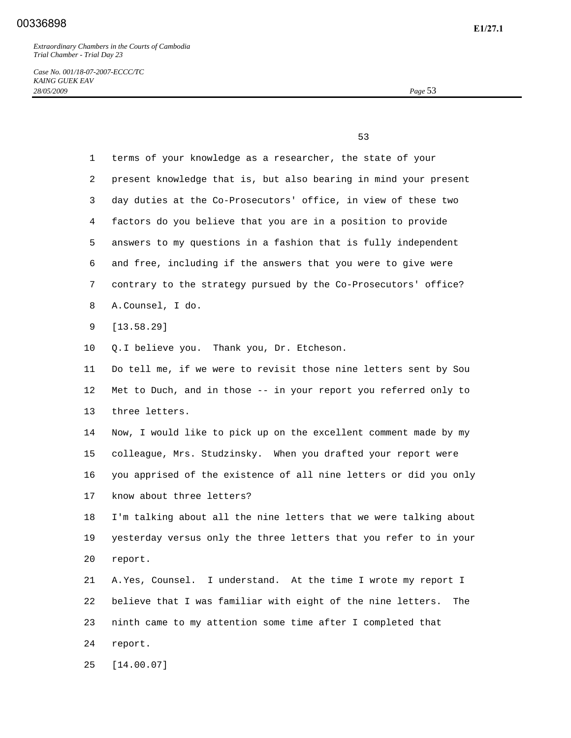*Case No. 001/18-07-2007-ECCC/TC KAING GUEK EAV 28/05/2009 Page* 53

 $\sim$  53

| $\mathbf 1$ | terms of your knowledge as a researcher, the state of your         |
|-------------|--------------------------------------------------------------------|
| 2           | present knowledge that is, but also bearing in mind your present   |
| 3           | day duties at the Co-Prosecutors' office, in view of these two     |
| 4           | factors do you believe that you are in a position to provide       |
| 5           | answers to my questions in a fashion that is fully independent     |
| 6           | and free, including if the answers that you were to give were      |
| 7           | contrary to the strategy pursued by the Co-Prosecutors' office?    |
| 8           | A.Counsel, I do.                                                   |
| 9           | [13.58.29]                                                         |
| 10          | Q. I believe you. Thank you, Dr. Etcheson.                         |
| 11          | Do tell me, if we were to revisit those nine letters sent by Sou   |
| 12          | Met to Duch, and in those -- in your report you referred only to   |
| 13          | three letters.                                                     |
| 14          | Now, I would like to pick up on the excellent comment made by my   |
| 15          | colleague, Mrs. Studzinsky. When you drafted your report were      |
| 16          | you apprised of the existence of all nine letters or did you only  |
| 17          | know about three letters?                                          |
| 18          | I'm talking about all the nine letters that we were talking about  |
| 19          | yesterday versus only the three letters that you refer to in your  |
| 20          | report.                                                            |
| 21          | A. Yes, Counsel. I understand. At the time I wrote my report I     |
| 22          | believe that I was familiar with eight of the nine letters.<br>The |
| 23          | ninth came to my attention some time after I completed that        |
| 24          | report.                                                            |
| 25          | [14.00.07]                                                         |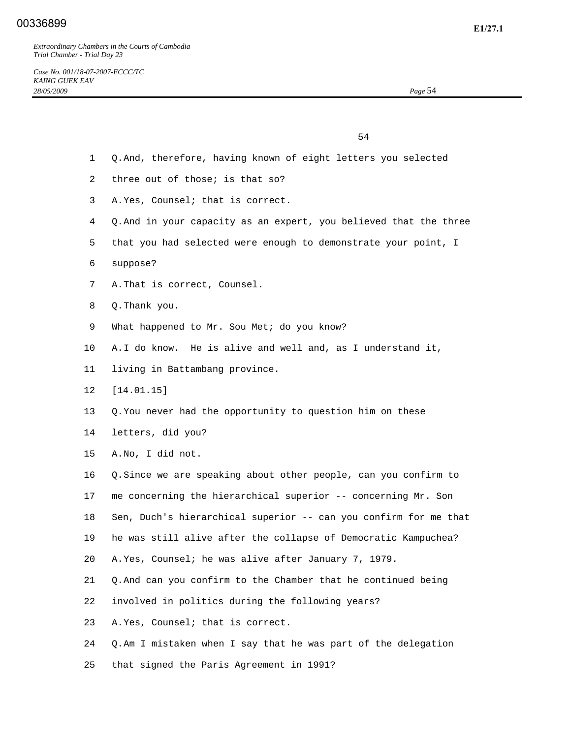$54$ 

- 1 Q. And, therefore, having known of eight letters you selected
- 2 three out of those; is that so?
- 3 A. Yes, Counsel; that is correct.
- 4 Q. And in your capacity as an expert, you believed that the three
- 5 that you had selected were enough to demonstrate your point, I
- 6 suppose?
- 7 A. That is correct, Counsel.
- 8 Q. Thank you.
- 9 What happened to Mr. Sou Met; do you know?
- 10 A. I do know. He is alive and well and, as I understand it,
- 11 living in Battambang province.
- 12 [14.01.15]
- 13 Q. You never had the opportunity to question him on these
- 14 letters, did you?
- 15 A. No, I did not.

 16 Q. Since we are speaking about other people, can you confirm to 17 me concerning the hierarchical superior -- concerning Mr. Son 18 Sen, Duch's hierarchical superior -- can you confirm for me that 19 he was still alive after the collapse of Democratic Kampuchea? 20 A. Yes, Counsel; he was alive after January 7, 1979. 21 Q. And can you confirm to the Chamber that he continued being 22 involved in politics during the following years?

- 23 A. Yes, Counsel; that is correct.
- 24 Q. Am I mistaken when I say that he was part of the delegation
- 25 that signed the Paris Agreement in 1991?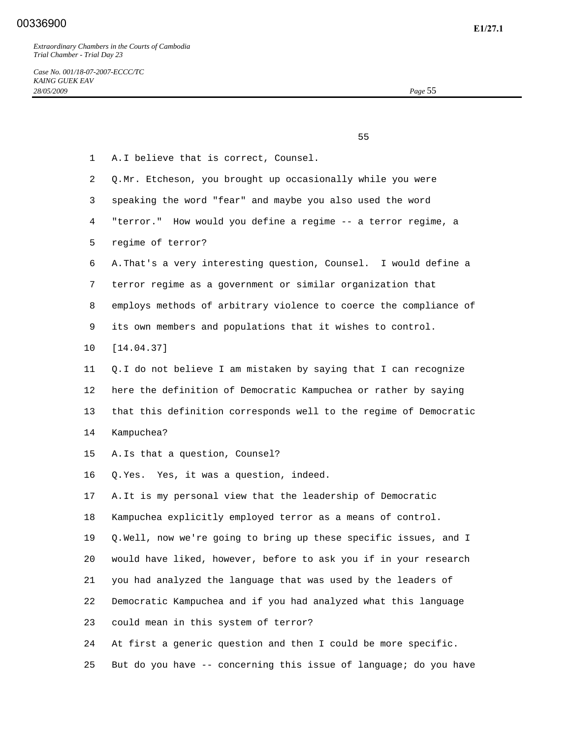$55$ 

| $\mathbf{1}$ | A. I believe that is correct, Counsel.                            |
|--------------|-------------------------------------------------------------------|
| 2            | Q.Mr. Etcheson, you brought up occasionally while you were        |
| 3            | speaking the word "fear" and maybe you also used the word         |
| 4            | "terror." How would you define a regime -- a terror regime, a     |
| 5            | regime of terror?                                                 |
| 6            | A. That's a very interesting question, Counsel. I would define a  |
| 7            | terror regime as a government or similar organization that        |
| 8            | employs methods of arbitrary violence to coerce the compliance of |
| 9            | its own members and populations that it wishes to control.        |
| 10           | [14.04.37]                                                        |
| 11           | Q. I do not believe I am mistaken by saying that I can recognize  |
| 12           | here the definition of Democratic Kampuchea or rather by saying   |
| 13           | that this definition corresponds well to the regime of Democratic |
| 14           | Kampuchea?                                                        |
| 15           | A. Is that a question, Counsel?                                   |
| 16           | Q. Yes. Yes, it was a question, indeed.                           |
| 17           | A. It is my personal view that the leadership of Democratic       |
| 18           | Kampuchea explicitly employed terror as a means of control.       |
| 19           | Q. Well, now we're going to bring up these specific issues, and I |
| 20           | would have liked, however, before to ask you if in your research  |
| 21           | you had analyzed the language that was used by the leaders of     |
| 22           | Democratic Kampuchea and if you had analyzed what this language   |
| 23           | could mean in this system of terror?                              |
| 24           | At first a generic question and then I could be more specific.    |
| 25           | But do you have -- concerning this issue of language; do you have |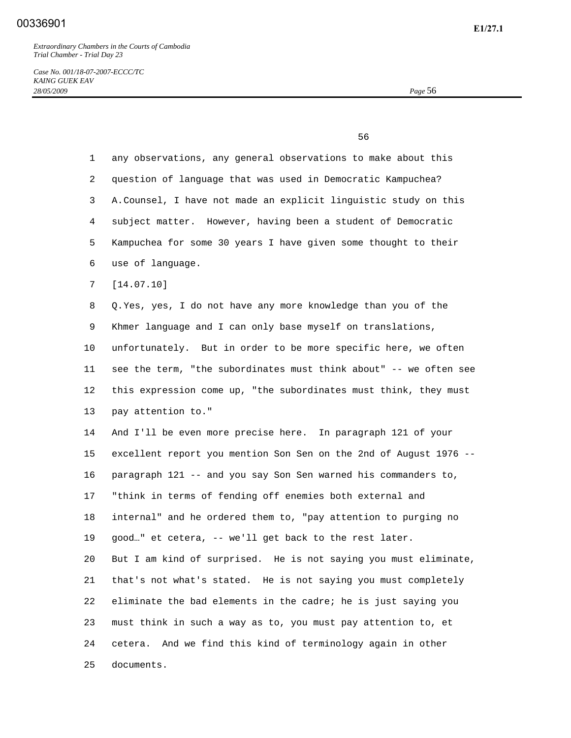$\sim$  56

*Case No. 001/18-07-2007-ECCC/TC KAING GUEK EAV 28/05/2009 Page* 56

 1 any observations, any general observations to make about this 2 question of language that was used in Democratic Kampuchea? 3 A. Counsel, I have not made an explicit linguistic study on this 4 subject matter. However, having been a student of Democratic 5 Kampuchea for some 30 years I have given some thought to their 6 use of language. 7 [14.07.10] 8 Q. Yes, yes, I do not have any more knowledge than you of the 9 Khmer language and I can only base myself on translations, 10 unfortunately. But in order to be more specific here, we often 11 see the term, "the subordinates must think about" -- we often see 12 this expression come up, "the subordinates must think, they must 13 pay attention to." 14 And I'll be even more precise here. In paragraph 121 of your 15 excellent report you mention Son Sen on the 2nd of August 1976 -- 16 paragraph 121 -- and you say Son Sen warned his commanders to, 17 "think in terms of fending off enemies both external and 18 internal" and he ordered them to, "pay attention to purging no 19 good…" et cetera, -- we'll get back to the rest later. 20 But I am kind of surprised. He is not saying you must eliminate, 21 that's not what's stated. He is not saying you must completely 22 eliminate the bad elements in the cadre; he is just saying you 23 must think in such a way as to, you must pay attention to, et 24 cetera. And we find this kind of terminology again in other 25 documents.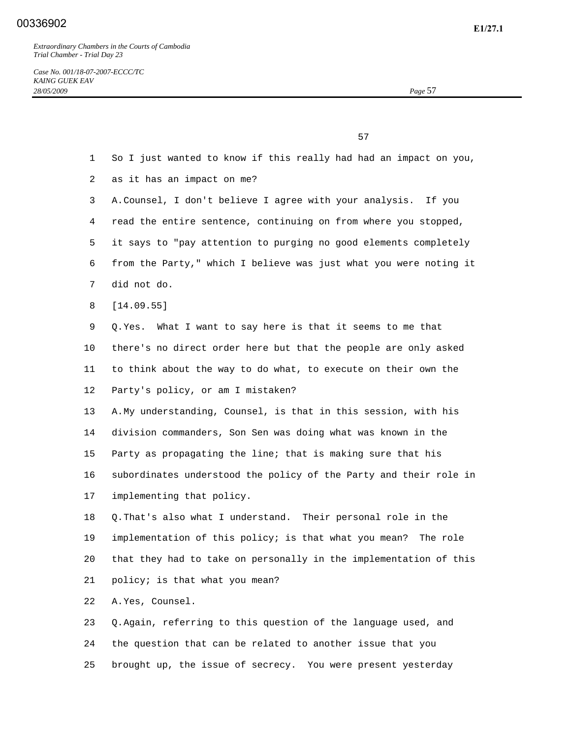*Case No. 001/18-07-2007-ECCC/TC KAING GUEK EAV 28/05/2009 Page* 57

 $57$ 

- 1 So I just wanted to know if this really had had an impact on you, 2 as it has an impact on me?
- 3 A. Counsel, I don't believe I agree with your analysis. If you 4 read the entire sentence, continuing on from where you stopped, 5 it says to "pay attention to purging no good elements completely
- 6 from the Party," which I believe was just what you were noting it
- 7 did not do.
- 8 [14.09.55]
- 9 Q. Yes. What I want to say here is that it seems to me that 10 there's no direct order here but that the people are only asked 11 to think about the way to do what, to execute on their own the 12 Party's policy, or am I mistaken?
- 13 A. My understanding, Counsel, is that in this session, with his 14 division commanders, Son Sen was doing what was known in the 15 Party as propagating the line; that is making sure that his 16 subordinates understood the policy of the Party and their role in 17 implementing that policy.
- 18 Q. That's also what I understand. Their personal role in the 19 implementation of this policy; is that what you mean? The role 20 that they had to take on personally in the implementation of this 21 policy; is that what you mean?
- 22 A. Yes, Counsel.
- 23 Q. Again, referring to this question of the language used, and 24 the question that can be related to another issue that you 25 brought up, the issue of secrecy. You were present yesterday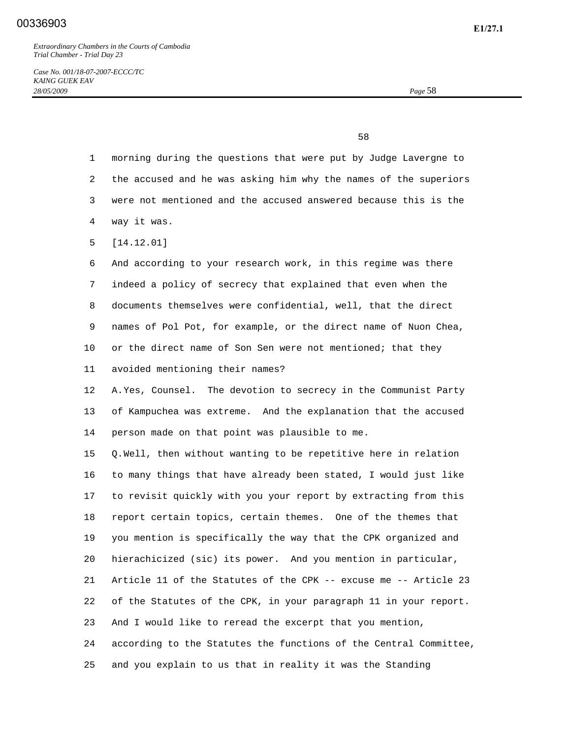*Case No. 001/18-07-2007-ECCC/TC KAING GUEK EAV 28/05/2009 Page* 58

 $\sim$  58

| $\mathbf{1}$ | morning during the questions that were put by Judge Lavergne to   |
|--------------|-------------------------------------------------------------------|
| 2            | the accused and he was asking him why the names of the superiors  |
| 3            | were not mentioned and the accused answered because this is the   |
| 4            | way it was.                                                       |
| 5            | [14.12.01]                                                        |
| 6            | And according to your research work, in this regime was there     |
| 7            | indeed a policy of secrecy that explained that even when the      |
| 8            | documents themselves were confidential, well, that the direct     |
| 9            | names of Pol Pot, for example, or the direct name of Nuon Chea,   |
| 10           | or the direct name of Son Sen were not mentioned; that they       |
| 11           | avoided mentioning their names?                                   |
| $12 \,$      | A. Yes, Counsel. The devotion to secrecy in the Communist Party   |
| 13           | of Kampuchea was extreme. And the explanation that the accused    |
| 14           | person made on that point was plausible to me.                    |
| 15           | Q.Well, then without wanting to be repetitive here in relation    |
| 16           | to many things that have already been stated, I would just like   |
| 17           | to revisit quickly with you your report by extracting from this   |
| 18           | report certain topics, certain themes. One of the themes that     |
| 19           | you mention is specifically the way that the CPK organized and    |
| 20           | hierachicized (sic) its power. And you mention in particular,     |
| 21           | Article 11 of the Statutes of the CPK -- excuse me -- Article 23  |
| 22           | of the Statutes of the CPK, in your paragraph 11 in your report.  |
| 23           | And I would like to reread the excerpt that you mention,          |
| 24           | according to the Statutes the functions of the Central Committee, |
| 25           | and you explain to us that in reality it was the Standing         |
|              |                                                                   |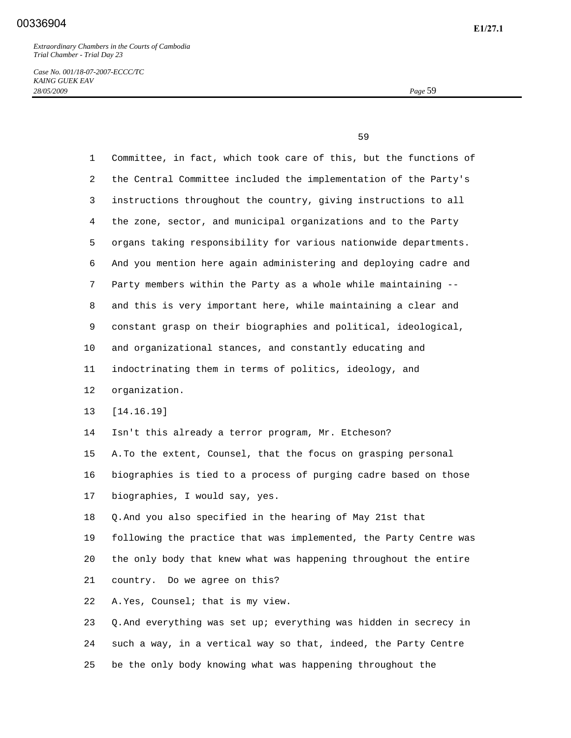*Case No. 001/18-07-2007-ECCC/TC KAING GUEK EAV 28/05/2009 Page* 59

 $\sim$  59

 1 Committee, in fact, which took care of this, but the functions of 2 the Central Committee included the implementation of the Party's 3 instructions throughout the country, giving instructions to all 4 the zone, sector, and municipal organizations and to the Party 5 organs taking responsibility for various nationwide departments. 6 And you mention here again administering and deploying cadre and 7 Party members within the Party as a whole while maintaining -- 8 and this is very important here, while maintaining a clear and 9 constant grasp on their biographies and political, ideological, 10 and organizational stances, and constantly educating and 11 indoctrinating them in terms of politics, ideology, and 12 organization. 13 [14.16.19] 14 Isn't this already a terror program, Mr. Etcheson? 15 A. To the extent, Counsel, that the focus on grasping personal 16 biographies is tied to a process of purging cadre based on those 17 biographies, I would say, yes. 18 Q. And you also specified in the hearing of May 21st that 19 following the practice that was implemented, the Party Centre was 20 the only body that knew what was happening throughout the entire 21 country. Do we agree on this? 22 A. Yes, Counsel; that is my view. 23 Q. And everything was set up; everything was hidden in secrecy in 24 such a way, in a vertical way so that, indeed, the Party Centre

25 be the only body knowing what was happening throughout the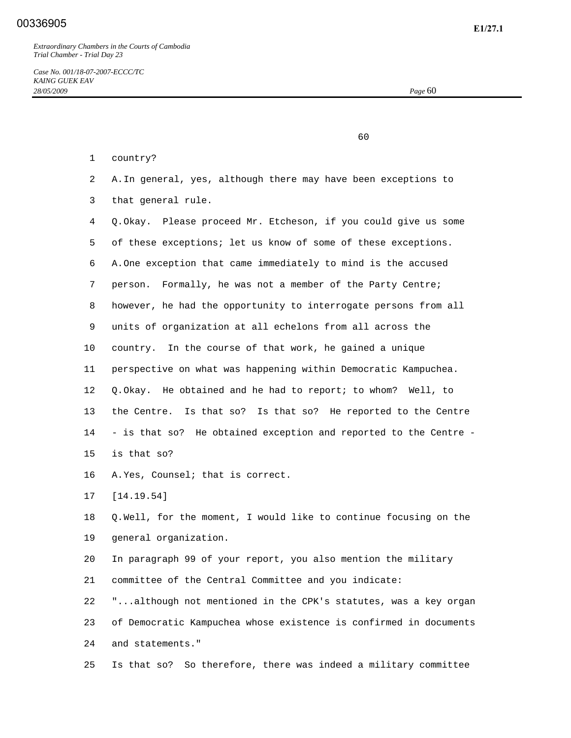60

- 1 country?
- 2 A. In general, yes, although there may have been exceptions to
- 3 that general rule.

 4 Q. Okay. Please proceed Mr. Etcheson, if you could give us some 5 of these exceptions; let us know of some of these exceptions. 6 A. One exception that came immediately to mind is the accused 7 person. Formally, he was not a member of the Party Centre; 8 however, he had the opportunity to interrogate persons from all 9 units of organization at all echelons from all across the 10 country. In the course of that work, he gained a unique 11 perspective on what was happening within Democratic Kampuchea. 12 Q. Okay. He obtained and he had to report; to whom? Well, to 13 the Centre. Is that so? Is that so? He reported to the Centre 14 - is that so? He obtained exception and reported to the Centre - 15 is that so?

16 A. Yes, Counsel; that is correct.

17 [14.19.54]

 18 Q. Well, for the moment, I would like to continue focusing on the 19 general organization.

 20 In paragraph 99 of your report, you also mention the military 21 committee of the Central Committee and you indicate:

 22 "...although not mentioned in the CPK's statutes, was a key organ 23 of Democratic Kampuchea whose existence is confirmed in documents 24 and statements."

25 Is that so? So therefore, there was indeed a military committee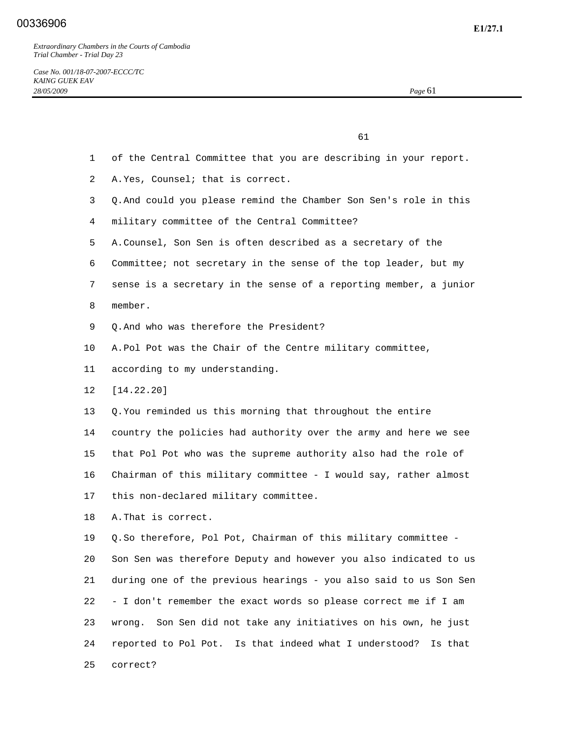61

- 1 of the Central Committee that you are describing in your report.
- 2 A. Yes, Counsel; that is correct.
- 3 Q. And could you please remind the Chamber Son Sen's role in this
- 4 military committee of the Central Committee?
- 5 A. Counsel, Son Sen is often described as a secretary of the
- 6 Committee; not secretary in the sense of the top leader, but my
- 7 sense is a secretary in the sense of a reporting member, a junior
- 8 member.
- 9 Q. And who was therefore the President?
- 10 A. Pol Pot was the Chair of the Centre military committee,

13 Q. You reminded us this morning that throughout the entire

- 11 according to my understanding.
- 12 [14.22.20]

 14 country the policies had authority over the army and here we see 15 that Pol Pot who was the supreme authority also had the role of 16 Chairman of this military committee - I would say, rather almost 17 this non-declared military committee.

18 A. That is correct.

 19 Q. So therefore, Pol Pot, Chairman of this military committee - 20 Son Sen was therefore Deputy and however you also indicated to us 21 during one of the previous hearings - you also said to us Son Sen 22 - I don't remember the exact words so please correct me if I am 23 wrong. Son Sen did not take any initiatives on his own, he just 24 reported to Pol Pot. Is that indeed what I understood? Is that 25 correct?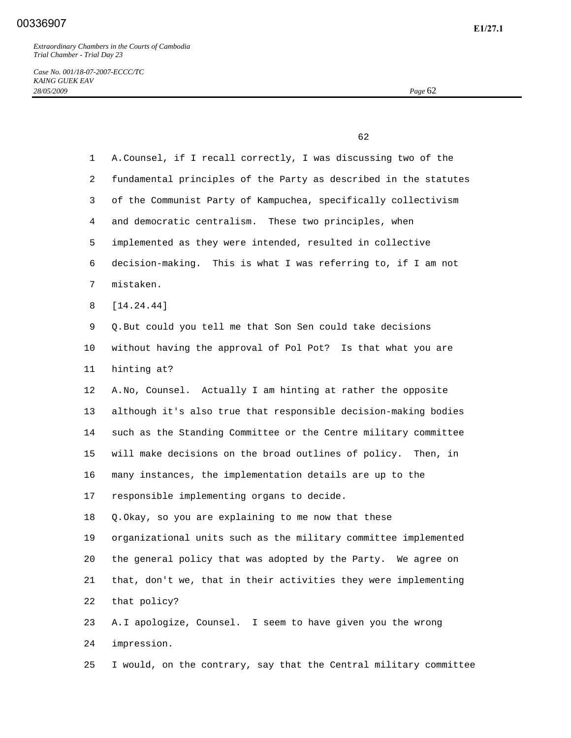*Case No. 001/18-07-2007-ECCC/TC KAING GUEK EAV 28/05/2009 Page* 62

 $\sim$  62 1 A. Counsel, if I recall correctly, I was discussing two of the 2 fundamental principles of the Party as described in the statutes 3 of the Communist Party of Kampuchea, specifically collectivism 4 and democratic centralism. These two principles, when 5 implemented as they were intended, resulted in collective 6 decision-making. This is what I was referring to, if I am not 7 mistaken. 8 [14.24.44] 9 Q. But could you tell me that Son Sen could take decisions 10 without having the approval of Pol Pot? Is that what you are 11 hinting at? 12 A. No, Counsel. Actually I am hinting at rather the opposite 13 although it's also true that responsible decision-making bodies 14 such as the Standing Committee or the Centre military committee 15 will make decisions on the broad outlines of policy. Then, in 16 many instances, the implementation details are up to the 17 responsible implementing organs to decide. 18 Q. Okay, so you are explaining to me now that these 19 organizational units such as the military committee implemented 20 the general policy that was adopted by the Party. We agree on 21 that, don't we, that in their activities they were implementing 22 that policy? 23 A. I apologize, Counsel. I seem to have given you the wrong 24 impression.

25 I would, on the contrary, say that the Central military committee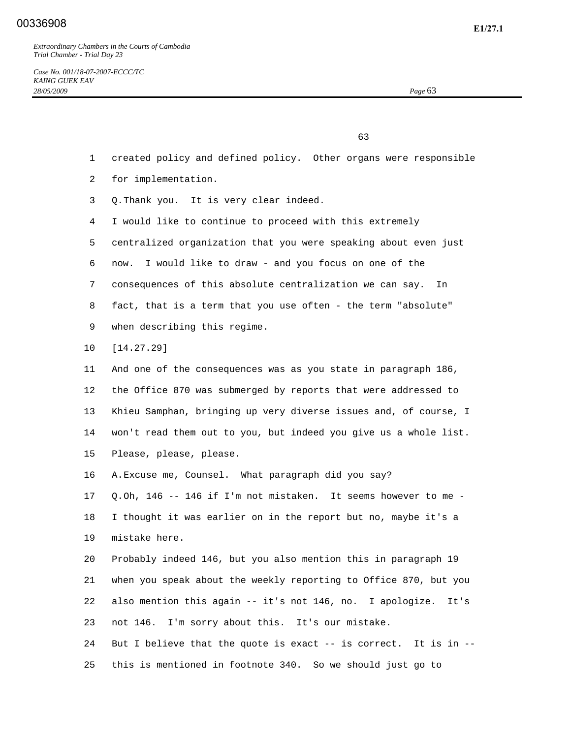$\sim$  63

- 1 created policy and defined policy. Other organs were responsible
- 2 for implementation.
- 3 Q. Thank you. It is very clear indeed.
- 4 I would like to continue to proceed with this extremely
- 5 centralized organization that you were speaking about even just
- 6 now. I would like to draw and you focus on one of the
- 7 consequences of this absolute centralization we can say. In
- 8 fact, that is a term that you use often the term "absolute"
- 9 when describing this regime.
- 10 [14.27.29]
- 11 And one of the consequences was as you state in paragraph 186, 12 the Office 870 was submerged by reports that were addressed to 13 Khieu Samphan, bringing up very diverse issues and, of course, I 14 won't read them out to you, but indeed you give us a whole list. 15 Please, please, please.
- 16 A. Excuse me, Counsel. What paragraph did you say?

 17 Q. Oh, 146 -- 146 if I'm not mistaken. It seems however to me - 18 I thought it was earlier on in the report but no, maybe it's a 19 mistake here.

 20 Probably indeed 146, but you also mention this in paragraph 19 21 when you speak about the weekly reporting to Office 870, but you 22 also mention this again -- it's not 146, no. I apologize. It's 23 not 146. I'm sorry about this. It's our mistake. 24 But I believe that the quote is exact -- is correct. It is in --

25 this is mentioned in footnote 340. So we should just go to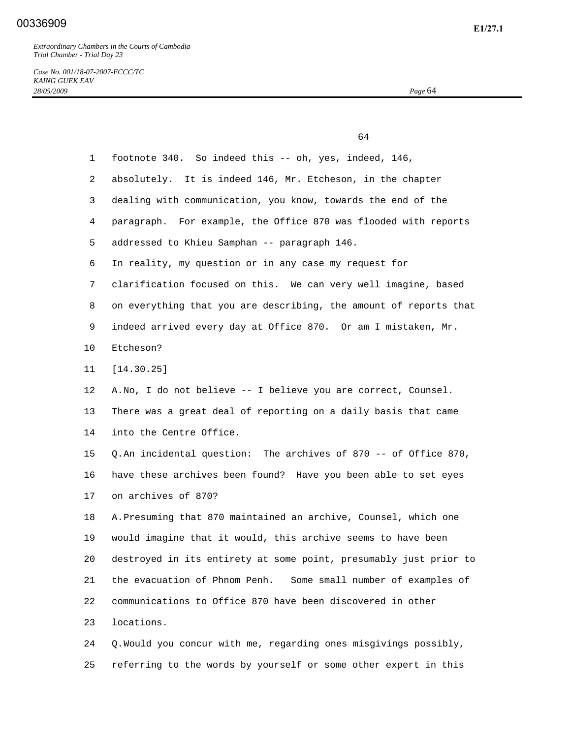$64$ 

*Case No. 001/18-07-2007-ECCC/TC KAING GUEK EAV 28/05/2009 Page* 64

| $\mathbf{1}$ | footnote 340. So indeed this -- oh, yes, indeed, 146,             |
|--------------|-------------------------------------------------------------------|
| 2            | absolutely. It is indeed 146, Mr. Etcheson, in the chapter        |
| 3            | dealing with communication, you know, towards the end of the      |
| 4            | paragraph. For example, the Office 870 was flooded with reports   |
| 5            | addressed to Khieu Samphan -- paragraph 146.                      |
| 6            | In reality, my question or in any case my request for             |
| 7            | clarification focused on this. We can very well imagine, based    |
| 8            | on everything that you are describing, the amount of reports that |
| 9            | indeed arrived every day at Office 870. Or am I mistaken, Mr.     |
| 10           | Etcheson?                                                         |
| 11           | [14.30.25]                                                        |
| 12           | A. No, I do not believe -- I believe you are correct, Counsel.    |
| 13           | There was a great deal of reporting on a daily basis that came    |
| 14           | into the Centre Office.                                           |
| 15           | Q. An incidental question: The archives of 870 -- of Office 870,  |
| 16           | have these archives been found? Have you been able to set eyes    |
| 17           | on archives of 870?                                               |
| 18           | A. Presuming that 870 maintained an archive, Counsel, which one   |
| 19           | would imagine that it would, this archive seems to have been      |
| 20           | destroyed in its entirety at some point, presumably just prior to |
| 21           | the evacuation of Phnom Penh. Some small number of examples of    |
| 22           | communications to Office 870 have been discovered in other        |
| 23           | locations.                                                        |
| 24           | Q. Would you concur with me, regarding ones misgivings possibly,  |

25 referring to the words by yourself or some other expert in this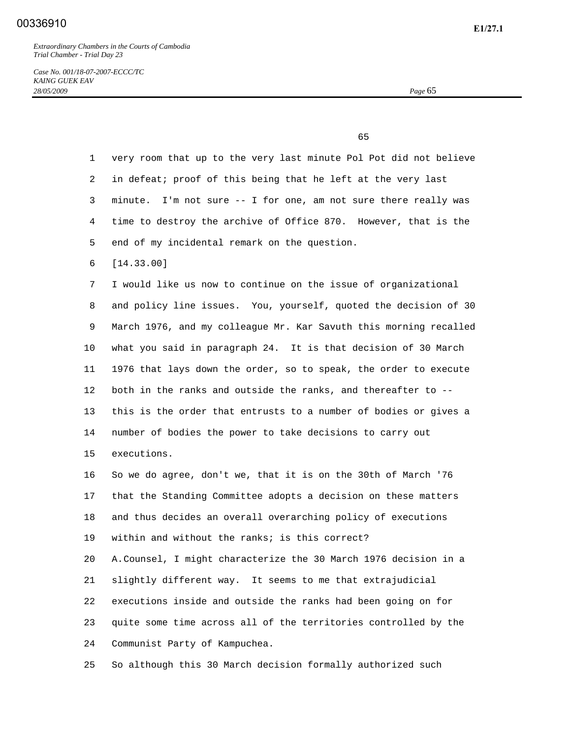## **E1/27.1** 00336910

*Extraordinary Chambers in the Courts of Cambodia Trial Chamber - Trial Day 23* 

*Case No. 001/18-07-2007-ECCC/TC KAING GUEK EAV 28/05/2009 Page* 65

 $\sim$  65

 1 very room that up to the very last minute Pol Pot did not believe 2 in defeat; proof of this being that he left at the very last 3 minute. I'm not sure -- I for one, am not sure there really was 4 time to destroy the archive of Office 870. However, that is the 5 end of my incidental remark on the question. 6 [14.33.00] 7 I would like us now to continue on the issue of organizational 8 and policy line issues. You, yourself, quoted the decision of 30 9 March 1976, and my colleague Mr. Kar Savuth this morning recalled 10 what you said in paragraph 24. It is that decision of 30 March 11 1976 that lays down the order, so to speak, the order to execute 12 both in the ranks and outside the ranks, and thereafter to -- 13 this is the order that entrusts to a number of bodies or gives a 14 number of bodies the power to take decisions to carry out 15 executions. 16 So we do agree, don't we, that it is on the 30th of March '76 17 that the Standing Committee adopts a decision on these matters 18 and thus decides an overall overarching policy of executions 19 within and without the ranks; is this correct? 20 A. Counsel, I might characterize the 30 March 1976 decision in a 21 slightly different way. It seems to me that extrajudicial 22 executions inside and outside the ranks had been going on for 23 quite some time across all of the territories controlled by the 24 Communist Party of Kampuchea.

25 So although this 30 March decision formally authorized such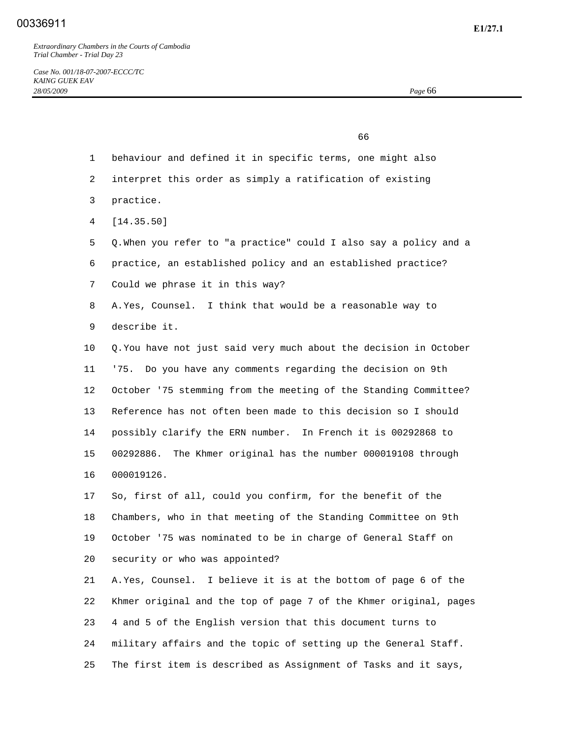## **E1/27.1** 00336911

*Extraordinary Chambers in the Courts of Cambodia Trial Chamber - Trial Day 23* 

 $\sim$  66 1 behaviour and defined it in specific terms, one might also 2 interpret this order as simply a ratification of existing 3 practice. 4 [14.35.50] 5 Q. When you refer to "a practice" could I also say a policy and a 6 practice, an established policy and an established practice? 7 Could we phrase it in this way? 8 A. Yes, Counsel. I think that would be a reasonable way to 9 describe it. 10 Q. You have not just said very much about the decision in October 11 '75. Do you have any comments regarding the decision on 9th 12 October '75 stemming from the meeting of the Standing Committee? 13 Reference has not often been made to this decision so I should 14 possibly clarify the ERN number. In French it is 00292868 to 15 00292886. The Khmer original has the number 000019108 through 16 000019126. 17 So, first of all, could you confirm, for the benefit of the 18 Chambers, who in that meeting of the Standing Committee on 9th 19 October '75 was nominated to be in charge of General Staff on 20 security or who was appointed? 21 A. Yes, Counsel. I believe it is at the bottom of page 6 of the 22 Khmer original and the top of page 7 of the Khmer original, pages 23 4 and 5 of the English version that this document turns to 24 military affairs and the topic of setting up the General Staff. 25 The first item is described as Assignment of Tasks and it says,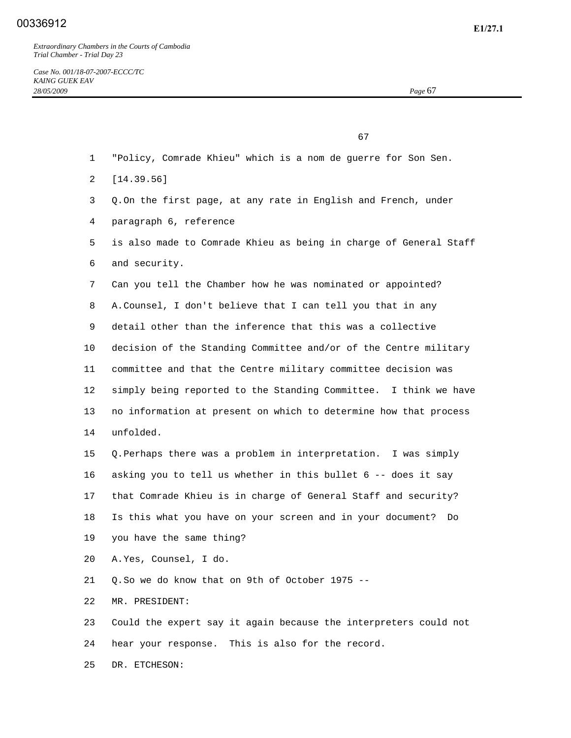67

- 1 "Policy, Comrade Khieu" which is a nom de guerre for Son Sen.
- 2 [14.39.56]
- 3 Q. On the first page, at any rate in English and French, under
- 4 paragraph 6, reference
- 5 is also made to Comrade Khieu as being in charge of General Staff 6 and security.
- 7 Can you tell the Chamber how he was nominated or appointed?
- 8 A. Counsel, I don't believe that I can tell you that in any
- 9 detail other than the inference that this was a collective
- 10 decision of the Standing Committee and/or of the Centre military
- 11 committee and that the Centre military committee decision was 12 simply being reported to the Standing Committee. I think we have 13 no information at present on which to determine how that process
- 14 unfolded.

 15 Q. Perhaps there was a problem in interpretation. I was simply 16 asking you to tell us whether in this bullet 6 -- does it say 17 that Comrade Khieu is in charge of General Staff and security? 18 Is this what you have on your screen and in your document? Do 19 you have the same thing?

- 20 A. Yes, Counsel, I do.
- 21 Q. So we do know that on 9th of October 1975 --
- 22 MR. PRESIDENT:

23 Could the expert say it again because the interpreters could not

24 hear your response. This is also for the record.

25 DR. ETCHESON: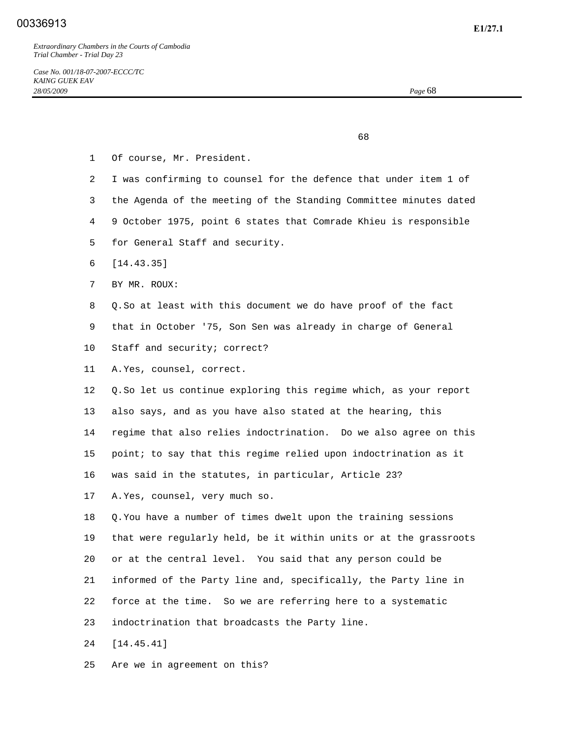$\sim$  68

- 1 Of course, Mr. President.
- 2 I was confirming to counsel for the defence that under item 1 of
- 3 the Agenda of the meeting of the Standing Committee minutes dated
- 4 9 October 1975, point 6 states that Comrade Khieu is responsible
- 5 for General Staff and security.
- 6 [14.43.35]
- 7 BY MR. ROUX:
- 8 Q. So at least with this document we do have proof of the fact
- 9 that in October '75, Son Sen was already in charge of General
- 10 Staff and security; correct?
- 11 A. Yes, counsel, correct.

 12 Q. So let us continue exploring this regime which, as your report 13 also says, and as you have also stated at the hearing, this 14 regime that also relies indoctrination. Do we also agree on this 15 point; to say that this regime relied upon indoctrination as it 16 was said in the statutes, in particular, Article 23?

17 A. Yes, counsel, very much so.

 18 Q. You have a number of times dwelt upon the training sessions 19 that were regularly held, be it within units or at the grassroots 20 or at the central level. You said that any person could be 21 informed of the Party line and, specifically, the Party line in 22 force at the time. So we are referring here to a systematic 23 indoctrination that broadcasts the Party line. 24 [14.45.41]

25 Are we in agreement on this?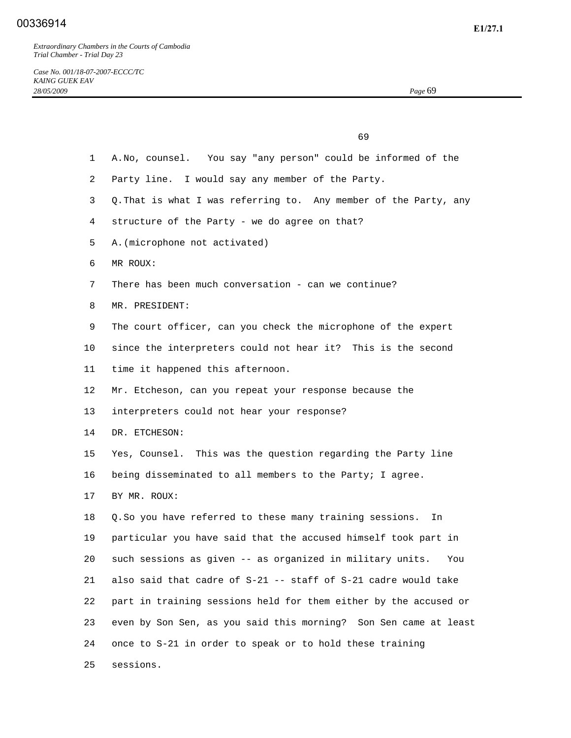|                 | 69                                                               |
|-----------------|------------------------------------------------------------------|
| $\mathbf{1}$    | A. No, counsel. You say "any person" could be informed of the    |
| $\overline{2}$  | Party line. I would say any member of the Party.                 |
| 3               | Q. That is what I was referring to. Any member of the Party, any |
| 4               | structure of the Party - we do agree on that?                    |
| 5.              | A. (microphone not activated)                                    |
| 6               | MR ROUX:                                                         |
| 7               | There has been much conversation - can we continue?              |
| 8               | MR. PRESIDENT:                                                   |
| 9               | The court officer, can you check the microphone of the expert    |
| $10 \,$         | since the interpreters could not hear it? This is the second     |
| 11              | time it happened this afternoon.                                 |
| 12 <sup>°</sup> | Mr. Etcheson, can you repeat your response because the           |
| 13              | interpreters could not hear your response?                       |
| 14              | DR. ETCHESON:                                                    |
| 15              | Yes, Counsel. This was the question regarding the Party line     |
| 16              | being disseminated to all members to the Party; I agree.         |
| 17              | BY MR. ROUX:                                                     |
| 18              | Q. So you have referred to these many training sessions.<br>In   |
| 19              | particular you have said that the accused himself took part in   |
| 20              | such sessions as given -- as organized in military units.<br>You |
| 21              | also said that cadre of S-21 -- staff of S-21 cadre would take   |
| 22              | part in training sessions held for them either by the accused or |
| 23              | even by Son Sen, as you said this morning? Son Sen came at least |
| 24              | once to S-21 in order to speak or to hold these training         |
| 25              | sessions.                                                        |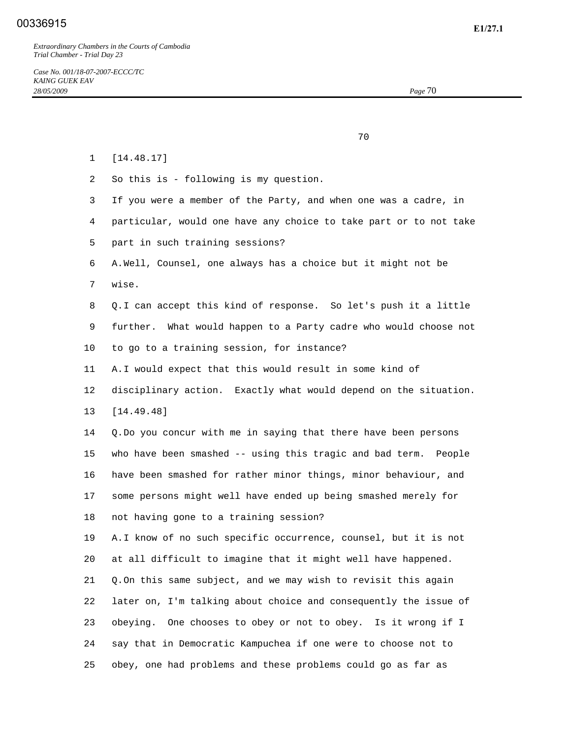70

 1 [14.48.17] 2 So this is - following is my question. 3 If you were a member of the Party, and when one was a cadre, in 4 particular, would one have any choice to take part or to not take 5 part in such training sessions? 6 A. Well, Counsel, one always has a choice but it might not be 7 wise. 8 Q. I can accept this kind of response. So let's push it a little 9 further. What would happen to a Party cadre who would choose not 10 to go to a training session, for instance? 11 A. I would expect that this would result in some kind of 12 disciplinary action. Exactly what would depend on the situation. 13 [14.49.48] 14 Q. Do you concur with me in saying that there have been persons 15 who have been smashed -- using this tragic and bad term. People 16 have been smashed for rather minor things, minor behaviour, and 17 some persons might well have ended up being smashed merely for 18 not having gone to a training session? 19 A. I know of no such specific occurrence, counsel, but it is not 20 at all difficult to imagine that it might well have happened. 21 Q. On this same subject, and we may wish to revisit this again 22 later on, I'm talking about choice and consequently the issue of 23 obeying. One chooses to obey or not to obey. Is it wrong if I 24 say that in Democratic Kampuchea if one were to choose not to 25 obey, one had problems and these problems could go as far as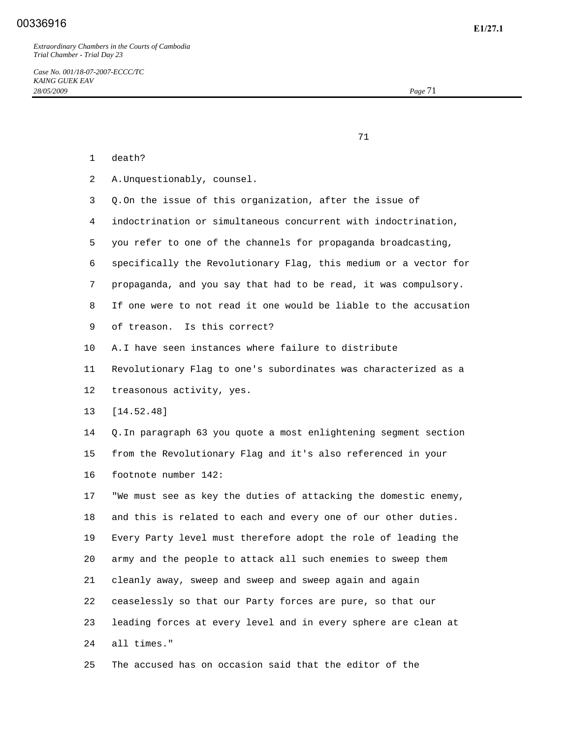## **E1/27.1** 00336916

*Extraordinary Chambers in the Courts of Cambodia Trial Chamber - Trial Day 23* 

*Case No. 001/18-07-2007-ECCC/TC KAING GUEK EAV 28/05/2009 Page* 71

71

- 1 death?
- 2 A. Unquestionably, counsel.
- 3 Q. On the issue of this organization, after the issue of
- 4 indoctrination or simultaneous concurrent with indoctrination,
- 5 you refer to one of the channels for propaganda broadcasting,
- 6 specifically the Revolutionary Flag, this medium or a vector for
- 7 propaganda, and you say that had to be read, it was compulsory.
- 8 If one were to not read it one would be liable to the accusation
- 9 of treason. Is this correct?
- 10 A. I have seen instances where failure to distribute
- 11 Revolutionary Flag to one's subordinates was characterized as a 12 treasonous activity, yes.
- 13 [14.52.48]
- 14 Q. In paragraph 63 you quote a most enlightening segment section 15 from the Revolutionary Flag and it's also referenced in your 16 footnote number 142:

 17 "We must see as key the duties of attacking the domestic enemy, 18 and this is related to each and every one of our other duties. 19 Every Party level must therefore adopt the role of leading the 20 army and the people to attack all such enemies to sweep them 21 cleanly away, sweep and sweep and sweep again and again 22 ceaselessly so that our Party forces are pure, so that our 23 leading forces at every level and in every sphere are clean at 24 all times."

25 The accused has on occasion said that the editor of the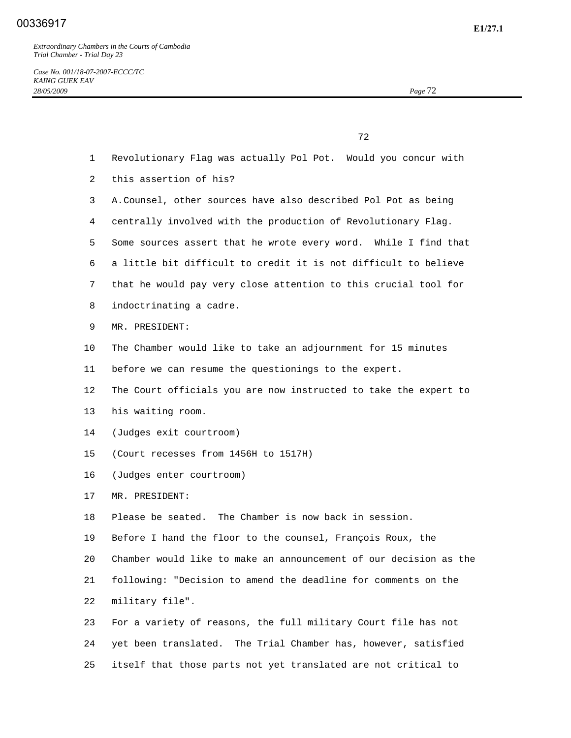*Case No. 001/18-07-2007-ECCC/TC KAING GUEK EAV 28/05/2009 Page* 72

<u>72</u> and 2012 and 2012 and 2012 and 2012 and 2012 and 2012 and 2012 and 2012 and 2012 and 2012 and 2012 and 2012 and 2012 and 2012 and 2012 and 2012 and 2012 and 2012 and 2012 and 2012 and 2012 and 2012 and 2012 and 2012

 2 this assertion of his? 3 A. Counsel, other sources have also described Pol Pot as being 4 centrally involved with the production of Revolutionary Flag. 5 Some sources assert that he wrote every word. While I find that 6 a little bit difficult to credit it is not difficult to believe 7 that he would pay very close attention to this crucial tool for 8 indoctrinating a cadre. 9 MR. PRESIDENT: 10 The Chamber would like to take an adjournment for 15 minutes 11 before we can resume the questionings to the expert. 12 The Court officials you are now instructed to take the expert to 13 his waiting room. 14 (Judges exit courtroom) 15 (Court recesses from 1456H to 1517H) 16 (Judges enter courtroom) 17 MR. PRESIDENT: 18 Please be seated. The Chamber is now back in session. 19 Before I hand the floor to the counsel, François Roux, the

1 Revolutionary Flag was actually Pol Pot. Would you concur with

 20 Chamber would like to make an announcement of our decision as the 21 following: "Decision to amend the deadline for comments on the 22 military file".

 23 For a variety of reasons, the full military Court file has not 24 yet been translated. The Trial Chamber has, however, satisfied 25 itself that those parts not yet translated are not critical to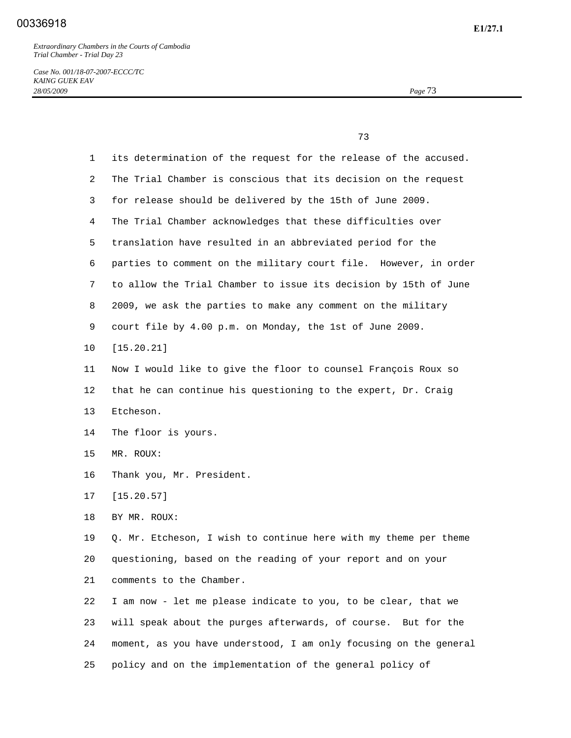*Case No. 001/18-07-2007-ECCC/TC KAING GUEK EAV 28/05/2009 Page* 73

 73 1 its determination of the request for the release of the accused. 2 The Trial Chamber is conscious that its decision on the request 3 for release should be delivered by the 15th of June 2009. 4 The Trial Chamber acknowledges that these difficulties over 5 translation have resulted in an abbreviated period for the 6 parties to comment on the military court file. However, in order 7 to allow the Trial Chamber to issue its decision by 15th of June 8 2009, we ask the parties to make any comment on the military 9 court file by 4.00 p.m. on Monday, the 1st of June 2009. 10 [15.20.21] 11 Now I would like to give the floor to counsel François Roux so 12 that he can continue his questioning to the expert, Dr. Craig 13 Etcheson. 14 The floor is yours. 15 MR. ROUX: 16 Thank you, Mr. President. 17 [15.20.57] 18 BY MR. ROUX: 19 Q. Mr. Etcheson, I wish to continue here with my theme per theme 20 questioning, based on the reading of your report and on your 21 comments to the Chamber. 22 I am now - let me please indicate to you, to be clear, that we 23 will speak about the purges afterwards, of course. But for the 24 moment, as you have understood, I am only focusing on the general

25 policy and on the implementation of the general policy of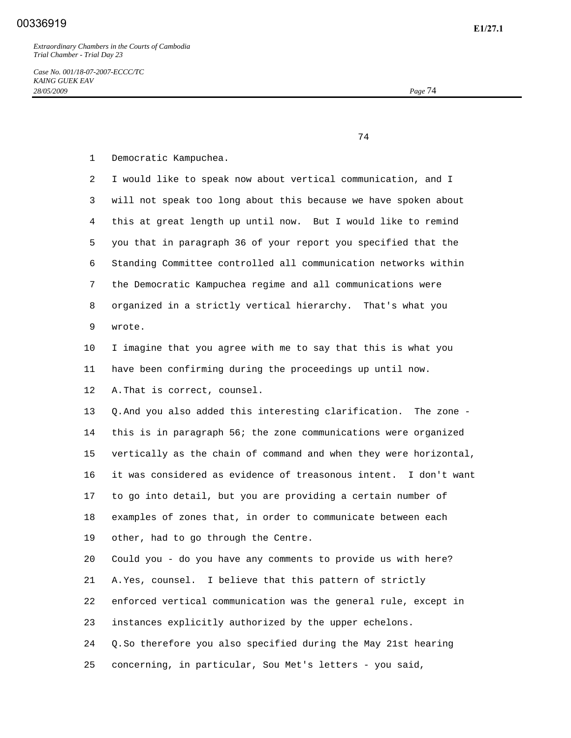74

1 Democratic Kampuchea.

 2 I would like to speak now about vertical communication, and I 3 will not speak too long about this because we have spoken about 4 this at great length up until now. But I would like to remind 5 you that in paragraph 36 of your report you specified that the 6 Standing Committee controlled all communication networks within 7 the Democratic Kampuchea regime and all communications were 8 organized in a strictly vertical hierarchy. That's what you 9 wrote.

 10 I imagine that you agree with me to say that this is what you 11 have been confirming during the proceedings up until now.

12 A. That is correct, counsel.

 13 Q. And you also added this interesting clarification. The zone - 14 this is in paragraph 56; the zone communications were organized 15 vertically as the chain of command and when they were horizontal, 16 it was considered as evidence of treasonous intent. I don't want 17 to go into detail, but you are providing a certain number of 18 examples of zones that, in order to communicate between each 19 other, had to go through the Centre.

 20 Could you - do you have any comments to provide us with here? 21 A. Yes, counsel. I believe that this pattern of strictly 22 enforced vertical communication was the general rule, except in 23 instances explicitly authorized by the upper echelons. 24 Q. So therefore you also specified during the May 21st hearing

25 concerning, in particular, Sou Met's letters - you said,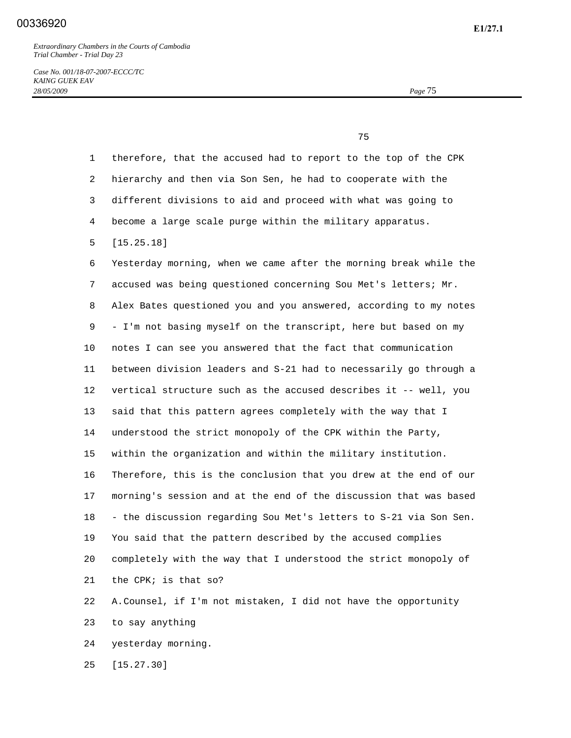*Case No. 001/18-07-2007-ECCC/TC KAING GUEK EAV 28/05/2009 Page* 75

75

| $\mathbf{1}$ | therefore, that the accused had to report to the top of the CPK   |
|--------------|-------------------------------------------------------------------|
| 2            | hierarchy and then via Son Sen, he had to cooperate with the      |
| 3            | different divisions to aid and proceed with what was going to     |
| 4            | become a large scale purge within the military apparatus.         |
| 5            | [15.25.18]                                                        |
| 6            | Yesterday morning, when we came after the morning break while the |
| 7            | accused was being questioned concerning Sou Met's letters; Mr.    |
| 8            | Alex Bates questioned you and you answered, according to my notes |
| 9            | - I'm not basing myself on the transcript, here but based on my   |
| 10           | notes I can see you answered that the fact that communication     |
| 11           | between division leaders and S-21 had to necessarily go through a |
| 12           | vertical structure such as the accused describes it -- well, you  |
| 13           | said that this pattern agrees completely with the way that I      |
| 14           | understood the strict monopoly of the CPK within the Party,       |
| 15           | within the organization and within the military institution.      |
| 16           | Therefore, this is the conclusion that you drew at the end of our |
| 17           | morning's session and at the end of the discussion that was based |
| 18           | - the discussion regarding Sou Met's letters to S-21 via Son Sen. |
| 19           | You said that the pattern described by the accused complies       |
| 20           | completely with the way that I understood the strict monopoly of  |
| 21           | the CPK; is that so?                                              |
| 22           | A. Counsel, if I'm not mistaken, I did not have the opportunity   |
| 23           | to say anything                                                   |
| 24           | yesterday morning.                                                |
| 25           | [15.27.30]                                                        |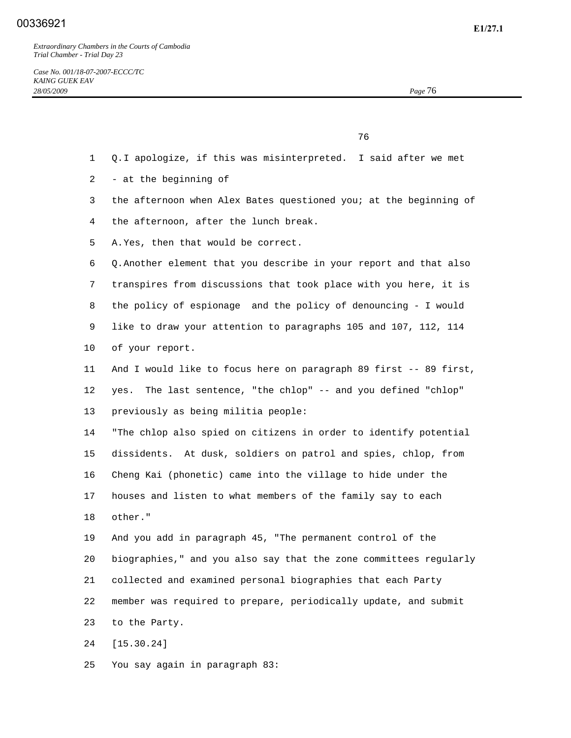*Case No. 001/18-07-2007-ECCC/TC KAING GUEK EAV 28/05/2009 Page* 76

76

- 1 Q. I apologize, if this was misinterpreted. I said after we met
- 2 at the beginning of
- 3 the afternoon when Alex Bates questioned you; at the beginning of
- 4 the afternoon, after the lunch break.
- 5 A. Yes, then that would be correct.

 6 Q. Another element that you describe in your report and that also 7 transpires from discussions that took place with you here, it is 8 the policy of espionage and the policy of denouncing - I would 9 like to draw your attention to paragraphs 105 and 107, 112, 114 10 of your report.

11 And I would like to focus here on paragraph 89 first -- 89 first, 12 yes. The last sentence, "the chlop" -- and you defined "chlop" 13 previously as being militia people:

 14 "The chlop also spied on citizens in order to identify potential 15 dissidents. At dusk, soldiers on patrol and spies, chlop, from 16 Cheng Kai (phonetic) came into the village to hide under the 17 houses and listen to what members of the family say to each 18 other."

 19 And you add in paragraph 45, "The permanent control of the 20 biographies," and you also say that the zone committees regularly 21 collected and examined personal biographies that each Party 22 member was required to prepare, periodically update, and submit 23 to the Party.

24 [15.30.24]

25 You say again in paragraph 83: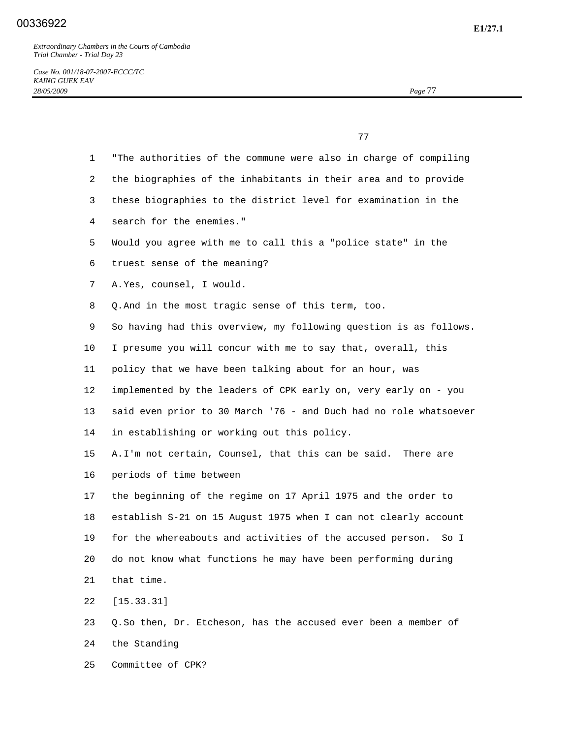*Case No. 001/18-07-2007-ECCC/TC KAING GUEK EAV 28/05/2009 Page* 77

 77 1 "The authorities of the commune were also in charge of compiling 2 the biographies of the inhabitants in their area and to provide 3 these biographies to the district level for examination in the 4 search for the enemies." 5 Would you agree with me to call this a "police state" in the 6 truest sense of the meaning? 7 A. Yes, counsel, I would. 8 Q. And in the most tragic sense of this term, too. 9 So having had this overview, my following question is as follows. 10 I presume you will concur with me to say that, overall, this 11 policy that we have been talking about for an hour, was 12 implemented by the leaders of CPK early on, very early on - you 13 said even prior to 30 March '76 - and Duch had no role whatsoever 14 in establishing or working out this policy. 15 A. I'm not certain, Counsel, that this can be said. There are 16 periods of time between 17 the beginning of the regime on 17 April 1975 and the order to 18 establish S-21 on 15 August 1975 when I can not clearly account 19 for the whereabouts and activities of the accused person. So I 20 do not know what functions he may have been performing during 21 that time. 22 [15.33.31] 23 Q. So then, Dr. Etcheson, has the accused ever been a member of 24 the Standing

25 Committee of CPK?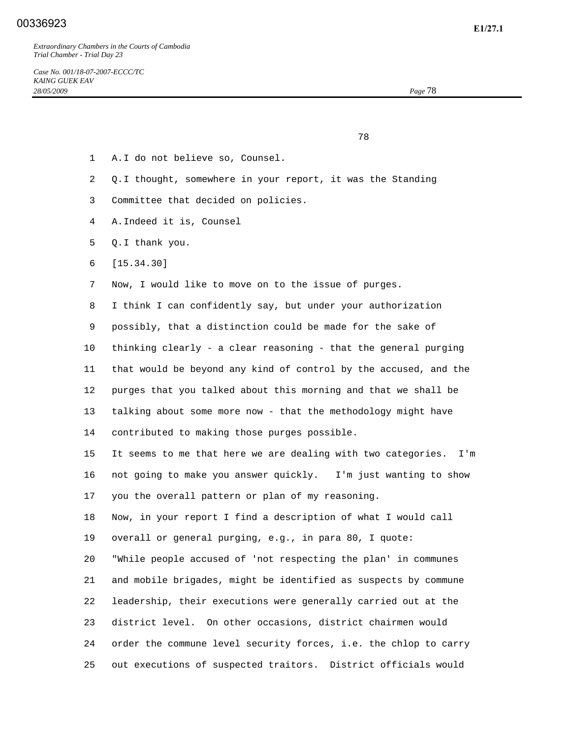## **E1/27.1** 00336923

*Extraordinary Chambers in the Courts of Cambodia Trial Chamber - Trial Day 23* 

<u>28 and 28 and 28 and 28 and 28 and 28 and 28 and 28 and 28 and 28 and 28 and 28 and 28 and 28 and 28 and 28 and 28 and 28 and 28 and 28 and 28 and 28 and 28 and 28 and 28 and 28 and 28 and 28 and 28 and 28 and 28 and 28 a</u>

- 1 A. I do not believe so, Counsel.
- 2 Q. I thought, somewhere in your report, it was the Standing
- 3 Committee that decided on policies.
- 4 A. Indeed it is, Counsel
- 5 Q. I thank you.
- 6 [15.34.30]

7 Now, I would like to move on to the issue of purges.

 8 I think I can confidently say, but under your authorization 9 possibly, that a distinction could be made for the sake of 10 thinking clearly - a clear reasoning - that the general purging 11 that would be beyond any kind of control by the accused, and the 12 purges that you talked about this morning and that we shall be 13 talking about some more now - that the methodology might have 14 contributed to making those purges possible.

 15 It seems to me that here we are dealing with two categories. I'm 16 not going to make you answer quickly. I'm just wanting to show 17 you the overall pattern or plan of my reasoning.

 18 Now, in your report I find a description of what I would call 19 overall or general purging, e.g., in para 80, I quote: 20 "While people accused of 'not respecting the plan' in communes 21 and mobile brigades, might be identified as suspects by commune 22 leadership, their executions were generally carried out at the 23 district level. On other occasions, district chairmen would 24 order the commune level security forces, i.e. the chlop to carry 25 out executions of suspected traitors. District officials would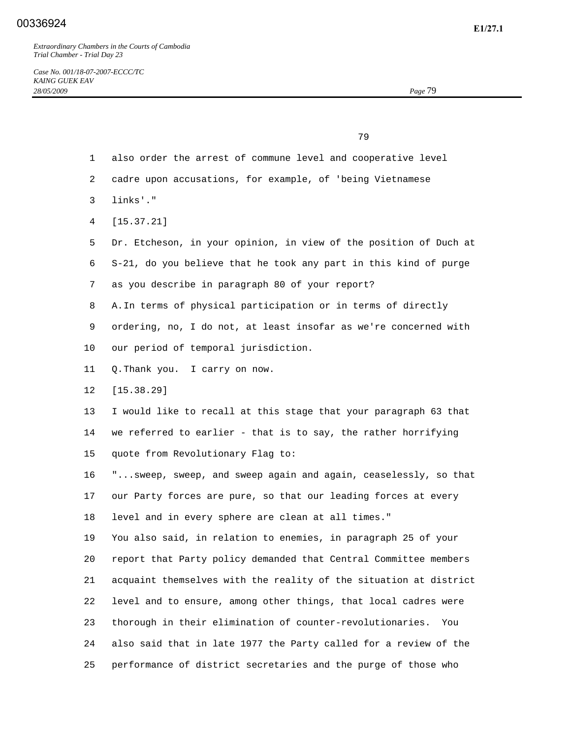79

- 1 also order the arrest of commune level and cooperative level
- 2 cadre upon accusations, for example, of 'being Vietnamese
- 3 links'."
- 4 [15.37.21]
- 5 Dr. Etcheson, in your opinion, in view of the position of Duch at 6 S-21, do you believe that he took any part in this kind of purge 7 as you describe in paragraph 80 of your report?
- 8 A. In terms of physical participation or in terms of directly
- 9 ordering, no, I do not, at least insofar as we're concerned with 10 our period of temporal jurisdiction.
- 11 Q. Thank you. I carry on now.
- 12 [15.38.29]
- 13 I would like to recall at this stage that your paragraph 63 that 14 we referred to earlier - that is to say, the rather horrifying 15 quote from Revolutionary Flag to:

 16 "...sweep, sweep, and sweep again and again, ceaselessly, so that 17 our Party forces are pure, so that our leading forces at every 18 level and in every sphere are clean at all times."

 19 You also said, in relation to enemies, in paragraph 25 of your 20 report that Party policy demanded that Central Committee members 21 acquaint themselves with the reality of the situation at district 22 level and to ensure, among other things, that local cadres were 23 thorough in their elimination of counter-revolutionaries. You 24 also said that in late 1977 the Party called for a review of the 25 performance of district secretaries and the purge of those who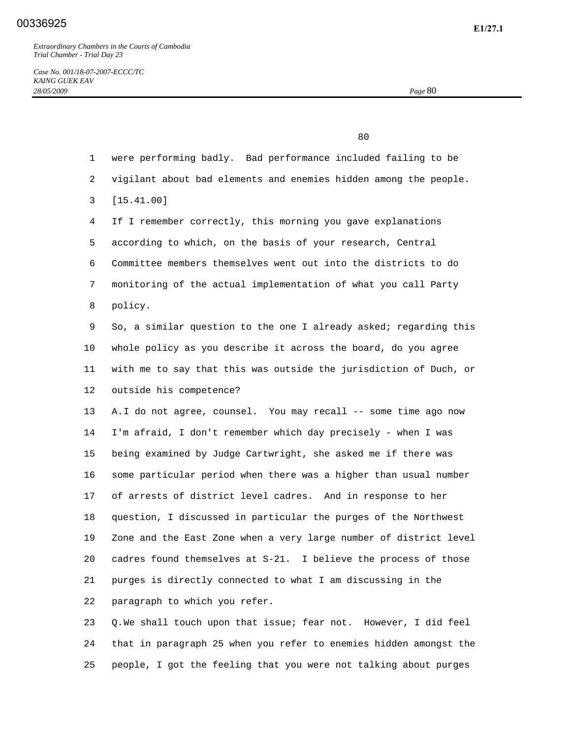*Case No. 001/18-07-2007-ECCC/TC KAING GUEK EAV 28/05/2009 Page* 80

 80 1 were performing badly. Bad performance included failing to be 2 vigilant about bad elements and enemies hidden among the people. 3 [15.41.00] 4 If I remember correctly, this morning you gave explanations 5 according to which, on the basis of your research, Central 6 Committee members themselves went out into the districts to do 7 monitoring of the actual implementation of what you call Party 8 policy. 9 So, a similar question to the one I already asked; regarding this 10 whole policy as you describe it across the board, do you agree 11 with me to say that this was outside the jurisdiction of Duch, or 12 outside his competence? 13 A. I do not agree, counsel. You may recall -- some time ago now 14 I'm afraid, I don't remember which day precisely - when I was 15 being examined by Judge Cartwright, she asked me if there was 16 some particular period when there was a higher than usual number 17 of arrests of district level cadres. And in response to her 18 question, I discussed in particular the purges of the Northwest 19 Zone and the East Zone when a very large number of district level 20 cadres found themselves at S-21. I believe the process of those 21 purges is directly connected to what I am discussing in the 22 paragraph to which you refer.

 23 Q. We shall touch upon that issue; fear not. However, I did feel 24 that in paragraph 25 when you refer to enemies hidden amongst the 25 people, I got the feeling that you were not talking about purges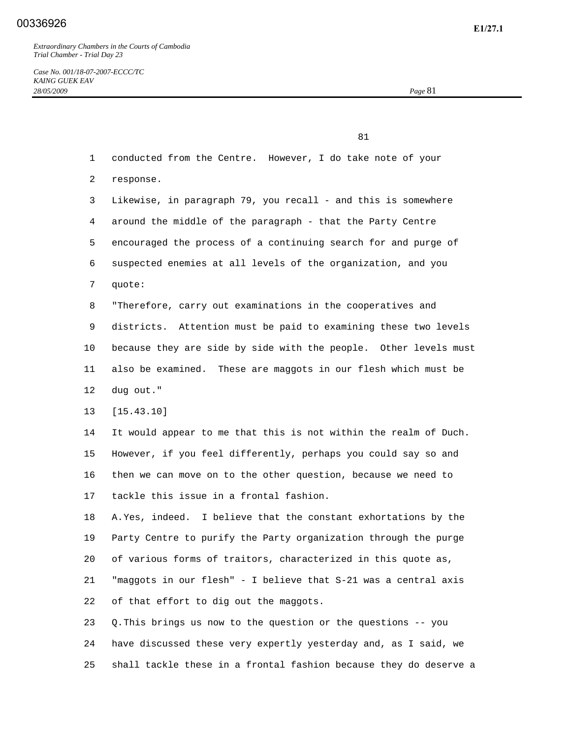*Case No. 001/18-07-2007-ECCC/TC KAING GUEK EAV 28/05/2009 Page* 81

 81 1 conducted from the Centre. However, I do take note of your 2 response. 3 Likewise, in paragraph 79, you recall - and this is somewhere 4 around the middle of the paragraph - that the Party Centre 5 encouraged the process of a continuing search for and purge of 6 suspected enemies at all levels of the organization, and you 7 quote: 8 "Therefore, carry out examinations in the cooperatives and 9 districts. Attention must be paid to examining these two levels 10 because they are side by side with the people. Other levels must 11 also be examined. These are maggots in our flesh which must be 12 dug out." 13 [15.43.10] 14 It would appear to me that this is not within the realm of Duch. 15 However, if you feel differently, perhaps you could say so and 16 then we can move on to the other question, because we need to 17 tackle this issue in a frontal fashion. 18 A. Yes, indeed. I believe that the constant exhortations by the 19 Party Centre to purify the Party organization through the purge 20 of various forms of traitors, characterized in this quote as, 21 "maggots in our flesh" - I believe that S-21 was a central axis 22 of that effort to dig out the maggots. 23 Q. This brings us now to the question or the questions -- you 24 have discussed these very expertly yesterday and, as I said, we

25 shall tackle these in a frontal fashion because they do deserve a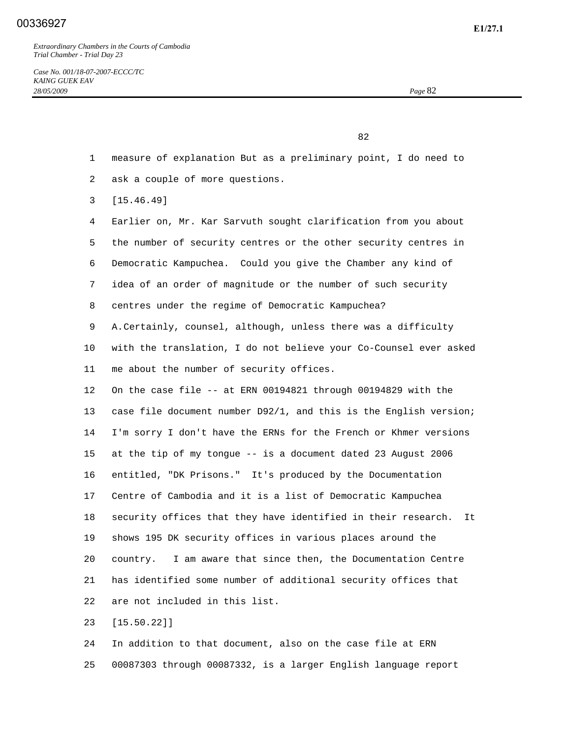*Case No. 001/18-07-2007-ECCC/TC KAING GUEK EAV 28/05/2009 Page* 82

82

- 1 measure of explanation But as a preliminary point, I do need to
- 2 ask a couple of more questions.
- 3 [15.46.49]

 4 Earlier on, Mr. Kar Sarvuth sought clarification from you about 5 the number of security centres or the other security centres in 6 Democratic Kampuchea. Could you give the Chamber any kind of 7 idea of an order of magnitude or the number of such security 8 centres under the regime of Democratic Kampuchea? 9 A. Certainly, counsel, although, unless there was a difficulty 10 with the translation, I do not believe your Co-Counsel ever asked 11 me about the number of security offices. 12 On the case file -- at ERN 00194821 through 00194829 with the 13 case file document number D92/1, and this is the English version; 14 I'm sorry I don't have the ERNs for the French or Khmer versions 15 at the tip of my tongue -- is a document dated 23 August 2006 16 entitled, "DK Prisons." It's produced by the Documentation 17 Centre of Cambodia and it is a list of Democratic Kampuchea 18 security offices that they have identified in their research. It 19 shows 195 DK security offices in various places around the 20 country. I am aware that since then, the Documentation Centre 21 has identified some number of additional security offices that 22 are not included in this list.

23 [15.50.22]]

 24 In addition to that document, also on the case file at ERN 25 00087303 through 00087332, is a larger English language report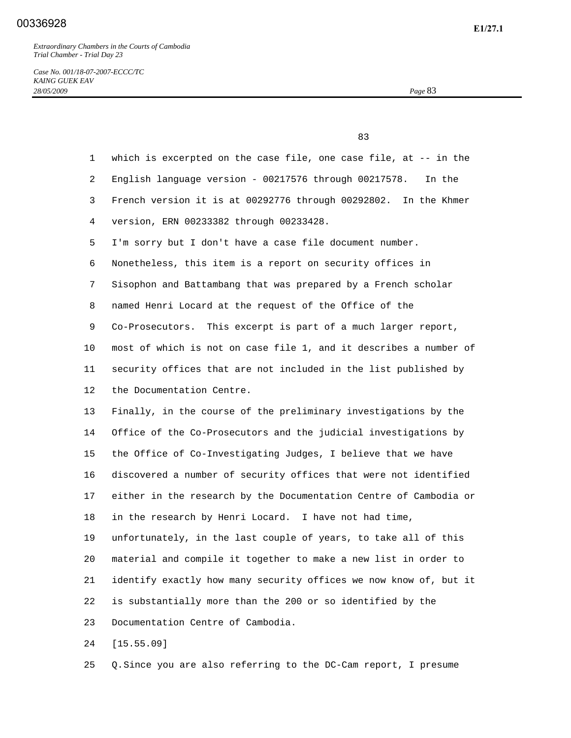experience of the state of the state of the state of the state of the state of the state of the state of the s

*Case No. 001/18-07-2007-ECCC/TC KAING GUEK EAV 28/05/2009 Page* 83

| $\mathbf{1}$ | which is excerpted on the case file, one case file, at $-$ in the  |
|--------------|--------------------------------------------------------------------|
| 2            | English language version - 00217576 through 00217578.<br>In the    |
| 3            | French version it is at 00292776 through 00292802.<br>In the Khmer |
| 4            | version, ERN 00233382 through 00233428.                            |
| 5            | I'm sorry but I don't have a case file document number.            |
| 6            | Nonetheless, this item is a report on security offices in          |
| 7            | Sisophon and Battambang that was prepared by a French scholar      |
| 8            | named Henri Locard at the request of the Office of the             |
| 9            | Co-Prosecutors. This excerpt is part of a much larger report,      |
| 10           | most of which is not on case file 1, and it describes a number of  |
| 11           | security offices that are not included in the list published by    |
| 12           | the Documentation Centre.                                          |
| 13           | Finally, in the course of the preliminary investigations by the    |
| 14           | Office of the Co-Prosecutors and the judicial investigations by    |
| 15           | the Office of Co-Investigating Judges, I believe that we have      |
| 16           | discovered a number of security offices that were not identified   |
| 17           | either in the research by the Documentation Centre of Cambodia or  |
| 18           | in the research by Henri Locard. I have not had time,              |
| 19           | unfortunately, in the last couple of years, to take all of this    |
| 20           | material and compile it together to make a new list in order to    |
| 21           | identify exactly how many security offices we now know of, but it  |
| 22           | is substantially more than the 200 or so identified by the         |
| 23           | Documentation Centre of Cambodia.                                  |
| 24           | [15.55.09]                                                         |

25 Q. Since you are also referring to the DC-Cam report, I presume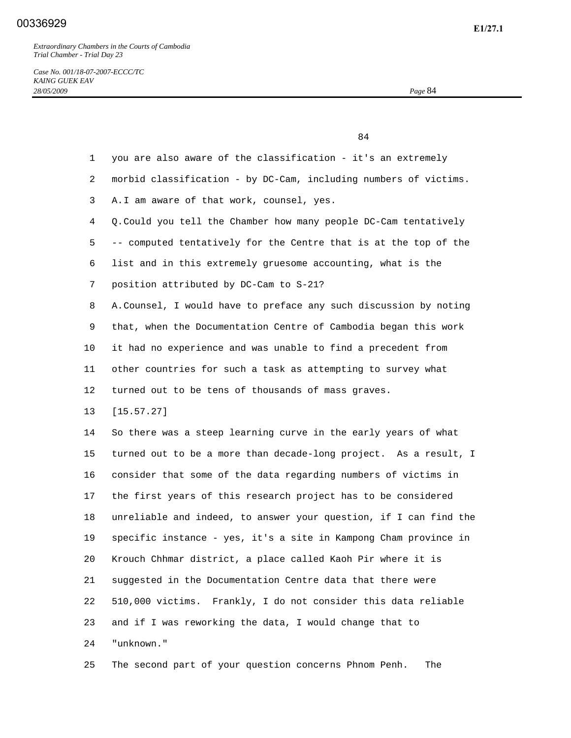84

*Case No. 001/18-07-2007-ECCC/TC KAING GUEK EAV 28/05/2009 Page* 84

| $\mathbf{1}$ | you are also aware of the classification - it's an extremely      |
|--------------|-------------------------------------------------------------------|
| 2            | morbid classification - by DC-Cam, including numbers of victims.  |
| 3            | A. I am aware of that work, counsel, yes.                         |
| 4            | Q. Could you tell the Chamber how many people DC-Cam tentatively  |
| 5            | -- computed tentatively for the Centre that is at the top of the  |
| 6            | list and in this extremely gruesome accounting, what is the       |
| 7            | position attributed by DC-Cam to S-21?                            |
| 8            | A. Counsel, I would have to preface any such discussion by noting |
| 9            | that, when the Documentation Centre of Cambodia began this work   |
| 10           | it had no experience and was unable to find a precedent from      |
| 11           | other countries for such a task as attempting to survey what      |
| 12           | turned out to be tens of thousands of mass graves.                |
| 13           | [15.57.27]                                                        |
| 14           | So there was a steep learning curve in the early years of what    |
| 15           | turned out to be a more than decade-long project. As a result, I  |
| 16           | consider that some of the data regarding numbers of victims in    |
| 17           | the first years of this research project has to be considered     |
| 18           | unreliable and indeed, to answer your question, if I can find the |
| 19           | specific instance - yes, it's a site in Kampong Cham province in  |
| 20           | Krouch Chhmar district, a place called Kaoh Pir where it is       |
| 21           | suggested in the Documentation Centre data that there were        |
| 22           | Frankly, I do not consider this data reliable<br>510,000 victims. |
| 23           | and if I was reworking the data, I would change that to           |
| 24           | "unknown."                                                        |
|              |                                                                   |

25 The second part of your question concerns Phnom Penh. The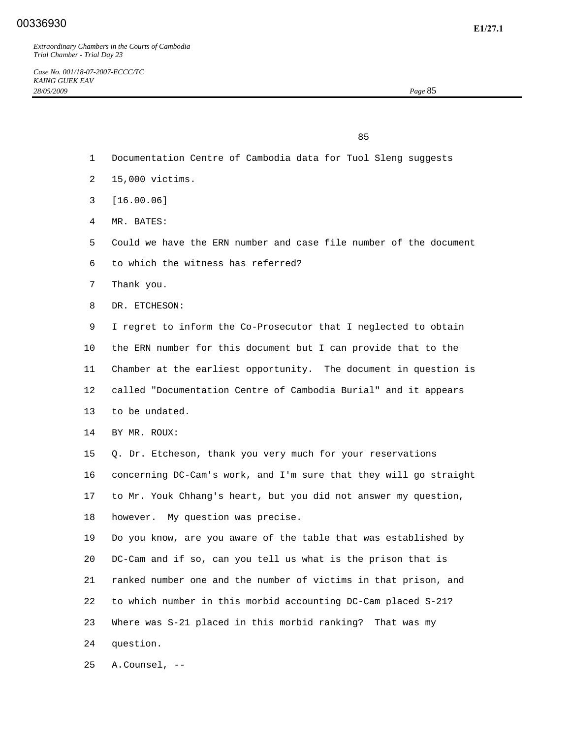85

- 1 Documentation Centre of Cambodia data for Tuol Sleng suggests
- 2 15,000 victims.
- 3 [16.00.06]
- 4 MR. BATES:
- 5 Could we have the ERN number and case file number of the document
- 6 to which the witness has referred?
- 7 Thank you.
- 8 DR. ETCHESON:

 9 I regret to inform the Co-Prosecutor that I neglected to obtain 10 the ERN number for this document but I can provide that to the 11 Chamber at the earliest opportunity. The document in question is 12 called "Documentation Centre of Cambodia Burial" and it appears 13 to be undated.

14 BY MR. ROUX:

 15 Q. Dr. Etcheson, thank you very much for your reservations 16 concerning DC-Cam's work, and I'm sure that they will go straight 17 to Mr. Youk Chhang's heart, but you did not answer my question, 18 however. My question was precise.

 19 Do you know, are you aware of the table that was established by 20 DC-Cam and if so, can you tell us what is the prison that is 21 ranked number one and the number of victims in that prison, and 22 to which number in this morbid accounting DC-Cam placed S-21? 23 Where was S-21 placed in this morbid ranking? That was my 24 question.

25 A. Counsel, --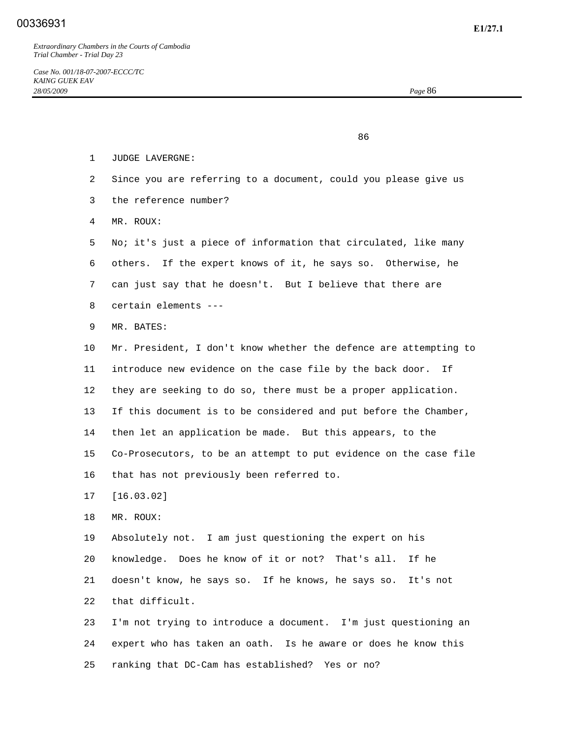<u>86 and 2001 and 2002 and 2003 and 2003 and 2003 and 2003 and 2003 and 2003 and 2003 and 2003 and 2003 and 200</u>

- 1 JUDGE LAVERGNE:
- 2 Since you are referring to a document, could you please give us
- 3 the reference number?
- 4 MR. ROUX:
- 5 No; it's just a piece of information that circulated, like many 6 others. If the expert knows of it, he says so. Otherwise, he 7 can just say that he doesn't. But I believe that there are 8 certain elements ---
- 9 MR. BATES:
- 10 Mr. President, I don't know whether the defence are attempting to 11 introduce new evidence on the case file by the back door. If 12 they are seeking to do so, there must be a proper application. 13 If this document is to be considered and put before the Chamber, 14 then let an application be made. But this appears, to the 15 Co-Prosecutors, to be an attempt to put evidence on the case file 16 that has not previously been referred to.
- 17 [16.03.02]
- 18 MR. ROUX:

 19 Absolutely not. I am just questioning the expert on his 20 knowledge. Does he know of it or not? That's all. If he 21 doesn't know, he says so. If he knows, he says so. It's not 22 that difficult.

 23 I'm not trying to introduce a document. I'm just questioning an 24 expert who has taken an oath. Is he aware or does he know this 25 ranking that DC-Cam has established? Yes or no?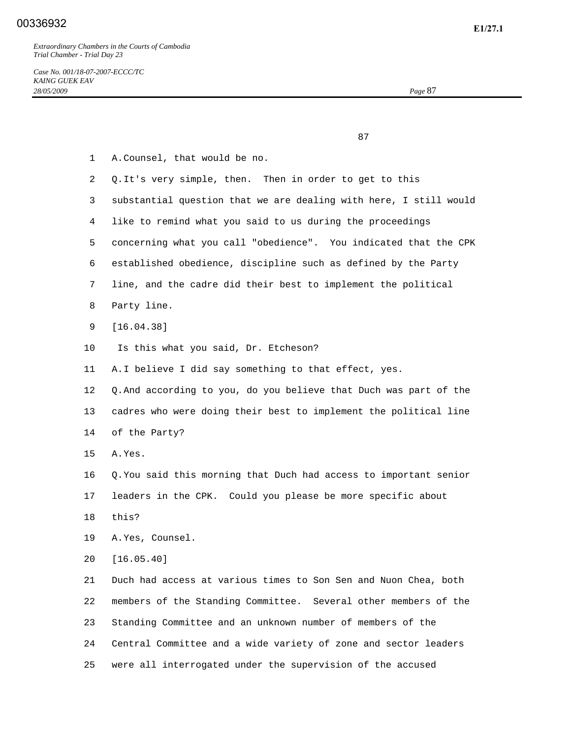87

 1 A. Counsel, that would be no. 2 Q. It's very simple, then. Then in order to get to this 3 substantial question that we are dealing with here, I still would 4 like to remind what you said to us during the proceedings 5 concerning what you call "obedience". You indicated that the CPK 6 established obedience, discipline such as defined by the Party 7 line, and the cadre did their best to implement the political 8 Party line. 9 [16.04.38] 10 Is this what you said, Dr. Etcheson? 11 A. I believe I did say something to that effect, yes. 12 Q. And according to you, do you believe that Duch was part of the 13 cadres who were doing their best to implement the political line 14 of the Party? 15 A. Yes. 16 Q. You said this morning that Duch had access to important senior 17 leaders in the CPK. Could you please be more specific about 18 this? 19 A. Yes, Counsel. 20 [16.05.40] 21 Duch had access at various times to Son Sen and Nuon Chea, both 22 members of the Standing Committee. Several other members of the 23 Standing Committee and an unknown number of members of the 24 Central Committee and a wide variety of zone and sector leaders 25 were all interrogated under the supervision of the accused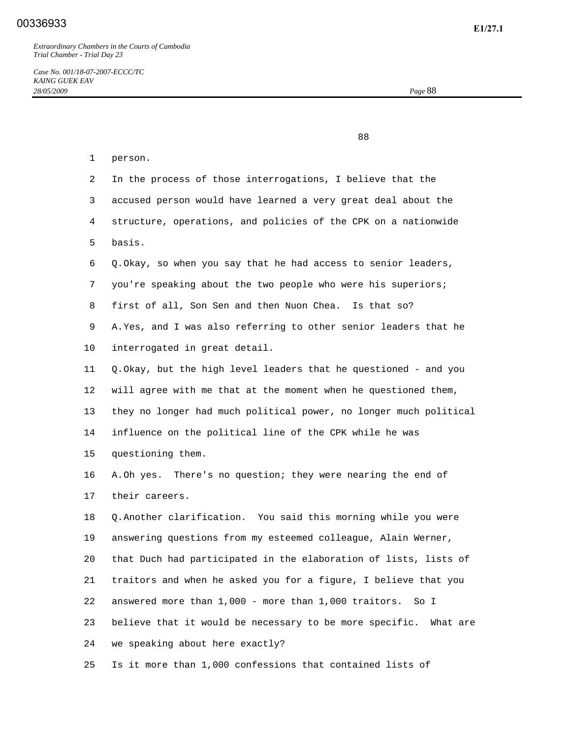88

| 1               | person.                                                             |
|-----------------|---------------------------------------------------------------------|
| 2               | In the process of those interrogations, I believe that the          |
| 3               | accused person would have learned a very great deal about the       |
| 4               | structure, operations, and policies of the CPK on a nationwide      |
| 5               | basis.                                                              |
| 6               | Q. Okay, so when you say that he had access to senior leaders,      |
| 7               | you're speaking about the two people who were his superiors;        |
| 8               | first of all, Son Sen and then Nuon Chea. Is that so?               |
| 9               | A. Yes, and I was also referring to other senior leaders that he    |
| 10              | interrogated in great detail.                                       |
| 11              | Q. Okay, but the high level leaders that he questioned - and you    |
| 12 <sup>°</sup> | will agree with me that at the moment when he questioned them,      |
| 13              | they no longer had much political power, no longer much political   |
| 14              | influence on the political line of the CPK while he was             |
| 15              | questioning them.                                                   |
| 16              | A.Oh yes. There's no question; they were nearing the end of         |
| 17              | their careers.                                                      |
| 18              | Q. Another clarification. You said this morning while you were      |
| 19              | answering questions from my esteemed colleague, Alain Werner,       |
| 20              | that Duch had participated in the elaboration of lists, lists of    |
| 21              | traitors and when he asked you for a figure, I believe that you     |
| 22              | answered more than 1,000 - more than 1,000 traitors.<br>So I        |
| 23              | believe that it would be necessary to be more specific.<br>What are |
| 24              | we speaking about here exactly?                                     |
|                 |                                                                     |

25 Is it more than 1,000 confessions that contained lists of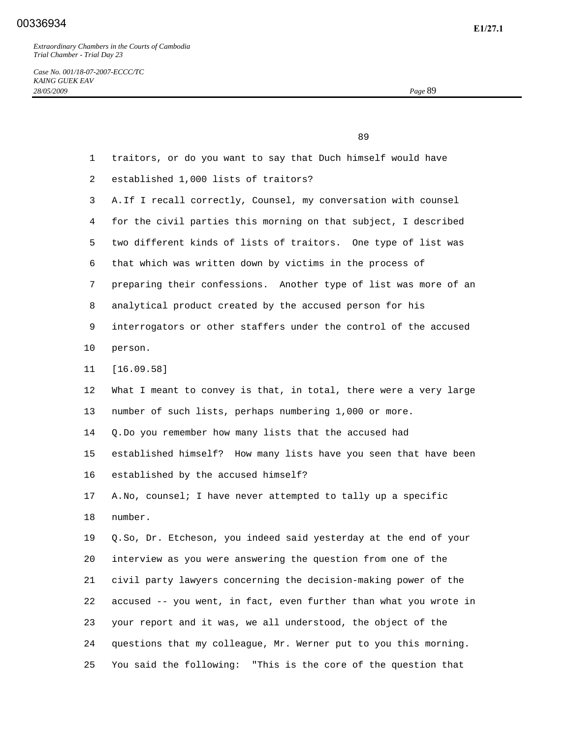*Case No. 001/18-07-2007-ECCC/TC KAING GUEK EAV 28/05/2009 Page* 89

 89 1 traitors, or do you want to say that Duch himself would have 2 established 1,000 lists of traitors? 3 A. If I recall correctly, Counsel, my conversation with counsel 4 for the civil parties this morning on that subject, I described 5 two different kinds of lists of traitors. One type of list was 6 that which was written down by victims in the process of 7 preparing their confessions. Another type of list was more of an 8 analytical product created by the accused person for his 9 interrogators or other staffers under the control of the accused 10 person. 11 [16.09.58] 12 What I meant to convey is that, in total, there were a very large 13 number of such lists, perhaps numbering 1,000 or more. 14 Q. Do you remember how many lists that the accused had 15 established himself? How many lists have you seen that have been 16 established by the accused himself? 17 A. No, counsel; I have never attempted to tally up a specific 18 number. 19 Q. So, Dr. Etcheson, you indeed said yesterday at the end of your 20 interview as you were answering the question from one of the 21 civil party lawyers concerning the decision-making power of the 22 accused -- you went, in fact, even further than what you wrote in 23 your report and it was, we all understood, the object of the 24 questions that my colleague, Mr. Werner put to you this morning. 25 You said the following: "This is the core of the question that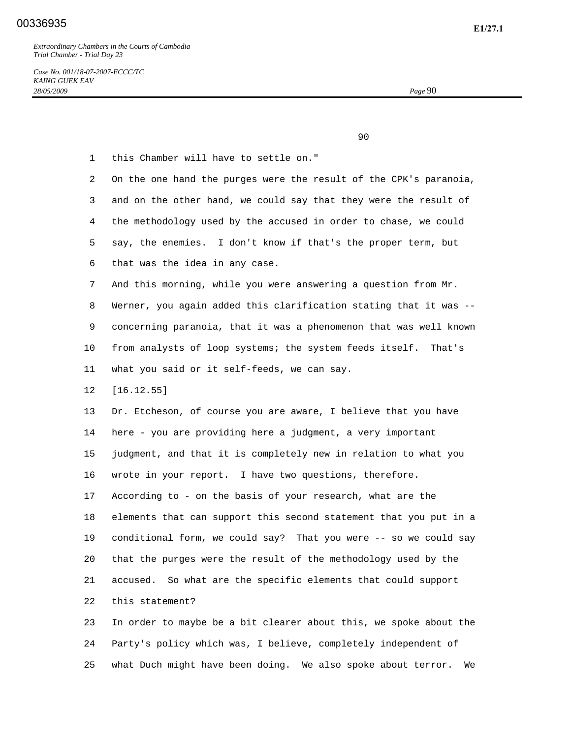*Case No. 001/18-07-2007-ECCC/TC KAING GUEK EAV 28/05/2009 Page* 90

90

 1 this Chamber will have to settle on." 2 On the one hand the purges were the result of the CPK's paranoia, 3 and on the other hand, we could say that they were the result of 4 the methodology used by the accused in order to chase, we could 5 say, the enemies. I don't know if that's the proper term, but 6 that was the idea in any case. 7 And this morning, while you were answering a question from Mr. 8 Werner, you again added this clarification stating that it was -- 9 concerning paranoia, that it was a phenomenon that was well known 10 from analysts of loop systems; the system feeds itself. That's 11 what you said or it self-feeds, we can say. 12 [16.12.55] 13 Dr. Etcheson, of course you are aware, I believe that you have 14 here - you are providing here a judgment, a very important 15 judgment, and that it is completely new in relation to what you 16 wrote in your report. I have two questions, therefore. 17 According to - on the basis of your research, what are the 18 elements that can support this second statement that you put in a 19 conditional form, we could say? That you were -- so we could say 20 that the purges were the result of the methodology used by the 21 accused. So what are the specific elements that could support 22 this statement? 23 In order to maybe be a bit clearer about this, we spoke about the 24 Party's policy which was, I believe, completely independent of

25 what Duch might have been doing. We also spoke about terror. We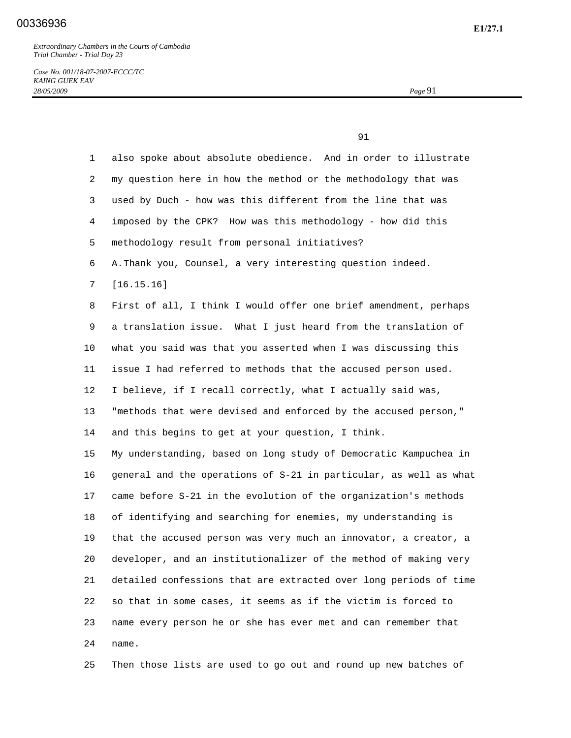91

*Case No. 001/18-07-2007-ECCC/TC KAING GUEK EAV 28/05/2009 Page* 91

 1 also spoke about absolute obedience. And in order to illustrate 2 my question here in how the method or the methodology that was 3 used by Duch - how was this different from the line that was 4 imposed by the CPK? How was this methodology - how did this 5 methodology result from personal initiatives? 6 A. Thank you, Counsel, a very interesting question indeed. 7 [16.15.16] 8 First of all, I think I would offer one brief amendment, perhaps 9 a translation issue. What I just heard from the translation of 10 what you said was that you asserted when I was discussing this 11 issue I had referred to methods that the accused person used. 12 I believe, if I recall correctly, what I actually said was, 13 "methods that were devised and enforced by the accused person," 14 and this begins to get at your question, I think. 15 My understanding, based on long study of Democratic Kampuchea in 16 general and the operations of S-21 in particular, as well as what 17 came before S-21 in the evolution of the organization's methods 18 of identifying and searching for enemies, my understanding is 19 that the accused person was very much an innovator, a creator, a 20 developer, and an institutionalizer of the method of making very 21 detailed confessions that are extracted over long periods of time 22 so that in some cases, it seems as if the victim is forced to 23 name every person he or she has ever met and can remember that 24 name.

25 Then those lists are used to go out and round up new batches of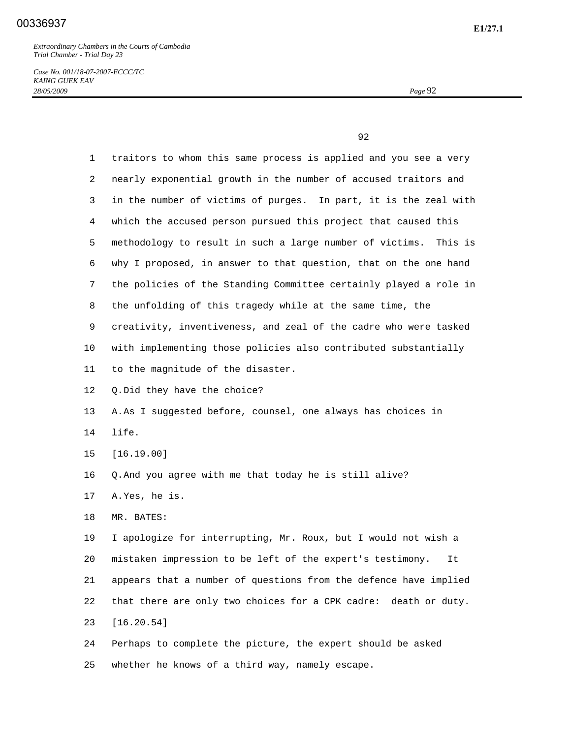*Case No. 001/18-07-2007-ECCC/TC KAING GUEK EAV 28/05/2009 Page* 92

 $\sim$  92

| $\mathbf{1}$ | traitors to whom this same process is applied and you see a very    |
|--------------|---------------------------------------------------------------------|
| 2            | nearly exponential growth in the number of accused traitors and     |
| 3            | in the number of victims of purges. In part, it is the zeal with    |
| 4            | which the accused person pursued this project that caused this      |
| 5            | methodology to result in such a large number of victims.<br>This is |
| 6            | why I proposed, in answer to that question, that on the one hand    |
| 7            | the policies of the Standing Committee certainly played a role in   |
| 8            | the unfolding of this tragedy while at the same time, the           |
| 9            | creativity, inventiveness, and zeal of the cadre who were tasked    |
| 10           | with implementing those policies also contributed substantially     |
| 11           | to the magnitude of the disaster.                                   |
| 12           | Q. Did they have the choice?                                        |
| 13           | A.As I suggested before, counsel, one always has choices in         |
| 14           | life.                                                               |
| 15           | [16.19.00]                                                          |
| 16           | Q. And you agree with me that today he is still alive?              |
| 17           | A.Yes, he is.                                                       |
| 18           | MR. BATES:                                                          |
| 19           | I apologize for interrupting, Mr. Roux, but I would not wish a      |
| 20           | mistaken impression to be left of the expert's testimony.<br>It     |
| 21           | appears that a number of questions from the defence have implied    |
| 22           | that there are only two choices for a CPK cadre:<br>death or duty.  |
| 23           | [16.20.54]                                                          |
| 24           | Perhaps to complete the picture, the expert should be asked         |
|              |                                                                     |

25 whether he knows of a third way, namely escape.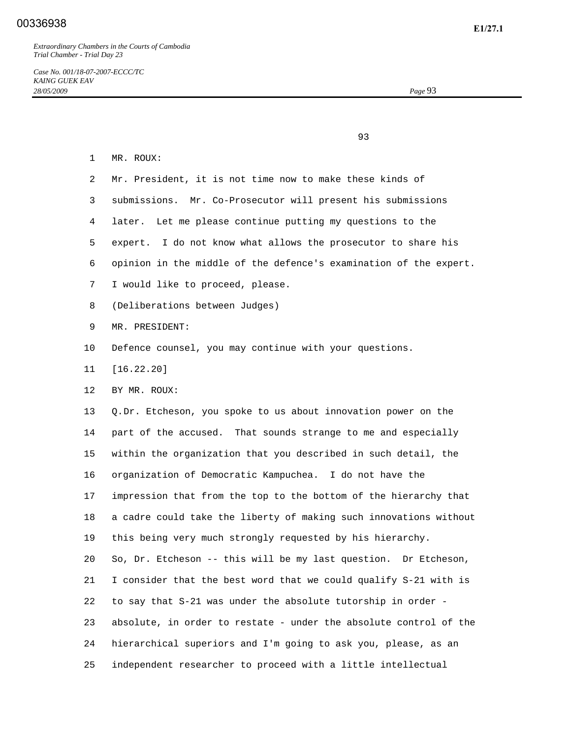*Case No. 001/18-07-2007-ECCC/TC KAING GUEK EAV 28/05/2009 Page* 93

experience of the contract of the contract of the contract of the contract of the contract of the contract of the contract of the contract of the contract of the contract of the contract of the contract of the contract of

| $\mathbf 1$     | MR. ROUX:                                                         |
|-----------------|-------------------------------------------------------------------|
| 2               | Mr. President, it is not time now to make these kinds of          |
| 3               | submissions. Mr. Co-Prosecutor will present his submissions       |
| 4               | later. Let me please continue putting my questions to the         |
| 5               | expert. I do not know what allows the prosecutor to share his     |
| 6               | opinion in the middle of the defence's examination of the expert. |
| 7               | I would like to proceed, please.                                  |
| 8               | (Deliberations between Judges)                                    |
| 9               | MR. PRESIDENT:                                                    |
| 10              | Defence counsel, you may continue with your questions.            |
| 11              | [16.22.20]                                                        |
| 12 <sup>°</sup> | BY MR. ROUX:                                                      |
| 13              | Q.Dr. Etcheson, you spoke to us about innovation power on the     |
| 14              | part of the accused. That sounds strange to me and especially     |
| 15              | within the organization that you described in such detail, the    |
| 16              | organization of Democratic Kampuchea. I do not have the           |
| 17              | impression that from the top to the bottom of the hierarchy that  |
| 18              | a cadre could take the liberty of making such innovations without |
| 19              | this being very much strongly requested by his hierarchy.         |
| 20              | So, Dr. Etcheson -- this will be my last question. Dr Etcheson,   |
| 21              | I consider that the best word that we could qualify S-21 with is  |
| 22              | to say that S-21 was under the absolute tutorship in order -      |
| 23              | absolute, in order to restate - under the absolute control of the |
| 24              | hierarchical superiors and I'm going to ask you, please, as an    |
| 25              | independent researcher to proceed with a little intellectual      |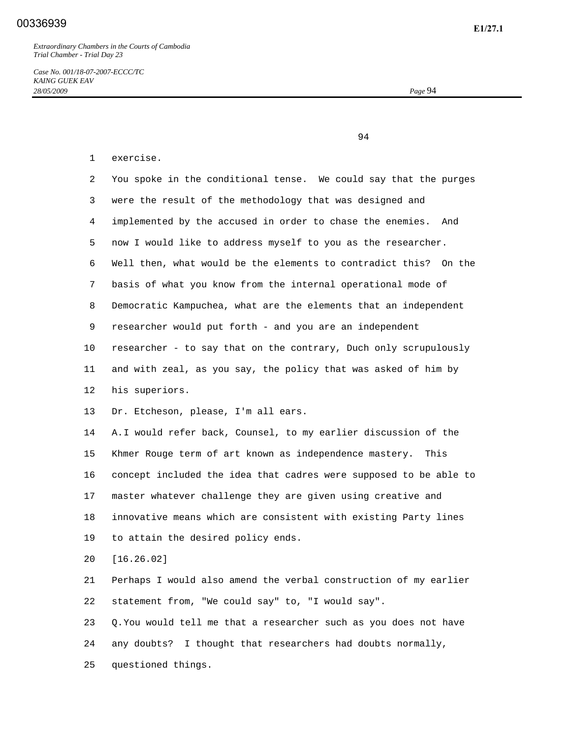*Case No. 001/18-07-2007-ECCC/TC KAING GUEK EAV 28/05/2009 Page* 94

94

## 1 exercise.

| 2       | You spoke in the conditional tense. We could say that the purges  |
|---------|-------------------------------------------------------------------|
| 3       | were the result of the methodology that was designed and          |
| 4       | implemented by the accused in order to chase the enemies.<br>And  |
| 5.      | now I would like to address myself to you as the researcher.      |
| 6       | Well then, what would be the elements to contradict this? On the  |
| 7       | basis of what you know from the internal operational mode of      |
| 8       | Democratic Kampuchea, what are the elements that an independent   |
| 9       | researcher would put forth - and you are an independent           |
| $10 \,$ | researcher - to say that on the contrary, Duch only scrupulously  |
| 11      | and with zeal, as you say, the policy that was asked of him by    |
| 12      | his superiors.                                                    |
| 13      | Dr. Etcheson, please, I'm all ears.                               |
| 14      | A. I would refer back, Counsel, to my earlier discussion of the   |
| 15      | Khmer Rouge term of art known as independence mastery.<br>This    |
| 16      | concept included the idea that cadres were supposed to be able to |
| 17      | master whatever challenge they are given using creative and       |
| 18      | innovative means which are consistent with existing Party lines   |
| 19      | to attain the desired policy ends.                                |
| 20      | [16.26.02]                                                        |
| 21      | Perhaps I would also amend the verbal construction of my earlier  |
| 22      | statement from, "We could say" to, "I would say".                 |

 23 Q. You would tell me that a researcher such as you does not have 24 any doubts? I thought that researchers had doubts normally, 25 questioned things.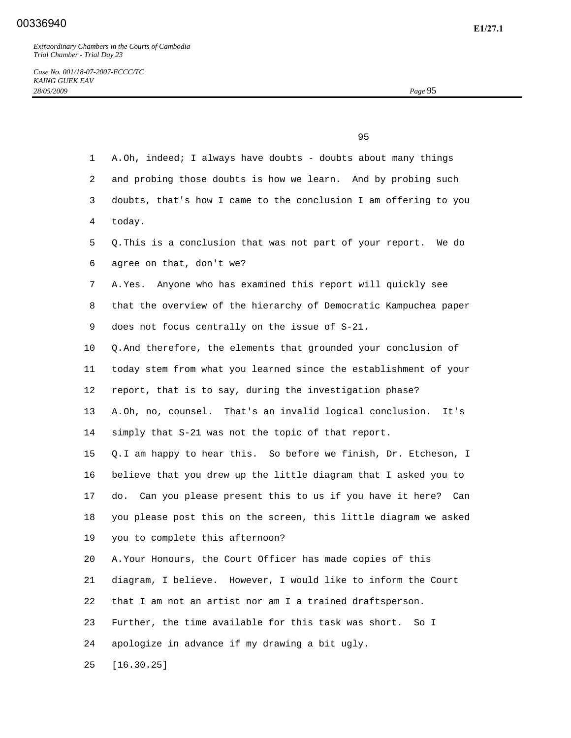## **E1/27.1** 00336940

*Extraordinary Chambers in the Courts of Cambodia Trial Chamber - Trial Day 23* 

experience of the contract of the contract of the contract of the contract of the contract of the contract of the contract of the contract of the contract of the contract of the contract of the contract of the contract of

| $\mathbf{1}$    | A.Oh, indeed; I always have doubts - doubts about many things        |
|-----------------|----------------------------------------------------------------------|
| 2               | and probing those doubts is how we learn. And by probing such        |
| 3               | doubts, that's how I came to the conclusion I am offering to you     |
| 4               | today.                                                               |
| 5               | Q. This is a conclusion that was not part of your report. We do      |
| 6               | agree on that, don't we?                                             |
| 7               | A. Yes. Anyone who has examined this report will quickly see         |
| 8               | that the overview of the hierarchy of Democratic Kampuchea paper     |
| 9               | does not focus centrally on the issue of S-21.                       |
| 10              | Q. And therefore, the elements that grounded your conclusion of      |
| 11              | today stem from what you learned since the establishment of your     |
| 12              | report, that is to say, during the investigation phase?              |
| 13              | A.Oh, no, counsel. That's an invalid logical conclusion.<br>It's     |
| 14              | simply that S-21 was not the topic of that report.                   |
| 15 <sub>1</sub> | Q. I am happy to hear this. So before we finish, Dr. Etcheson, I     |
| 16              | believe that you drew up the little diagram that I asked you to      |
| 17              | Can you please present this to us if you have it here?<br>do.<br>Can |
| 18              | you please post this on the screen, this little diagram we asked     |
| 19              | you to complete this afternoon?                                      |
| 20              | A. Your Honours, the Court Officer has made copies of this           |
| 21              | diagram, I believe. However, I would like to inform the Court        |
| 22              | that I am not an artist nor am I a trained draftsperson.             |

23 Further, the time available for this task was short. So I

24 apologize in advance if my drawing a bit ugly.

25 [16.30.25]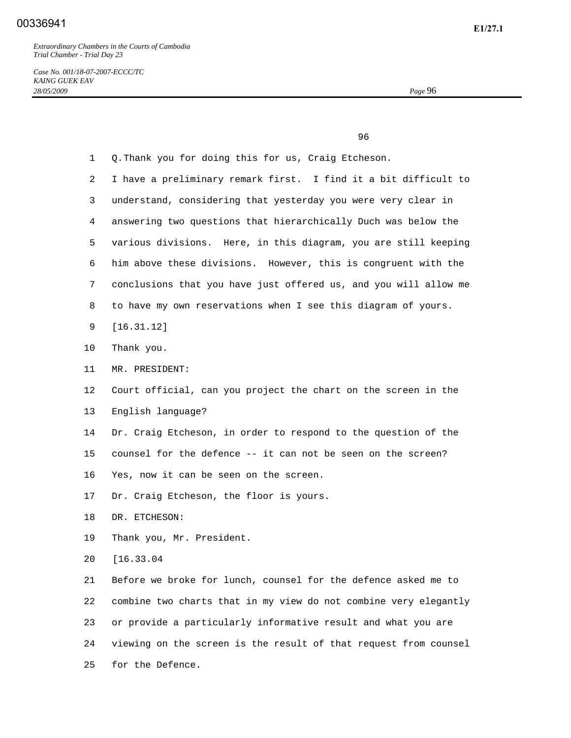*Case No. 001/18-07-2007-ECCC/TC KAING GUEK EAV 28/05/2009 Page* 96

<u>96 and the state of the state of the state of the state of the state of the state of the state of the state of the state of the state of the state of the state of the state of the state of the state of the state of the st</u>

| 1  | Q. Thank you for doing this for us, Craig Etcheson.              |
|----|------------------------------------------------------------------|
| 2  | I have a preliminary remark first. I find it a bit difficult to  |
| 3  | understand, considering that yesterday you were very clear in    |
| 4  | answering two questions that hierarchically Duch was below the   |
| 5  | various divisions. Here, in this diagram, you are still keeping  |
| 6  | him above these divisions. However, this is congruent with the   |
| 7  | conclusions that you have just offered us, and you will allow me |
| 8  | to have my own reservations when I see this diagram of yours.    |
| 9  | [16.31.12]                                                       |
| 10 | Thank you.                                                       |
| 11 | MR. PRESIDENT:                                                   |
| 12 | Court official, can you project the chart on the screen in the   |
| 13 | English language?                                                |
| 14 | Dr. Craig Etcheson, in order to respond to the question of the   |
| 15 | counsel for the defence -- it can not be seen on the screen?     |
| 16 | Yes, now it can be seen on the screen.                           |
| 17 | Dr. Craig Etcheson, the floor is yours.                          |
| 18 | DR. ETCHESON:                                                    |
| 19 | Thank you, Mr. President.                                        |
| 20 | [16.33.04]                                                       |
| 21 | Before we broke for lunch, counsel for the defence asked me to   |
| 22 | combine two charts that in my view do not combine very elegantly |
| 23 | or provide a particularly informative result and what you are    |
| 24 | viewing on the screen is the result of that request from counsel |
| 25 | for the Defence.                                                 |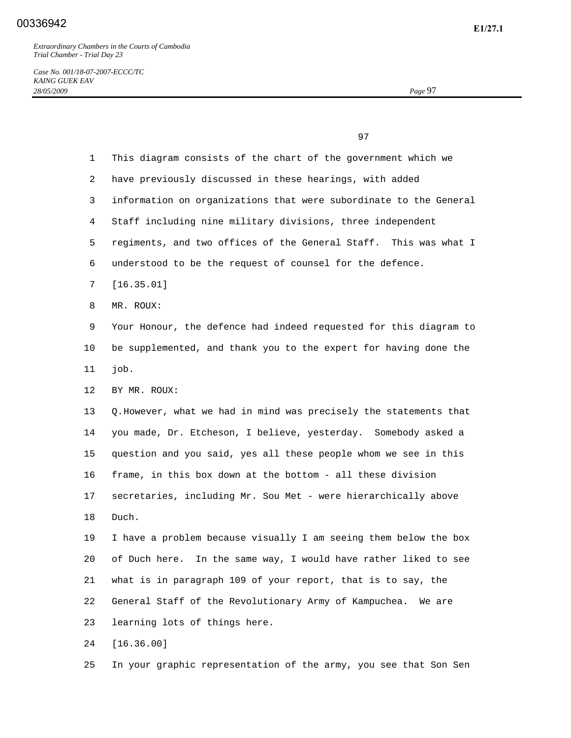*Case No. 001/18-07-2007-ECCC/TC KAING GUEK EAV 28/05/2009 Page* 97

experience of the contract of the contract of the contract of the contract of the contract of the contract of the contract of the contract of the contract of the contract of the contract of the contract of the contract of 1 This diagram consists of the chart of the government which we 2 have previously discussed in these hearings, with added 3 information on organizations that were subordinate to the General 4 Staff including nine military divisions, three independent 5 regiments, and two offices of the General Staff. This was what I 6 understood to be the request of counsel for the defence. 7 [16.35.01] 8 MR. ROUX: 9 Your Honour, the defence had indeed requested for this diagram to 10 be supplemented, and thank you to the expert for having done the 11 job. 12 BY MR. ROUX: 13 Q. However, what we had in mind was precisely the statements that 14 you made, Dr. Etcheson, I believe, yesterday. Somebody asked a 15 question and you said, yes all these people whom we see in this 16 frame, in this box down at the bottom - all these division 17 secretaries, including Mr. Sou Met - were hierarchically above 18 Duch. 19 I have a problem because visually I am seeing them below the box 20 of Duch here. In the same way, I would have rather liked to see 21 what is in paragraph 109 of your report, that is to say, the 22 General Staff of the Revolutionary Army of Kampuchea. We are 23 learning lots of things here. 24 [16.36.00]

25 In your graphic representation of the army, you see that Son Sen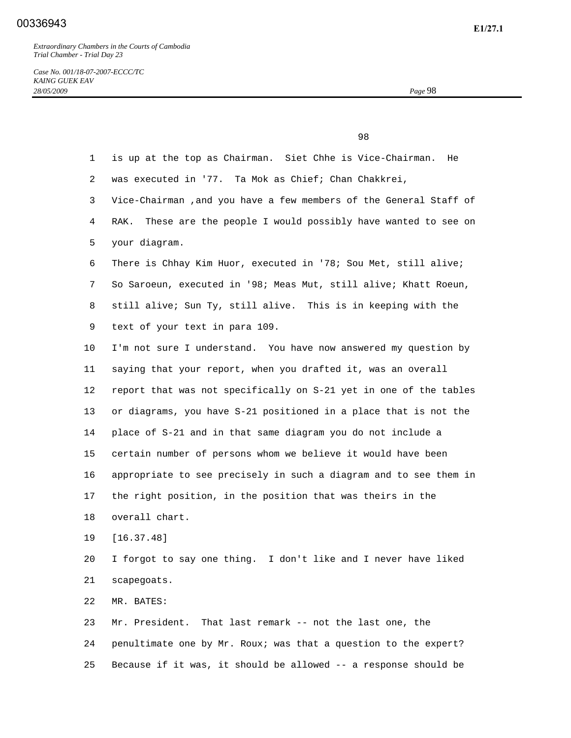*Case No. 001/18-07-2007-ECCC/TC KAING GUEK EAV 28/05/2009 Page* 98

experience of the contract of the contract of the contract of the contract of the contract of the contract of the contract of the contract of the contract of the contract of the contract of the contract of the contract of 1 is up at the top as Chairman. Siet Chhe is Vice-Chairman. He 2 was executed in '77. Ta Mok as Chief; Chan Chakkrei, 3 Vice-Chairman ,and you have a few members of the General Staff of 4 RAK. These are the people I would possibly have wanted to see on 5 your diagram. 6 There is Chhay Kim Huor, executed in '78; Sou Met, still alive; 7 So Saroeun, executed in '98; Meas Mut, still alive; Khatt Roeun, 8 still alive; Sun Ty, still alive. This is in keeping with the 9 text of your text in para 109. 10 I'm not sure I understand. You have now answered my question by 11 saying that your report, when you drafted it, was an overall 12 report that was not specifically on S-21 yet in one of the tables 13 or diagrams, you have S-21 positioned in a place that is not the 14 place of S-21 and in that same diagram you do not include a 15 certain number of persons whom we believe it would have been 16 appropriate to see precisely in such a diagram and to see them in 17 the right position, in the position that was theirs in the 18 overall chart. 19 [16.37.48] 20 I forgot to say one thing. I don't like and I never have liked 21 scapegoats. 22 MR. BATES: 23 Mr. President. That last remark -- not the last one, the 24 penultimate one by Mr. Roux; was that a question to the expert? 25 Because if it was, it should be allowed -- a response should be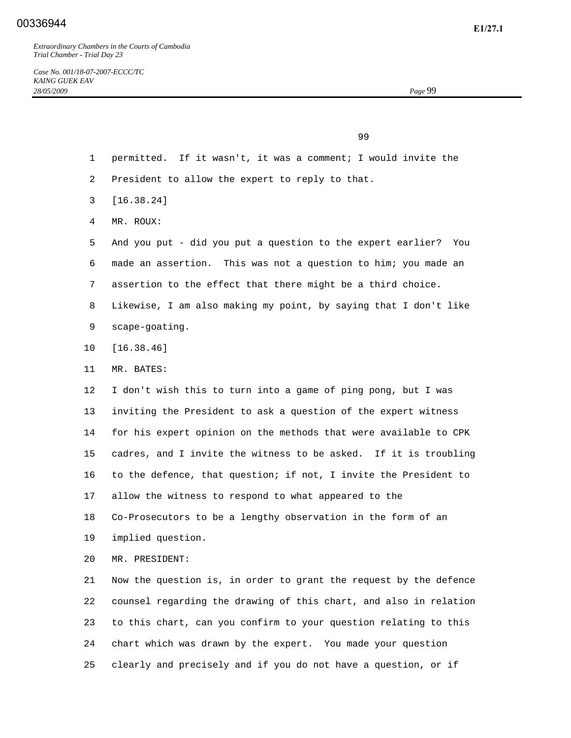99

- 1 permitted. If it wasn't, it was a comment; I would invite the
- 2 President to allow the expert to reply to that.
- 3 [16.38.24]
- 4 MR. ROUX:

 5 And you put - did you put a question to the expert earlier? You 6 made an assertion. This was not a question to him; you made an 7 assertion to the effect that there might be a third choice. 8 Likewise, I am also making my point, by saying that I don't like 9 scape-goating.

- 10 [16.38.46]
- 11 MR. BATES:

 12 I don't wish this to turn into a game of ping pong, but I was 13 inviting the President to ask a question of the expert witness 14 for his expert opinion on the methods that were available to CPK 15 cadres, and I invite the witness to be asked. If it is troubling 16 to the defence, that question; if not, I invite the President to 17 allow the witness to respond to what appeared to the 18 Co-Prosecutors to be a lengthy observation in the form of an 19 implied question.

20 MR. PRESIDENT:

 21 Now the question is, in order to grant the request by the defence 22 counsel regarding the drawing of this chart, and also in relation 23 to this chart, can you confirm to your question relating to this 24 chart which was drawn by the expert. You made your question 25 clearly and precisely and if you do not have a question, or if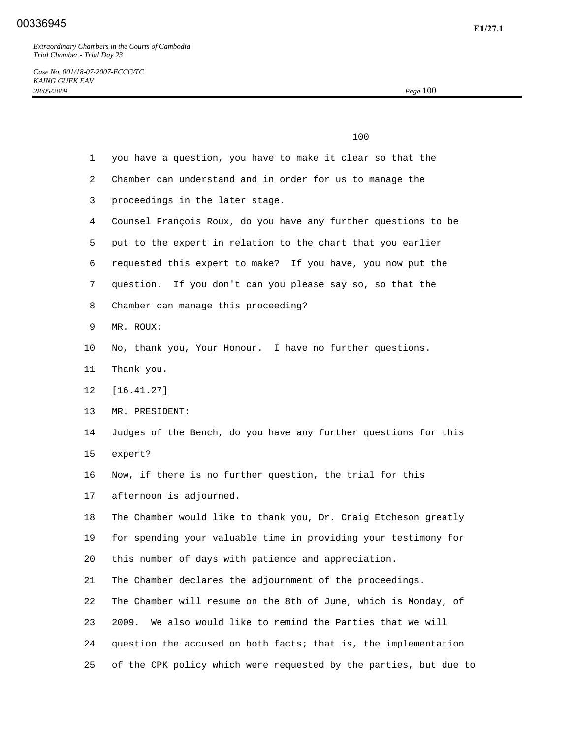*Case No. 001/18-07-2007-ECCC/TC KAING GUEK EAV 28/05/2009 Page* 100

 100 1 you have a question, you have to make it clear so that the 2 Chamber can understand and in order for us to manage the 3 proceedings in the later stage. 4 Counsel François Roux, do you have any further questions to be 5 put to the expert in relation to the chart that you earlier 6 requested this expert to make? If you have, you now put the 7 question. If you don't can you please say so, so that the 8 Chamber can manage this proceeding? 9 MR. ROUX: 10 No, thank you, Your Honour. I have no further questions. 11 Thank you. 12 [16.41.27] 13 MR. PRESIDENT: 14 Judges of the Bench, do you have any further questions for this 15 expert? 16 Now, if there is no further question, the trial for this 17 afternoon is adjourned. 18 The Chamber would like to thank you, Dr. Craig Etcheson greatly 19 for spending your valuable time in providing your testimony for 20 this number of days with patience and appreciation. 21 The Chamber declares the adjournment of the proceedings. 22 The Chamber will resume on the 8th of June, which is Monday, of 23 2009. We also would like to remind the Parties that we will 24 question the accused on both facts; that is, the implementation 25 of the CPK policy which were requested by the parties, but due to